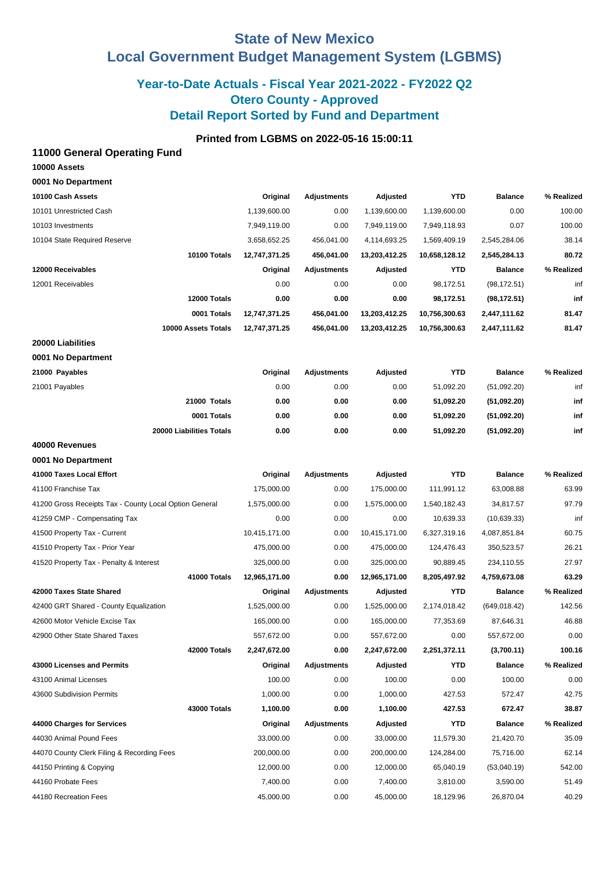# **State of New Mexico Local Government Budget Management System (LGBMS)**

# **Year-to-Date Actuals - Fiscal Year 2021-2022 - FY2022 Q2 Otero County - Approved Detail Report Sorted by Fund and Department**

## **Printed from LGBMS on 2022-05-16 15:00:11**

### **11000 General Operating Fund**

| 10000 Assets       |  |
|--------------------|--|
| 0001 No Department |  |

| 10100 Cash Assets                                      | Original      | <b>Adjustments</b> | Adjusted      | <b>YTD</b>    | <b>Balance</b> | % Realized |
|--------------------------------------------------------|---------------|--------------------|---------------|---------------|----------------|------------|
| 10101 Unrestricted Cash                                | 1,139,600.00  | 0.00               | 1,139,600.00  | 1,139,600.00  | 0.00           | 100.00     |
| 10103 Investments                                      | 7,949,119.00  | 0.00               | 7,949,119.00  | 7,949,118.93  | 0.07           | 100.00     |
| 10104 State Required Reserve                           | 3,658,652.25  | 456,041.00         | 4,114,693.25  | 1,569,409.19  | 2,545,284.06   | 38.14      |
| 10100 Totals                                           | 12,747,371.25 | 456,041.00         | 13,203,412.25 | 10,658,128.12 | 2,545,284.13   | 80.72      |
| 12000 Receivables                                      | Original      | <b>Adjustments</b> | Adjusted      | <b>YTD</b>    | <b>Balance</b> | % Realized |
| 12001 Receivables                                      | 0.00          | 0.00               | 0.00          | 98,172.51     | (98, 172.51)   | inf        |
| 12000 Totals                                           | 0.00          | 0.00               | 0.00          | 98,172.51     | (98, 172.51)   | inf        |
| 0001 Totals                                            | 12,747,371.25 | 456,041.00         | 13,203,412.25 | 10,756,300.63 | 2,447,111.62   | 81.47      |
| 10000 Assets Totals                                    | 12,747,371.25 | 456,041.00         | 13,203,412.25 | 10,756,300.63 | 2,447,111.62   | 81.47      |
| 20000 Liabilities                                      |               |                    |               |               |                |            |
| 0001 No Department                                     |               |                    |               |               |                |            |
| 21000 Payables                                         | Original      | <b>Adjustments</b> | Adjusted      | YTD           | <b>Balance</b> | % Realized |
| 21001 Payables                                         | 0.00          | 0.00               | 0.00          | 51,092.20     | (51,092.20)    | inf        |
| 21000 Totals                                           | 0.00          | 0.00               | 0.00          | 51,092.20     | (51,092.20)    | inf        |
| 0001 Totals                                            | 0.00          | 0.00               | 0.00          | 51,092.20     | (51,092.20)    | inf        |
| 20000 Liabilities Totals                               | 0.00          | 0.00               | 0.00          | 51,092.20     | (51,092.20)    | inf        |
| 40000 Revenues                                         |               |                    |               |               |                |            |
| 0001 No Department                                     |               |                    |               |               |                |            |
| 41000 Taxes Local Effort                               | Original      | <b>Adjustments</b> | Adjusted      | <b>YTD</b>    | <b>Balance</b> | % Realized |
| 41100 Franchise Tax                                    | 175,000.00    | 0.00               | 175,000.00    | 111,991.12    | 63,008.88      | 63.99      |
| 41200 Gross Receipts Tax - County Local Option General | 1,575,000.00  | 0.00               | 1,575,000.00  | 1,540,182.43  | 34,817.57      | 97.79      |
| 41259 CMP - Compensating Tax                           | 0.00          | 0.00               | 0.00          | 10,639.33     | (10,639.33)    | inf        |
| 41500 Property Tax - Current                           | 10,415,171.00 | 0.00               | 10,415,171.00 | 6,327,319.16  | 4,087,851.84   | 60.75      |
| 41510 Property Tax - Prior Year                        | 475,000.00    | 0.00               | 475,000.00    | 124,476.43    | 350,523.57     | 26.21      |
| 41520 Property Tax - Penalty & Interest                | 325,000.00    | 0.00               | 325,000.00    | 90,889.45     | 234,110.55     | 27.97      |
| 41000 Totals                                           | 12,965,171.00 | 0.00               | 12,965,171.00 | 8,205,497.92  | 4,759,673.08   | 63.29      |
| 42000 Taxes State Shared                               | Original      | <b>Adjustments</b> | Adjusted      | <b>YTD</b>    | <b>Balance</b> | % Realized |
| 42400 GRT Shared - County Equalization                 | 1,525,000.00  | 0.00               | 1,525,000.00  | 2,174,018.42  | (649, 018.42)  | 142.56     |
| 42600 Motor Vehicle Excise Tax                         | 165,000.00    | 0.00               | 165,000.00    | 77,353.69     | 87,646.31      | 46.88      |
| 42900 Other State Shared Taxes                         | 557,672.00    | 0.00               | 557,672.00    | 0.00          | 557,672.00     | 0.00       |
| 42000 Totals                                           | 2,247,672.00  | 0.00               | 2,247,672.00  | 2,251,372.11  | (3,700.11)     | 100.16     |
| 43000 Licenses and Permits                             | Original      | <b>Adjustments</b> | Adjusted      | <b>YTD</b>    | <b>Balance</b> | % Realized |
| 43100 Animal Licenses                                  | 100.00        | 0.00               | 100.00        | 0.00          | 100.00         | 0.00       |
| 43600 Subdivision Permits                              | 1,000.00      | 0.00               | 1,000.00      | 427.53        | 572.47         | 42.75      |
| 43000 Totals                                           | 1,100.00      | 0.00               | 1,100.00      | 427.53        | 672.47         | 38.87      |
| 44000 Charges for Services                             | Original      | Adjustments        | Adjusted      | <b>YTD</b>    | <b>Balance</b> | % Realized |
| 44030 Animal Pound Fees                                | 33,000.00     | 0.00               | 33,000.00     | 11,579.30     | 21,420.70      | 35.09      |
| 44070 County Clerk Filing & Recording Fees             | 200,000.00    | 0.00               | 200,000.00    | 124,284.00    | 75,716.00      | 62.14      |
| 44150 Printing & Copying                               | 12,000.00     | 0.00               | 12,000.00     | 65,040.19     | (53,040.19)    | 542.00     |
| 44160 Probate Fees                                     | 7,400.00      | 0.00               | 7,400.00      | 3,810.00      | 3,590.00       | 51.49      |
| 44180 Recreation Fees                                  | 45,000.00     | 0.00               | 45,000.00     | 18,129.96     | 26,870.04      | 40.29      |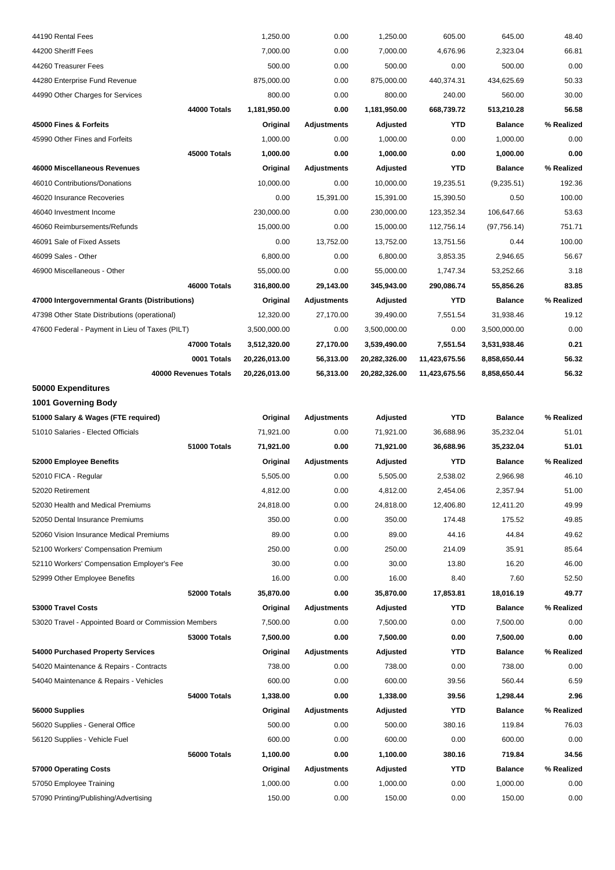| 44190 Rental Fees                                    | 1,250.00      | 0.00               | 1,250.00      | 605.00        | 645.00         | 48.40      |
|------------------------------------------------------|---------------|--------------------|---------------|---------------|----------------|------------|
| 44200 Sheriff Fees                                   | 7,000.00      | 0.00               | 7,000.00      | 4,676.96      | 2,323.04       | 66.81      |
| 44260 Treasurer Fees                                 | 500.00        | 0.00               | 500.00        | 0.00          | 500.00         | 0.00       |
| 44280 Enterprise Fund Revenue                        | 875,000.00    | 0.00               | 875,000.00    | 440,374.31    | 434,625.69     | 50.33      |
| 44990 Other Charges for Services                     | 800.00        | 0.00               | 800.00        | 240.00        | 560.00         | 30.00      |
| 44000 Totals                                         | 1,181,950.00  | 0.00               | 1,181,950.00  | 668,739.72    | 513,210.28     | 56.58      |
| 45000 Fines & Forfeits                               | Original      | <b>Adjustments</b> | Adjusted      | YTD           | <b>Balance</b> | % Realized |
| 45990 Other Fines and Forfeits                       | 1,000.00      | 0.00               | 1,000.00      | 0.00          | 1,000.00       | 0.00       |
| 45000 Totals                                         | 1,000.00      | 0.00               | 1,000.00      | 0.00          | 1,000.00       | 0.00       |
| 46000 Miscellaneous Revenues                         | Original      | <b>Adjustments</b> | Adjusted      | <b>YTD</b>    | <b>Balance</b> | % Realized |
| 46010 Contributions/Donations                        | 10,000.00     | 0.00               | 10,000.00     | 19,235.51     | (9,235.51)     | 192.36     |
| 46020 Insurance Recoveries                           | 0.00          | 15,391.00          | 15,391.00     | 15,390.50     | 0.50           | 100.00     |
| 46040 Investment Income                              | 230,000.00    | 0.00               | 230,000.00    | 123,352.34    | 106,647.66     | 53.63      |
| 46060 Reimbursements/Refunds                         | 15,000.00     | 0.00               | 15,000.00     | 112,756.14    | (97, 756.14)   | 751.71     |
| 46091 Sale of Fixed Assets                           | 0.00          | 13,752.00          | 13,752.00     | 13,751.56     | 0.44           | 100.00     |
| 46099 Sales - Other                                  | 6,800.00      | 0.00               | 6,800.00      | 3,853.35      | 2,946.65       | 56.67      |
| 46900 Miscellaneous - Other                          | 55,000.00     | 0.00               | 55,000.00     | 1,747.34      | 53,252.66      | 3.18       |
| 46000 Totals                                         | 316,800.00    | 29,143.00          | 345,943.00    | 290,086.74    | 55,856.26      | 83.85      |
| 47000 Intergovernmental Grants (Distributions)       | Original      | <b>Adjustments</b> | Adjusted      | <b>YTD</b>    | <b>Balance</b> | % Realized |
| 47398 Other State Distributions (operational)        | 12,320.00     | 27,170.00          | 39,490.00     | 7,551.54      | 31,938.46      | 19.12      |
| 47600 Federal - Payment in Lieu of Taxes (PILT)      | 3,500,000.00  | 0.00               | 3,500,000.00  | 0.00          | 3,500,000.00   | 0.00       |
| 47000 Totals                                         | 3,512,320.00  | 27,170.00          | 3,539,490.00  | 7,551.54      | 3,531,938.46   | 0.21       |
| 0001 Totals                                          | 20,226,013.00 | 56,313.00          | 20,282,326.00 | 11,423,675.56 | 8,858,650.44   | 56.32      |
| 40000 Revenues Totals                                | 20,226,013.00 | 56,313.00          | 20,282,326.00 | 11,423,675.56 | 8,858,650.44   | 56.32      |
| 50000 Expenditures                                   |               |                    |               |               |                |            |
| 1001 Governing Body                                  |               |                    |               |               |                |            |
| 51000 Salary & Wages (FTE required)                  | Original      | <b>Adjustments</b> | Adjusted      | <b>YTD</b>    | <b>Balance</b> | % Realized |
| 51010 Salaries - Elected Officials                   | 71,921.00     | 0.00               | 71,921.00     | 36,688.96     | 35,232.04      | 51.01      |
| 51000 Totals                                         | 71,921.00     | 0.00               | 71,921.00     | 36,688.96     | 35,232.04      | 51.01      |
| 52000 Employee Benefits                              | Original      | <b>Adjustments</b> | Adjusted      | YTD           | <b>Balance</b> | % Realized |
| 52010 FICA - Regular                                 | 5,505.00      | 0.00               | 5,505.00      | 2,538.02      | 2,966.98       | 46.10      |
| 52020 Retirement                                     | 4,812.00      | 0.00               | 4,812.00      | 2,454.06      | 2,357.94       | 51.00      |
| 52030 Health and Medical Premiums                    | 24,818.00     | 0.00               | 24,818.00     | 12,406.80     | 12,411.20      | 49.99      |
| 52050 Dental Insurance Premiums                      | 350.00        | 0.00               | 350.00        | 174.48        | 175.52         | 49.85      |
| 52060 Vision Insurance Medical Premiums              | 89.00         | 0.00               | 89.00         | 44.16         | 44.84          | 49.62      |
| 52100 Workers' Compensation Premium                  | 250.00        | 0.00               | 250.00        | 214.09        | 35.91          | 85.64      |
| 52110 Workers' Compensation Employer's Fee           | 30.00         | 0.00               | 30.00         | 13.80         | 16.20          | 46.00      |
| 52999 Other Employee Benefits                        | 16.00         | 0.00               | 16.00         | 8.40          | 7.60           | 52.50      |
| 52000 Totals                                         | 35,870.00     | 0.00               | 35,870.00     | 17,853.81     | 18,016.19      | 49.77      |
| 53000 Travel Costs                                   | Original      | <b>Adjustments</b> | Adjusted      | YTD           | <b>Balance</b> | % Realized |
| 53020 Travel - Appointed Board or Commission Members | 7,500.00      | 0.00               | 7,500.00      | 0.00          | 7,500.00       | 0.00       |
| <b>53000 Totals</b>                                  | 7,500.00      | 0.00               | 7,500.00      | 0.00          | 7,500.00       | 0.00       |
| 54000 Purchased Property Services                    | Original      | <b>Adjustments</b> | Adjusted      | YTD           | <b>Balance</b> | % Realized |
| 54020 Maintenance & Repairs - Contracts              | 738.00        | 0.00               | 738.00        | 0.00          | 738.00         | 0.00       |
| 54040 Maintenance & Repairs - Vehicles               | 600.00        | 0.00               | 600.00        | 39.56         | 560.44         | 6.59       |
| 54000 Totals                                         | 1,338.00      | 0.00               | 1,338.00      | 39.56         | 1,298.44       | 2.96       |
| 56000 Supplies                                       | Original      | <b>Adjustments</b> | Adjusted      | <b>YTD</b>    | <b>Balance</b> | % Realized |
| 56020 Supplies - General Office                      | 500.00        | 0.00               | 500.00        | 380.16        | 119.84         | 76.03      |
| 56120 Supplies - Vehicle Fuel                        | 600.00        | 0.00               | 600.00        | 0.00          | 600.00         | 0.00       |
| 56000 Totals                                         | 1,100.00      | 0.00               | 1,100.00      | 380.16        | 719.84         | 34.56      |
| 57000 Operating Costs                                | Original      | Adjustments        | Adjusted      | YTD           | <b>Balance</b> | % Realized |
| 57050 Employee Training                              | 1,000.00      | 0.00               | 1,000.00      | 0.00          | 1,000.00       | 0.00       |
| 57090 Printing/Publishing/Advertising                | 150.00        | 0.00               | 150.00        | 0.00          | 150.00         | 0.00       |
|                                                      |               |                    |               |               |                |            |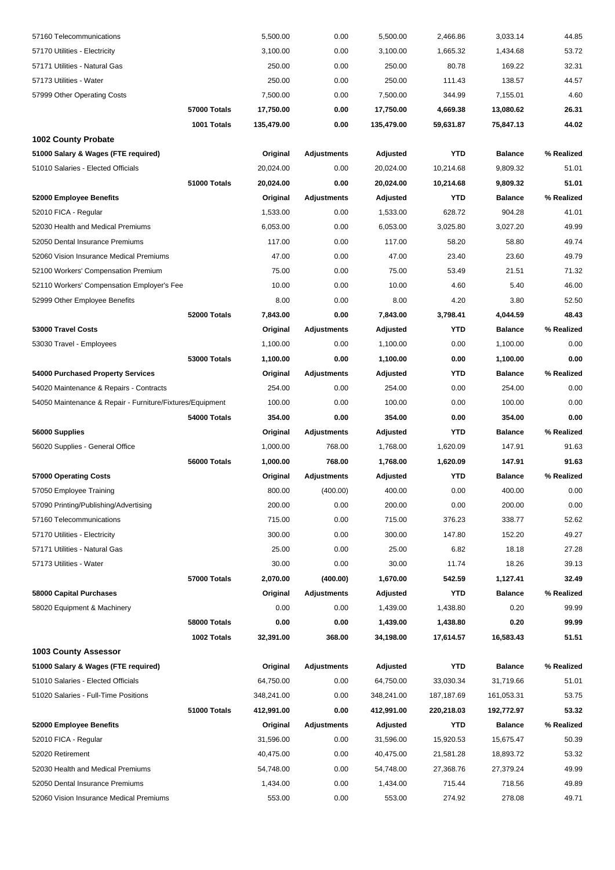| 57160 Telecommunications                                  | 5,500.00   | 0.00               | 5,500.00   | 2,466.86   | 3,033.14       | 44.85      |
|-----------------------------------------------------------|------------|--------------------|------------|------------|----------------|------------|
| 57170 Utilities - Electricity                             | 3,100.00   | 0.00               | 3,100.00   | 1,665.32   | 1,434.68       | 53.72      |
| 57171 Utilities - Natural Gas                             | 250.00     | 0.00               | 250.00     | 80.78      | 169.22         | 32.31      |
| 57173 Utilities - Water                                   | 250.00     | 0.00               | 250.00     | 111.43     | 138.57         | 44.57      |
| 57999 Other Operating Costs                               | 7,500.00   | 0.00               | 7,500.00   | 344.99     | 7,155.01       | 4.60       |
| 57000 Totals                                              | 17,750.00  | 0.00               | 17,750.00  | 4,669.38   | 13,080.62      | 26.31      |
| 1001 Totals                                               | 135,479.00 | 0.00               | 135,479.00 | 59,631.87  | 75,847.13      | 44.02      |
| <b>1002 County Probate</b>                                |            |                    |            |            |                |            |
| 51000 Salary & Wages (FTE required)                       | Original   | <b>Adjustments</b> | Adjusted   | <b>YTD</b> | <b>Balance</b> | % Realized |
| 51010 Salaries - Elected Officials                        | 20,024.00  | 0.00               | 20,024.00  | 10,214.68  | 9,809.32       | 51.01      |
| 51000 Totals                                              | 20,024.00  | 0.00               | 20,024.00  | 10,214.68  | 9,809.32       | 51.01      |
| 52000 Employee Benefits                                   | Original   | <b>Adjustments</b> | Adjusted   | <b>YTD</b> | <b>Balance</b> | % Realized |
| 52010 FICA - Regular                                      | 1,533.00   | 0.00               | 1,533.00   | 628.72     | 904.28         | 41.01      |
| 52030 Health and Medical Premiums                         | 6,053.00   | 0.00               | 6,053.00   | 3,025.80   | 3,027.20       | 49.99      |
| 52050 Dental Insurance Premiums                           | 117.00     | 0.00               | 117.00     | 58.20      | 58.80          | 49.74      |
| 52060 Vision Insurance Medical Premiums                   | 47.00      | 0.00               | 47.00      | 23.40      | 23.60          | 49.79      |
| 52100 Workers' Compensation Premium                       | 75.00      | 0.00               | 75.00      | 53.49      | 21.51          | 71.32      |
| 52110 Workers' Compensation Employer's Fee                | 10.00      | 0.00               | 10.00      | 4.60       | 5.40           | 46.00      |
| 52999 Other Employee Benefits                             | 8.00       | 0.00               | 8.00       | 4.20       | 3.80           | 52.50      |
| 52000 Totals                                              | 7,843.00   | 0.00               | 7,843.00   | 3,798.41   | 4,044.59       | 48.43      |
| 53000 Travel Costs                                        | Original   | <b>Adjustments</b> | Adjusted   | <b>YTD</b> | <b>Balance</b> | % Realized |
| 53030 Travel - Employees                                  | 1,100.00   | 0.00               | 1,100.00   | 0.00       | 1,100.00       | 0.00       |
| <b>53000 Totals</b>                                       | 1,100.00   | 0.00               | 1,100.00   | 0.00       | 1,100.00       | 0.00       |
| 54000 Purchased Property Services                         | Original   | <b>Adjustments</b> | Adjusted   | <b>YTD</b> | <b>Balance</b> | % Realized |
| 54020 Maintenance & Repairs - Contracts                   | 254.00     | 0.00               | 254.00     | 0.00       | 254.00         | 0.00       |
| 54050 Maintenance & Repair - Furniture/Fixtures/Equipment | 100.00     | 0.00               | 100.00     | 0.00       | 100.00         | 0.00       |
| 54000 Totals                                              | 354.00     | 0.00               | 354.00     | 0.00       | 354.00         | 0.00       |
| 56000 Supplies                                            | Original   | <b>Adjustments</b> | Adjusted   | <b>YTD</b> | <b>Balance</b> | % Realized |
| 56020 Supplies - General Office                           | 1,000.00   | 768.00             | 1,768.00   | 1,620.09   | 147.91         | 91.63      |
| 56000 Totals                                              | 1,000.00   | 768.00             | 1,768.00   | 1,620.09   | 147.91         | 91.63      |
| 57000 Operating Costs                                     | Original   | <b>Adjustments</b> | Adjusted   | <b>YTD</b> | <b>Balance</b> | % Realized |
| 57050 Employee Training                                   | 800.00     | (400.00)           | 400.00     | 0.00       | 400.00         | 0.00       |
| 57090 Printing/Publishing/Advertising                     | 200.00     | 0.00               | 200.00     | 0.00       | 200.00         | 0.00       |
| 57160 Telecommunications                                  | 715.00     | 0.00               | 715.00     | 376.23     | 338.77         | 52.62      |
| 57170 Utilities - Electricity                             | 300.00     | 0.00               | 300.00     | 147.80     | 152.20         | 49.27      |
| 57171 Utilities - Natural Gas                             | 25.00      | 0.00               | 25.00      | 6.82       | 18.18          | 27.28      |
| 57173 Utilities - Water                                   | 30.00      | 0.00               | 30.00      | 11.74      | 18.26          | 39.13      |
| 57000 Totals                                              | 2,070.00   | (400.00)           | 1,670.00   | 542.59     | 1,127.41       | 32.49      |
| 58000 Capital Purchases                                   | Original   | <b>Adjustments</b> | Adjusted   | <b>YTD</b> | <b>Balance</b> | % Realized |
| 58020 Equipment & Machinery                               | 0.00       | 0.00               | 1,439.00   | 1,438.80   | 0.20           | 99.99      |
| 58000 Totals                                              | 0.00       | 0.00               | 1,439.00   | 1,438.80   | 0.20           | 99.99      |
| 1002 Totals                                               | 32,391.00  | 368.00             | 34,198.00  | 17,614.57  | 16,583.43      | 51.51      |
| <b>1003 County Assessor</b>                               |            |                    |            |            |                |            |
| 51000 Salary & Wages (FTE required)                       | Original   | <b>Adjustments</b> | Adjusted   | <b>YTD</b> | <b>Balance</b> | % Realized |
| 51010 Salaries - Elected Officials                        | 64,750.00  | 0.00               | 64,750.00  | 33,030.34  | 31,719.66      | 51.01      |
| 51020 Salaries - Full-Time Positions                      | 348,241.00 | 0.00               | 348,241.00 | 187,187.69 | 161,053.31     | 53.75      |
| 51000 Totals                                              | 412,991.00 | 0.00               | 412,991.00 | 220,218.03 | 192,772.97     | 53.32      |
| 52000 Employee Benefits                                   | Original   | <b>Adjustments</b> | Adjusted   | <b>YTD</b> | <b>Balance</b> | % Realized |
| 52010 FICA - Regular                                      | 31,596.00  | 0.00               | 31,596.00  | 15,920.53  | 15,675.47      | 50.39      |
| 52020 Retirement                                          | 40,475.00  | 0.00               | 40,475.00  | 21,581.28  | 18,893.72      | 53.32      |
| 52030 Health and Medical Premiums                         | 54,748.00  | 0.00               | 54,748.00  | 27,368.76  | 27,379.24      | 49.99      |
| 52050 Dental Insurance Premiums                           | 1,434.00   | 0.00               | 1,434.00   | 715.44     | 718.56         | 49.89      |
| 52060 Vision Insurance Medical Premiums                   | 553.00     | 0.00               | 553.00     | 274.92     | 278.08         | 49.71      |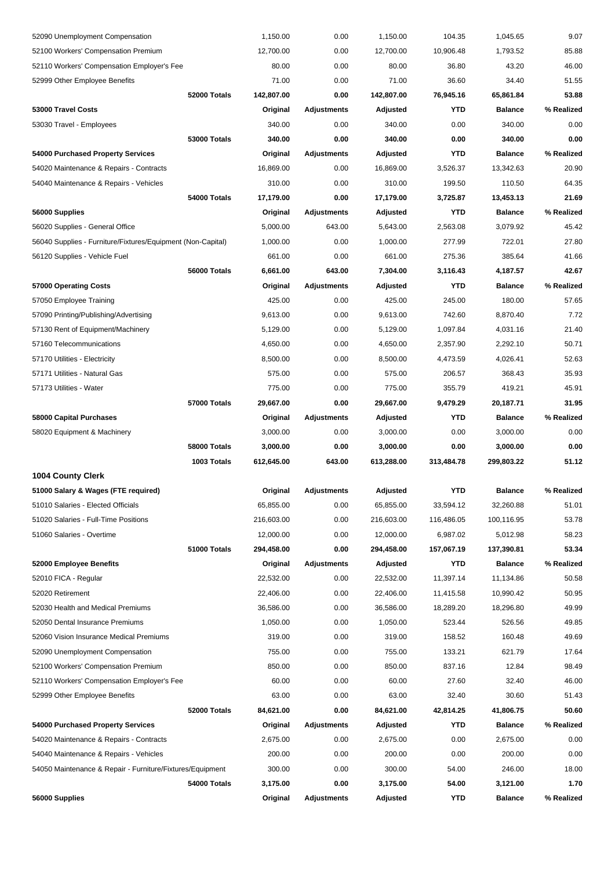| 52090 Unemployment Compensation                             | 1,150.00   | 0.00               | 1,150.00   | 104.35     | 1,045.65       | 9.07       |
|-------------------------------------------------------------|------------|--------------------|------------|------------|----------------|------------|
| 52100 Workers' Compensation Premium                         | 12,700.00  | 0.00               | 12,700.00  | 10,906.48  | 1,793.52       | 85.88      |
| 52110 Workers' Compensation Employer's Fee                  | 80.00      | 0.00               | 80.00      | 36.80      | 43.20          | 46.00      |
| 52999 Other Employee Benefits                               | 71.00      | 0.00               | 71.00      | 36.60      | 34.40          | 51.55      |
| 52000 Totals                                                | 142,807.00 | 0.00               | 142,807.00 | 76,945.16  | 65,861.84      | 53.88      |
| 53000 Travel Costs                                          | Original   | <b>Adjustments</b> | Adjusted   | YTD        | <b>Balance</b> | % Realized |
| 53030 Travel - Employees                                    | 340.00     | 0.00               | 340.00     | 0.00       | 340.00         | 0.00       |
| 53000 Totals                                                | 340.00     | 0.00               | 340.00     | 0.00       | 340.00         | 0.00       |
| 54000 Purchased Property Services                           | Original   | <b>Adjustments</b> | Adjusted   | <b>YTD</b> | <b>Balance</b> | % Realized |
| 54020 Maintenance & Repairs - Contracts                     | 16,869.00  | 0.00               | 16,869.00  | 3,526.37   | 13,342.63      | 20.90      |
| 54040 Maintenance & Repairs - Vehicles                      | 310.00     | 0.00               | 310.00     | 199.50     | 110.50         | 64.35      |
| 54000 Totals                                                | 17,179.00  | 0.00               | 17,179.00  | 3,725.87   | 13,453.13      | 21.69      |
| 56000 Supplies                                              | Original   | <b>Adjustments</b> | Adjusted   | <b>YTD</b> | <b>Balance</b> | % Realized |
| 56020 Supplies - General Office                             | 5,000.00   | 643.00             | 5,643.00   | 2,563.08   | 3,079.92       | 45.42      |
| 56040 Supplies - Furniture/Fixtures/Equipment (Non-Capital) | 1,000.00   | 0.00               | 1,000.00   | 277.99     | 722.01         | 27.80      |
| 56120 Supplies - Vehicle Fuel                               | 661.00     | 0.00               | 661.00     | 275.36     | 385.64         | 41.66      |
| 56000 Totals                                                | 6,661.00   | 643.00             | 7,304.00   | 3,116.43   | 4,187.57       | 42.67      |
| 57000 Operating Costs                                       | Original   | <b>Adjustments</b> | Adjusted   | <b>YTD</b> | <b>Balance</b> | % Realized |
| 57050 Employee Training                                     | 425.00     | 0.00               | 425.00     | 245.00     | 180.00         | 57.65      |
| 57090 Printing/Publishing/Advertising                       | 9.613.00   | 0.00               | 9,613.00   | 742.60     | 8.870.40       | 7.72       |
| 57130 Rent of Equipment/Machinery                           | 5,129.00   | 0.00               | 5,129.00   | 1,097.84   | 4,031.16       | 21.40      |
| 57160 Telecommunications                                    | 4,650.00   | 0.00               | 4,650.00   | 2,357.90   | 2,292.10       | 50.71      |
| 57170 Utilities - Electricity                               | 8,500.00   | 0.00               | 8,500.00   | 4,473.59   | 4,026.41       | 52.63      |
| 57171 Utilities - Natural Gas                               | 575.00     | 0.00               | 575.00     | 206.57     | 368.43         | 35.93      |
| 57173 Utilities - Water                                     | 775.00     | 0.00               | 775.00     | 355.79     | 419.21         | 45.91      |
| <b>57000 Totals</b>                                         | 29,667.00  | 0.00               | 29,667.00  | 9,479.29   | 20,187.71      | 31.95      |
| 58000 Capital Purchases                                     | Original   | <b>Adjustments</b> | Adjusted   | YTD        | <b>Balance</b> | % Realized |
| 58020 Equipment & Machinery                                 | 3,000.00   | 0.00               | 3,000.00   | 0.00       | 3,000.00       | 0.00       |
| 58000 Totals                                                | 3,000.00   | 0.00               | 3,000.00   | 0.00       | 3,000.00       | 0.00       |
| 1003 Totals                                                 | 612,645.00 | 643.00             | 613,288.00 | 313,484.78 | 299,803.22     | 51.12      |
| <b>1004 County Clerk</b>                                    |            |                    |            |            |                |            |
| 51000 Salary & Wages (FTE required)                         | Original   | <b>Adjustments</b> | Adjusted   | YTD        | <b>Balance</b> | % Realized |
| 51010 Salaries - Elected Officials                          | 65,855.00  | 0.00               | 65,855.00  | 33,594.12  | 32,260.88      | 51.01      |
| 51020 Salaries - Full-Time Positions                        | 216,603.00 | 0.00               | 216,603.00 | 116,486.05 | 100,116.95     | 53.78      |
| 51060 Salaries - Overtime                                   | 12,000.00  | 0.00               | 12,000.00  | 6,987.02   | 5,012.98       | 58.23      |
| 51000 Totals                                                | 294,458.00 | 0.00               | 294,458.00 | 157,067.19 | 137,390.81     | 53.34      |
| 52000 Employee Benefits                                     | Original   | <b>Adjustments</b> | Adjusted   | YTD        | <b>Balance</b> | % Realized |
| 52010 FICA - Regular                                        | 22,532.00  | 0.00               | 22,532.00  | 11,397.14  | 11,134.86      | 50.58      |
| 52020 Retirement                                            | 22,406.00  | 0.00               | 22,406.00  | 11,415.58  | 10,990.42      | 50.95      |
| 52030 Health and Medical Premiums                           | 36,586.00  | 0.00               | 36,586.00  | 18,289.20  | 18,296.80      | 49.99      |
| 52050 Dental Insurance Premiums                             | 1,050.00   | 0.00               | 1,050.00   | 523.44     | 526.56         | 49.85      |
| 52060 Vision Insurance Medical Premiums                     | 319.00     | 0.00               | 319.00     | 158.52     | 160.48         | 49.69      |
| 52090 Unemployment Compensation                             | 755.00     | 0.00               | 755.00     | 133.21     | 621.79         | 17.64      |
| 52100 Workers' Compensation Premium                         | 850.00     | 0.00               | 850.00     | 837.16     | 12.84          | 98.49      |
| 52110 Workers' Compensation Employer's Fee                  | 60.00      | 0.00               | 60.00      | 27.60      | 32.40          | 46.00      |
| 52999 Other Employee Benefits                               | 63.00      | 0.00               | 63.00      | 32.40      | 30.60          | 51.43      |
| 52000 Totals                                                | 84,621.00  | 0.00               | 84,621.00  | 42,814.25  | 41,806.75      | 50.60      |
| 54000 Purchased Property Services                           | Original   | <b>Adjustments</b> | Adjusted   | YTD        | <b>Balance</b> | % Realized |
| 54020 Maintenance & Repairs - Contracts                     | 2,675.00   | 0.00               | 2,675.00   | 0.00       | 2,675.00       | 0.00       |
| 54040 Maintenance & Repairs - Vehicles                      | 200.00     | 0.00               | 200.00     | 0.00       | 200.00         | 0.00       |
| 54050 Maintenance & Repair - Furniture/Fixtures/Equipment   | 300.00     | 0.00               | 300.00     | 54.00      | 246.00         | 18.00      |
| 54000 Totals                                                | 3,175.00   | 0.00               | 3,175.00   | 54.00      | 3,121.00       | 1.70       |
| 56000 Supplies                                              | Original   | <b>Adjustments</b> | Adjusted   | YTD        | <b>Balance</b> | % Realized |
|                                                             |            |                    |            |            |                |            |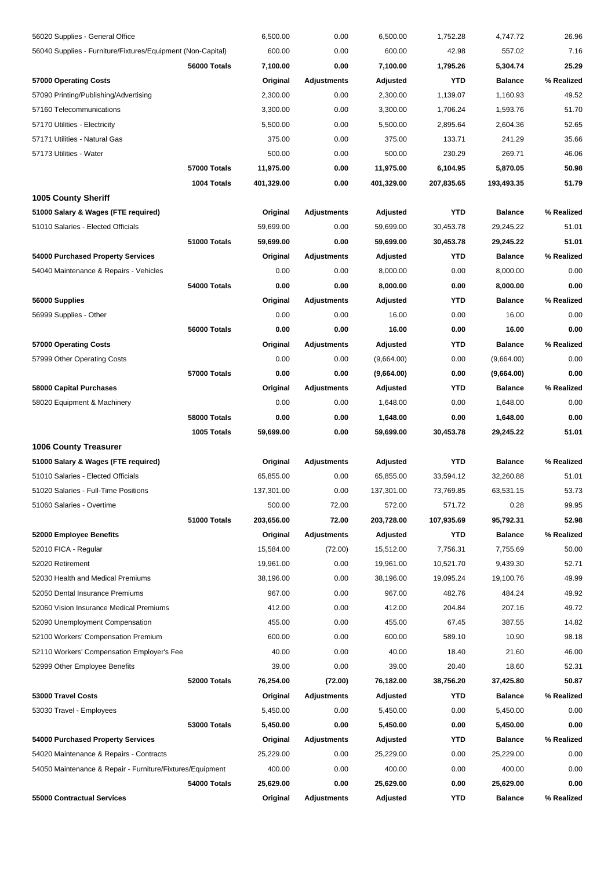| 56020 Supplies - General Office                             |                     | 6,500.00   | 0.00               | 6,500.00   | 1,752.28   | 4,747.72       | 26.96      |
|-------------------------------------------------------------|---------------------|------------|--------------------|------------|------------|----------------|------------|
| 56040 Supplies - Furniture/Fixtures/Equipment (Non-Capital) |                     | 600.00     | 0.00               | 600.00     | 42.98      | 557.02         | 7.16       |
|                                                             | 56000 Totals        | 7,100.00   | 0.00               | 7,100.00   | 1,795.26   | 5,304.74       | 25.29      |
| 57000 Operating Costs                                       |                     | Original   | <b>Adjustments</b> | Adjusted   | YTD        | <b>Balance</b> | % Realized |
| 57090 Printing/Publishing/Advertising                       |                     | 2,300.00   | 0.00               | 2,300.00   | 1,139.07   | 1,160.93       | 49.52      |
| 57160 Telecommunications                                    |                     | 3,300.00   | 0.00               | 3,300.00   | 1,706.24   | 1,593.76       | 51.70      |
| 57170 Utilities - Electricity                               |                     | 5,500.00   | 0.00               | 5,500.00   | 2,895.64   | 2,604.36       | 52.65      |
| 57171 Utilities - Natural Gas                               |                     | 375.00     | 0.00               | 375.00     | 133.71     | 241.29         | 35.66      |
| 57173 Utilities - Water                                     |                     | 500.00     | 0.00               | 500.00     | 230.29     | 269.71         | 46.06      |
|                                                             | 57000 Totals        | 11,975.00  | 0.00               | 11,975.00  | 6,104.95   | 5,870.05       | 50.98      |
|                                                             | 1004 Totals         | 401,329.00 | 0.00               | 401,329.00 | 207,835.65 | 193,493.35     | 51.79      |
| <b>1005 County Sheriff</b>                                  |                     |            |                    |            |            |                |            |
| 51000 Salary & Wages (FTE required)                         |                     | Original   | Adjustments        | Adjusted   | YTD        | <b>Balance</b> | % Realized |
| 51010 Salaries - Elected Officials                          |                     | 59,699.00  | 0.00               | 59,699.00  | 30,453.78  | 29,245.22      | 51.01      |
|                                                             | 51000 Totals        | 59,699.00  | 0.00               | 59,699.00  | 30,453.78  | 29,245.22      | 51.01      |
| 54000 Purchased Property Services                           |                     | Original   | Adjustments        | Adjusted   | YTD        | <b>Balance</b> | % Realized |
| 54040 Maintenance & Repairs - Vehicles                      |                     | 0.00       | 0.00               | 8,000.00   | 0.00       | 8,000.00       | 0.00       |
|                                                             | 54000 Totals        | 0.00       | 0.00               | 8,000.00   | 0.00       | 8,000.00       | 0.00       |
| 56000 Supplies                                              |                     | Original   | <b>Adjustments</b> | Adjusted   | YTD        | <b>Balance</b> | % Realized |
| 56999 Supplies - Other                                      |                     | 0.00       | 0.00               | 16.00      | 0.00       | 16.00          | 0.00       |
|                                                             | 56000 Totals        | 0.00       | 0.00               | 16.00      | 0.00       | 16.00          | 0.00       |
| 57000 Operating Costs                                       |                     | Original   | <b>Adjustments</b> | Adjusted   | YTD        | <b>Balance</b> | % Realized |
| 57999 Other Operating Costs                                 |                     | 0.00       | 0.00               | (9,664.00) | 0.00       | (9,664.00)     | 0.00       |
|                                                             | 57000 Totals        | 0.00       | 0.00               | (9,664.00) | 0.00       | (9,664.00)     | 0.00       |
| 58000 Capital Purchases                                     |                     | Original   | Adjustments        | Adjusted   | <b>YTD</b> | <b>Balance</b> | % Realized |
| 58020 Equipment & Machinery                                 |                     | 0.00       | 0.00               | 1,648.00   | 0.00       | 1,648.00       | 0.00       |
|                                                             | 58000 Totals        | 0.00       | 0.00               | 1,648.00   | 0.00       | 1,648.00       | 0.00       |
|                                                             | 1005 Totals         | 59,699.00  | 0.00               | 59,699.00  | 30,453.78  | 29,245.22      | 51.01      |
| <b>1006 County Treasurer</b>                                |                     |            |                    |            |            |                |            |
| 51000 Salary & Wages (FTE required)                         |                     | Original   | Adjustments        | Adjusted   | <b>YTD</b> | <b>Balance</b> | % Realized |
| 51010 Salaries - Elected Officials                          |                     | 65,855.00  | 0.00               | 65,855.00  | 33,594.12  | 32,260.88      | 51.01      |
| 51020 Salaries - Full-Time Positions                        |                     | 137,301.00 | 0.00               | 137,301.00 | 73,769.85  | 63,531.15      | 53.73      |
| 51060 Salaries - Overtime                                   |                     | 500.00     | 72.00              | 572.00     | 571.72     | 0.28           | 99.95      |
|                                                             | 51000 Totals        | 203,656.00 | 72.00              | 203,728.00 | 107,935.69 | 95,792.31      | 52.98      |
| 52000 Employee Benefits                                     |                     | Original   | Adjustments        | Adjusted   | YTD        | <b>Balance</b> | % Realized |
| 52010 FICA - Regular                                        |                     | 15,584.00  | (72.00)            | 15.512.00  | 7,756.31   | 7,755.69       | 50.00      |
| 52020 Retirement                                            |                     | 19,961.00  | 0.00               | 19,961.00  | 10,521.70  | 9,439.30       | 52.71      |
| 52030 Health and Medical Premiums                           |                     | 38,196.00  | 0.00               | 38,196.00  | 19,095.24  | 19,100.76      | 49.99      |
| 52050 Dental Insurance Premiums                             |                     | 967.00     | 0.00               | 967.00     | 482.76     | 484.24         | 49.92      |
| 52060 Vision Insurance Medical Premiums                     |                     | 412.00     | 0.00               | 412.00     | 204.84     | 207.16         | 49.72      |
| 52090 Unemployment Compensation                             |                     | 455.00     | 0.00               | 455.00     | 67.45      | 387.55         | 14.82      |
| 52100 Workers' Compensation Premium                         |                     | 600.00     | 0.00               | 600.00     | 589.10     | 10.90          | 98.18      |
| 52110 Workers' Compensation Employer's Fee                  |                     | 40.00      | 0.00               | 40.00      | 18.40      | 21.60          | 46.00      |
| 52999 Other Employee Benefits                               |                     | 39.00      | 0.00               | 39.00      | 20.40      | 18.60          | 52.31      |
|                                                             | 52000 Totals        | 76,254.00  | (72.00)            | 76,182.00  | 38,756.20  | 37,425.80      | 50.87      |
| 53000 Travel Costs                                          |                     | Original   | <b>Adjustments</b> | Adjusted   | YTD        | <b>Balance</b> | % Realized |
| 53030 Travel - Employees                                    |                     | 5,450.00   | 0.00               | 5,450.00   | 0.00       | 5,450.00       | 0.00       |
|                                                             | <b>53000 Totals</b> | 5,450.00   | 0.00               | 5,450.00   | 0.00       | 5,450.00       | 0.00       |
| 54000 Purchased Property Services                           |                     | Original   | <b>Adjustments</b> | Adjusted   | YTD        | <b>Balance</b> | % Realized |
| 54020 Maintenance & Repairs - Contracts                     |                     | 25,229.00  | 0.00               | 25,229.00  | 0.00       | 25,229.00      | 0.00       |
| 54050 Maintenance & Repair - Furniture/Fixtures/Equipment   |                     | 400.00     | 0.00               | 400.00     | 0.00       | 400.00         | 0.00       |
|                                                             | 54000 Totals        | 25,629.00  | 0.00               | 25,629.00  | 0.00       | 25,629.00      | 0.00       |
| 55000 Contractual Services                                  |                     |            | Adjustments        | Adjusted   | YTD        | <b>Balance</b> | % Realized |
|                                                             |                     | Original   |                    |            |            |                |            |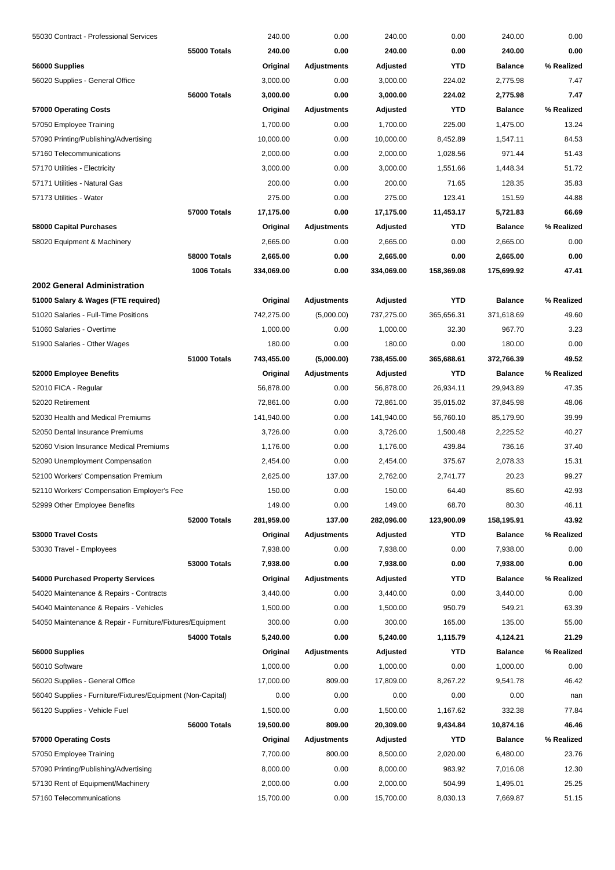| 55030 Contract - Professional Services                      |              | 240.00     | 0.00               | 240.00     | 0.00       | 240.00         | 0.00       |
|-------------------------------------------------------------|--------------|------------|--------------------|------------|------------|----------------|------------|
|                                                             | 55000 Totals | 240.00     | 0.00               | 240.00     | 0.00       | 240.00         | 0.00       |
| 56000 Supplies                                              |              | Original   | <b>Adjustments</b> | Adjusted   | <b>YTD</b> | <b>Balance</b> | % Realized |
| 56020 Supplies - General Office                             |              | 3,000.00   | 0.00               | 3,000.00   | 224.02     | 2,775.98       | 7.47       |
|                                                             | 56000 Totals | 3,000.00   | 0.00               | 3,000.00   | 224.02     | 2,775.98       | 7.47       |
| 57000 Operating Costs                                       |              | Original   | Adjustments        | Adjusted   | <b>YTD</b> | <b>Balance</b> | % Realized |
| 57050 Employee Training                                     |              | 1,700.00   | 0.00               | 1,700.00   | 225.00     | 1,475.00       | 13.24      |
| 57090 Printing/Publishing/Advertising                       |              | 10,000.00  | 0.00               | 10,000.00  | 8,452.89   | 1,547.11       | 84.53      |
| 57160 Telecommunications                                    |              | 2,000.00   | 0.00               | 2,000.00   | 1,028.56   | 971.44         | 51.43      |
| 57170 Utilities - Electricity                               |              | 3,000.00   | 0.00               | 3,000.00   | 1,551.66   | 1,448.34       | 51.72      |
| 57171 Utilities - Natural Gas                               |              | 200.00     | 0.00               | 200.00     | 71.65      | 128.35         | 35.83      |
| 57173 Utilities - Water                                     |              | 275.00     | 0.00               | 275.00     | 123.41     | 151.59         | 44.88      |
|                                                             | 57000 Totals | 17,175.00  | 0.00               | 17,175.00  | 11,453.17  | 5,721.83       | 66.69      |
| 58000 Capital Purchases                                     |              | Original   | Adjustments        | Adjusted   | <b>YTD</b> | <b>Balance</b> | % Realized |
| 58020 Equipment & Machinery                                 |              | 2,665.00   | 0.00               | 2,665.00   | 0.00       | 2,665.00       | 0.00       |
|                                                             | 58000 Totals | 2,665.00   | 0.00               | 2,665.00   | 0.00       | 2,665.00       | 0.00       |
|                                                             | 1006 Totals  | 334,069.00 | 0.00               | 334,069.00 | 158,369.08 | 175,699.92     | 47.41      |
| 2002 General Administration                                 |              |            |                    |            |            |                |            |
| 51000 Salary & Wages (FTE required)                         |              | Original   | <b>Adjustments</b> | Adjusted   | <b>YTD</b> | <b>Balance</b> | % Realized |
| 51020 Salaries - Full-Time Positions                        |              | 742,275.00 | (5,000.00)         | 737,275.00 | 365,656.31 | 371,618.69     | 49.60      |
| 51060 Salaries - Overtime                                   |              | 1,000.00   | 0.00               | 1,000.00   | 32.30      | 967.70         | 3.23       |
| 51900 Salaries - Other Wages                                |              | 180.00     | 0.00               | 180.00     | 0.00       | 180.00         | 0.00       |
|                                                             | 51000 Totals | 743,455.00 | (5,000.00)         | 738,455.00 | 365,688.61 | 372,766.39     | 49.52      |
|                                                             |              |            |                    |            | <b>YTD</b> | <b>Balance</b> | % Realized |
| 52000 Employee Benefits                                     |              | Original   | <b>Adjustments</b> | Adjusted   |            |                |            |
| 52010 FICA - Regular                                        |              | 56,878.00  | 0.00               | 56,878.00  | 26,934.11  | 29,943.89      | 47.35      |
| 52020 Retirement                                            |              | 72,861.00  | 0.00               | 72,861.00  | 35,015.02  | 37,845.98      | 48.06      |
| 52030 Health and Medical Premiums                           |              | 141,940.00 | 0.00               | 141,940.00 | 56,760.10  | 85,179.90      | 39.99      |
| 52050 Dental Insurance Premiums                             |              | 3,726.00   | 0.00               | 3,726.00   | 1,500.48   | 2,225.52       | 40.27      |
| 52060 Vision Insurance Medical Premiums                     |              | 1,176.00   | 0.00               | 1,176.00   | 439.84     | 736.16         | 37.40      |
| 52090 Unemployment Compensation                             |              | 2,454.00   | 0.00               | 2,454.00   | 375.67     | 2,078.33       | 15.31      |
| 52100 Workers' Compensation Premium                         |              | 2,625.00   | 137.00             | 2,762.00   | 2,741.77   | 20.23          | 99.27      |
| 52110 Workers' Compensation Employer's Fee                  |              | 150.00     | 0.00               | 150.00     | 64.40      | 85.60          | 42.93      |
| 52999 Other Employee Benefits                               |              | 149.00     | 0.00               | 149.00     | 68.70      | 80.30          | 46.11      |
|                                                             | 52000 Totals | 281,959.00 | 137.00             | 282,096.00 | 123,900.09 | 158,195.91     | 43.92      |
| 53000 Travel Costs                                          |              | Original   | <b>Adjustments</b> | Adjusted   | YTD        | <b>Balance</b> | % Realized |
| 53030 Travel - Employees                                    |              | 7,938.00   | 0.00               | 7,938.00   | 0.00       | 7,938.00       | 0.00       |
|                                                             | 53000 Totals | 7,938.00   | 0.00               | 7,938.00   | 0.00       | 7,938.00       | 0.00       |
| 54000 Purchased Property Services                           |              | Original   | <b>Adjustments</b> | Adjusted   | <b>YTD</b> | <b>Balance</b> | % Realized |
| 54020 Maintenance & Repairs - Contracts                     |              | 3,440.00   | 0.00               | 3,440.00   | 0.00       | 3,440.00       | 0.00       |
| 54040 Maintenance & Repairs - Vehicles                      |              | 1,500.00   | 0.00               | 1,500.00   | 950.79     | 549.21         | 63.39      |
| 54050 Maintenance & Repair - Furniture/Fixtures/Equipment   |              | 300.00     | 0.00               | 300.00     | 165.00     | 135.00         | 55.00      |
|                                                             | 54000 Totals | 5,240.00   | 0.00               | 5,240.00   | 1,115.79   | 4,124.21       | 21.29      |
| 56000 Supplies                                              |              | Original   | <b>Adjustments</b> | Adjusted   | <b>YTD</b> | <b>Balance</b> | % Realized |
| 56010 Software                                              |              | 1,000.00   | 0.00               | 1,000.00   | 0.00       | 1,000.00       | 0.00       |
| 56020 Supplies - General Office                             |              | 17,000.00  | 809.00             | 17,809.00  | 8,267.22   | 9,541.78       | 46.42      |
| 56040 Supplies - Furniture/Fixtures/Equipment (Non-Capital) |              | 0.00       | 0.00               | 0.00       | 0.00       | 0.00           | nan        |
| 56120 Supplies - Vehicle Fuel                               |              | 1,500.00   | 0.00               | 1,500.00   | 1,167.62   | 332.38         | 77.84      |
|                                                             | 56000 Totals | 19,500.00  | 809.00             | 20,309.00  | 9,434.84   | 10,874.16      | 46.46      |
| 57000 Operating Costs                                       |              | Original   | Adjustments        | Adjusted   | <b>YTD</b> | <b>Balance</b> | % Realized |
| 57050 Employee Training                                     |              | 7,700.00   | 800.00             | 8,500.00   | 2,020.00   | 6,480.00       | 23.76      |
| 57090 Printing/Publishing/Advertising                       |              | 8,000.00   | 0.00               | 8,000.00   | 983.92     | 7,016.08       | 12.30      |
| 57130 Rent of Equipment/Machinery                           |              | 2,000.00   | 0.00               | 2,000.00   | 504.99     | 1,495.01       | 25.25      |
| 57160 Telecommunications                                    |              | 15,700.00  | 0.00               | 15,700.00  | 8,030.13   | 7,669.87       | 51.15      |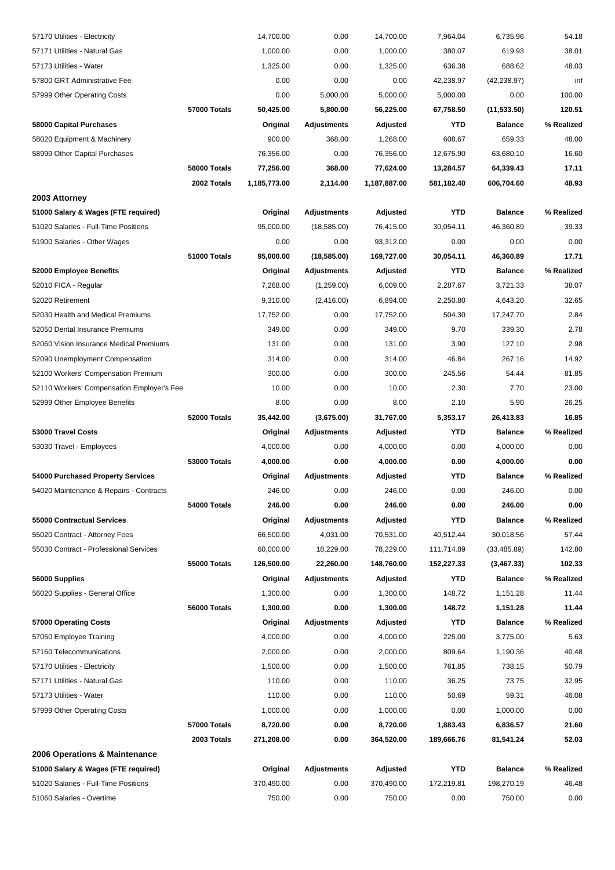| 57170 Utilities - Electricity              |                     | 14,700.00    | 0.00               | 14,700.00    | 7,964.04   | 6,735.96       | 54.18      |
|--------------------------------------------|---------------------|--------------|--------------------|--------------|------------|----------------|------------|
| 57171 Utilities - Natural Gas              |                     | 1,000.00     | 0.00               | 1,000.00     | 380.07     | 619.93         | 38.01      |
| 57173 Utilities - Water                    |                     | 1,325.00     | 0.00               | 1,325.00     | 636.38     | 688.62         | 48.03      |
| 57800 GRT Administrative Fee               |                     | 0.00         | 0.00               | 0.00         | 42,238.97  | (42, 238.97)   | inf        |
| 57999 Other Operating Costs                |                     | 0.00         | 5,000.00           | 5,000.00     | 5,000.00   | 0.00           | 100.00     |
|                                            | 57000 Totals        | 50,425.00    | 5,800.00           | 56,225.00    | 67,758.50  | (11, 533.50)   | 120.51     |
| 58000 Capital Purchases                    |                     | Original     | <b>Adjustments</b> | Adjusted     | <b>YTD</b> | <b>Balance</b> | % Realized |
| 58020 Equipment & Machinery                |                     | 900.00       | 368.00             | 1.268.00     | 608.67     | 659.33         | 48.00      |
| 58999 Other Capital Purchases              |                     | 76,356.00    | 0.00               | 76,356.00    | 12,675.90  | 63,680.10      | 16.60      |
|                                            | 58000 Totals        | 77,256.00    | 368.00             | 77,624.00    | 13,284.57  | 64,339.43      | 17.11      |
|                                            | 2002 Totals         | 1,185,773.00 | 2,114.00           | 1,187,887.00 | 581,182.40 | 606,704.60     | 48.93      |
| 2003 Attorney                              |                     |              |                    |              |            |                |            |
| 51000 Salary & Wages (FTE required)        |                     | Original     | <b>Adjustments</b> | Adjusted     | <b>YTD</b> | <b>Balance</b> | % Realized |
| 51020 Salaries - Full-Time Positions       |                     | 95,000.00    | (18,585.00)        | 76,415.00    | 30,054.11  | 46,360.89      | 39.33      |
| 51900 Salaries - Other Wages               |                     | 0.00         | 0.00               | 93,312.00    | 0.00       | 0.00           | 0.00       |
|                                            | 51000 Totals        | 95,000.00    | (18, 585.00)       | 169,727.00   | 30,054.11  | 46,360.89      | 17.71      |
| 52000 Employee Benefits                    |                     | Original     | <b>Adjustments</b> | Adjusted     | <b>YTD</b> | <b>Balance</b> | % Realized |
| 52010 FICA - Regular                       |                     | 7,268.00     | (1,259.00)         | 6,009.00     | 2,287.67   | 3,721.33       | 38.07      |
| 52020 Retirement                           |                     | 9,310.00     | (2,416.00)         | 6,894.00     | 2,250.80   | 4,643.20       | 32.65      |
| 52030 Health and Medical Premiums          |                     | 17,752.00    | 0.00               | 17,752.00    | 504.30     | 17,247.70      | 2.84       |
| 52050 Dental Insurance Premiums            |                     | 349.00       | 0.00               | 349.00       | 9.70       | 339.30         | 2.78       |
| 52060 Vision Insurance Medical Premiums    |                     | 131.00       | 0.00               | 131.00       | 3.90       | 127.10         | 2.98       |
| 52090 Unemployment Compensation            |                     | 314.00       | 0.00               | 314.00       | 46.84      | 267.16         | 14.92      |
| 52100 Workers' Compensation Premium        |                     | 300.00       | 0.00               | 300.00       | 245.56     | 54.44          | 81.85      |
| 52110 Workers' Compensation Employer's Fee |                     | 10.00        | 0.00               | 10.00        | 2.30       | 7.70           | 23.00      |
| 52999 Other Employee Benefits              |                     | 8.00         | 0.00               | 8.00         | 2.10       | 5.90           | 26.25      |
|                                            | 52000 Totals        | 35,442.00    | (3,675.00)         | 31,767.00    | 5,353.17   | 26,413.83      | 16.85      |
| 53000 Travel Costs                         |                     | Original     | <b>Adjustments</b> | Adjusted     | <b>YTD</b> | <b>Balance</b> | % Realized |
| 53030 Travel - Employees                   |                     | 4,000.00     | 0.00               | 4,000.00     | 0.00       | 4,000.00       | 0.00       |
|                                            | <b>53000 Totals</b> | 4,000.00     | 0.00               | 4,000.00     | 0.00       | 4,000.00       | 0.00       |
| 54000 Purchased Property Services          |                     | Original     | <b>Adjustments</b> | Adjusted     | YTD        | <b>Balance</b> | % Realized |
| 54020 Maintenance & Repairs - Contracts    |                     | 246.00       | 0.00               | 246.00       | 0.00       | 246.00         | 0.00       |
|                                            | 54000 Totals        | 246.00       | 0.00               | 246.00       | 0.00       | 246.00         | 0.00       |
| 55000 Contractual Services                 |                     | Original     | <b>Adjustments</b> | Adjusted     | <b>YTD</b> | <b>Balance</b> | % Realized |
| 55020 Contract - Attorney Fees             |                     | 66,500.00    | 4,031.00           | 70,531.00    | 40,512.44  | 30,018.56      | 57.44      |
| 55030 Contract - Professional Services     |                     | 60,000.00    | 18,229.00          | 78,229.00    | 111,714.89 | (33, 485.89)   | 142.80     |
|                                            | 55000 Totals        | 126,500.00   | 22,260.00          | 148,760.00   | 152,227.33 | (3,467.33)     | 102.33     |
| 56000 Supplies                             |                     | Original     | <b>Adjustments</b> | Adjusted     | <b>YTD</b> | <b>Balance</b> | % Realized |
| 56020 Supplies - General Office            |                     | 1,300.00     | 0.00               | 1,300.00     | 148.72     | 1,151.28       | 11.44      |
|                                            | 56000 Totals        | 1,300.00     | 0.00               | 1,300.00     | 148.72     | 1,151.28       | 11.44      |
| 57000 Operating Costs                      |                     | Original     | <b>Adjustments</b> | Adjusted     | YTD        | <b>Balance</b> | % Realized |
| 57050 Employee Training                    |                     | 4,000.00     | 0.00               | 4,000.00     | 225.00     | 3,775.00       | 5.63       |
| 57160 Telecommunications                   |                     | 2,000.00     | 0.00               | 2,000.00     | 809.64     | 1,190.36       | 40.48      |
| 57170 Utilities - Electricity              |                     | 1,500.00     | 0.00               | 1,500.00     | 761.85     | 738.15         | 50.79      |
| 57171 Utilities - Natural Gas              |                     | 110.00       | 0.00               | 110.00       | 36.25      | 73.75          | 32.95      |
| 57173 Utilities - Water                    |                     | 110.00       | 0.00               | 110.00       | 50.69      | 59.31          | 46.08      |
| 57999 Other Operating Costs                |                     | 1,000.00     | 0.00               | 1,000.00     | 0.00       | 1,000.00       | 0.00       |
|                                            | 57000 Totals        | 8,720.00     | 0.00               | 8,720.00     | 1,883.43   | 6,836.57       | 21.60      |
|                                            | 2003 Totals         | 271,208.00   | 0.00               | 364,520.00   | 189,666.76 | 81,541.24      | 52.03      |
| 2006 Operations & Maintenance              |                     |              |                    |              |            |                |            |
| 51000 Salary & Wages (FTE required)        |                     | Original     | <b>Adjustments</b> | Adjusted     | <b>YTD</b> | <b>Balance</b> | % Realized |
| 51020 Salaries - Full-Time Positions       |                     | 370,490.00   | 0.00               | 370,490.00   | 172,219.81 | 198,270.19     | 46.48      |
| 51060 Salaries - Overtime                  |                     | 750.00       | 0.00               | 750.00       | 0.00       | 750.00         | 0.00       |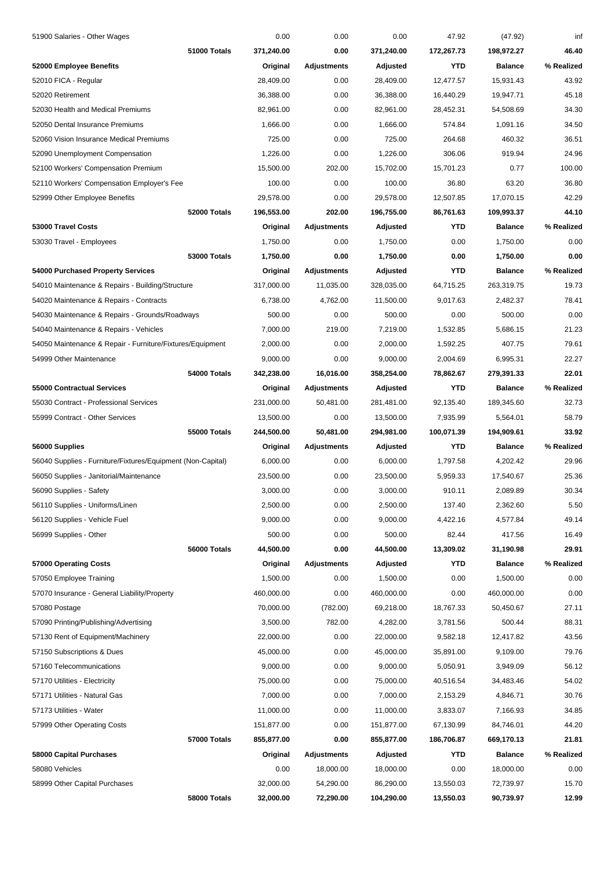| 51900 Salaries - Other Wages                                |                     | 0.00       | 0.00               | 0.00       | 47.92      | (47.92)        | inf        |
|-------------------------------------------------------------|---------------------|------------|--------------------|------------|------------|----------------|------------|
|                                                             | 51000 Totals        | 371,240.00 | 0.00               | 371,240.00 | 172,267.73 | 198,972.27     | 46.40      |
| 52000 Employee Benefits                                     |                     | Original   | <b>Adjustments</b> | Adjusted   | YTD        | <b>Balance</b> | % Realized |
| 52010 FICA - Regular                                        |                     | 28,409.00  | 0.00               | 28,409.00  | 12,477.57  | 15,931.43      | 43.92      |
| 52020 Retirement                                            |                     | 36,388.00  | 0.00               | 36,388.00  | 16,440.29  | 19,947.71      | 45.18      |
| 52030 Health and Medical Premiums                           |                     | 82,961.00  | 0.00               | 82,961.00  | 28,452.31  | 54,508.69      | 34.30      |
| 52050 Dental Insurance Premiums                             |                     | 1,666.00   | 0.00               | 1,666.00   | 574.84     | 1,091.16       | 34.50      |
| 52060 Vision Insurance Medical Premiums                     |                     | 725.00     | 0.00               | 725.00     | 264.68     | 460.32         | 36.51      |
| 52090 Unemployment Compensation                             |                     | 1,226.00   | 0.00               | 1,226.00   | 306.06     | 919.94         | 24.96      |
| 52100 Workers' Compensation Premium                         |                     | 15,500.00  | 202.00             | 15,702.00  | 15,701.23  | 0.77           | 100.00     |
| 52110 Workers' Compensation Employer's Fee                  |                     | 100.00     | 0.00               | 100.00     | 36.80      | 63.20          | 36.80      |
| 52999 Other Employee Benefits                               |                     | 29,578.00  | 0.00               | 29,578.00  | 12,507.85  | 17,070.15      | 42.29      |
|                                                             | 52000 Totals        | 196,553.00 | 202.00             | 196,755.00 | 86,761.63  | 109,993.37     | 44.10      |
| 53000 Travel Costs                                          |                     | Original   | Adjustments        | Adjusted   | YTD        | <b>Balance</b> | % Realized |
| 53030 Travel - Employees                                    |                     | 1,750.00   | 0.00               | 1,750.00   | 0.00       | 1,750.00       | 0.00       |
|                                                             | 53000 Totals        | 1,750.00   | 0.00               | 1,750.00   | 0.00       | 1,750.00       | 0.00       |
| 54000 Purchased Property Services                           |                     | Original   | <b>Adjustments</b> | Adjusted   | YTD        | <b>Balance</b> | % Realized |
| 54010 Maintenance & Repairs - Building/Structure            |                     | 317,000.00 | 11,035.00          | 328,035.00 | 64,715.25  | 263,319.75     | 19.73      |
| 54020 Maintenance & Repairs - Contracts                     |                     | 6,738.00   | 4,762.00           | 11,500.00  | 9,017.63   | 2,482.37       | 78.41      |
| 54030 Maintenance & Repairs - Grounds/Roadways              |                     | 500.00     | 0.00               | 500.00     | 0.00       | 500.00         | 0.00       |
| 54040 Maintenance & Repairs - Vehicles                      |                     | 7,000.00   | 219.00             | 7,219.00   | 1,532.85   | 5,686.15       | 21.23      |
| 54050 Maintenance & Repair - Furniture/Fixtures/Equipment   |                     | 2,000.00   | 0.00               | 2,000.00   | 1,592.25   | 407.75         | 79.61      |
| 54999 Other Maintenance                                     |                     | 9,000.00   | 0.00               | 9,000.00   | 2,004.69   | 6,995.31       | 22.27      |
|                                                             | 54000 Totals        | 342,238.00 | 16,016.00          | 358,254.00 | 78,862.67  | 279,391.33     | 22.01      |
| <b>55000 Contractual Services</b>                           |                     | Original   | Adjustments        | Adjusted   | YTD        | <b>Balance</b> | % Realized |
| 55030 Contract - Professional Services                      |                     | 231,000.00 | 50,481.00          | 281,481.00 | 92,135.40  | 189,345.60     | 32.73      |
| 55999 Contract - Other Services                             |                     | 13,500.00  | 0.00               | 13,500.00  | 7,935.99   | 5,564.01       | 58.79      |
|                                                             | <b>55000 Totals</b> | 244,500.00 | 50,481.00          | 294,981.00 | 100,071.39 | 194,909.61     | 33.92      |
| 56000 Supplies                                              |                     | Original   | Adjustments        | Adjusted   | YTD        | <b>Balance</b> | % Realized |
| 56040 Supplies - Furniture/Fixtures/Equipment (Non-Capital) |                     | 6,000.00   | 0.00               | 6,000.00   | 1,797.58   | 4,202.42       | 29.96      |
| 56050 Supplies - Janitorial/Maintenance                     |                     | 23,500.00  | 0.00               | 23,500.00  | 5,959.33   | 17,540.67      | 25.36      |
| 56090 Supplies - Safety                                     |                     | 3,000.00   | 0.00               | 3,000.00   | 910.11     | 2,089.89       | 30.34      |
| 56110 Supplies - Uniforms/Linen                             |                     | 2,500.00   | 0.00               | 2,500.00   | 137.40     | 2,362.60       | 5.50       |
| 56120 Supplies - Vehicle Fuel                               |                     | 9,000.00   | 0.00               | 9,000.00   | 4,422.16   | 4,577.84       | 49.14      |
| 56999 Supplies - Other                                      |                     | 500.00     | 0.00               | 500.00     | 82.44      | 417.56         | 16.49      |
|                                                             | 56000 Totals        | 44,500.00  | 0.00               | 44,500.00  | 13,309.02  | 31,190.98      | 29.91      |
| 57000 Operating Costs                                       |                     | Original   | <b>Adjustments</b> | Adjusted   | YTD        | <b>Balance</b> | % Realized |
| 57050 Employee Training                                     |                     | 1,500.00   | 0.00               | 1,500.00   | 0.00       | 1,500.00       | 0.00       |
| 57070 Insurance - General Liability/Property                |                     | 460,000.00 | 0.00               | 460,000.00 | 0.00       | 460,000.00     | 0.00       |
| 57080 Postage                                               |                     | 70,000.00  | (782.00)           | 69,218.00  | 18,767.33  | 50,450.67      | 27.11      |
| 57090 Printing/Publishing/Advertising                       |                     | 3,500.00   | 782.00             | 4,282.00   | 3,781.56   | 500.44         | 88.31      |
| 57130 Rent of Equipment/Machinery                           |                     | 22,000.00  | 0.00               | 22,000.00  | 9,582.18   | 12,417.82      | 43.56      |
| 57150 Subscriptions & Dues                                  |                     | 45,000.00  | 0.00               | 45,000.00  | 35,891.00  | 9,109.00       | 79.76      |
| 57160 Telecommunications                                    |                     |            |                    |            |            |                | 56.12      |
|                                                             |                     | 9,000.00   | 0.00               | 9,000.00   | 5,050.91   | 3,949.09       |            |
| 57170 Utilities - Electricity                               |                     | 75,000.00  | 0.00               | 75,000.00  | 40,516.54  | 34,483.46      | 54.02      |
| 57171 Utilities - Natural Gas                               |                     | 7,000.00   | 0.00               | 7,000.00   | 2,153.29   | 4,846.71       | 30.76      |
| 57173 Utilities - Water                                     |                     | 11,000.00  | 0.00               | 11,000.00  | 3,833.07   | 7,166.93       | 34.85      |
| 57999 Other Operating Costs                                 |                     | 151,877.00 | 0.00               | 151,877.00 | 67,130.99  | 84,746.01      | 44.20      |
|                                                             | 57000 Totals        | 855,877.00 | 0.00               | 855,877.00 | 186,706.87 | 669,170.13     | 21.81      |
| 58000 Capital Purchases                                     |                     | Original   | Adjustments        | Adjusted   | YTD        | <b>Balance</b> | % Realized |
| 58080 Vehicles                                              |                     | 0.00       | 18,000.00          | 18,000.00  | 0.00       | 18,000.00      | 0.00       |
| 58999 Other Capital Purchases                               |                     | 32,000.00  | 54,290.00          | 86,290.00  | 13,550.03  | 72,739.97      | 15.70      |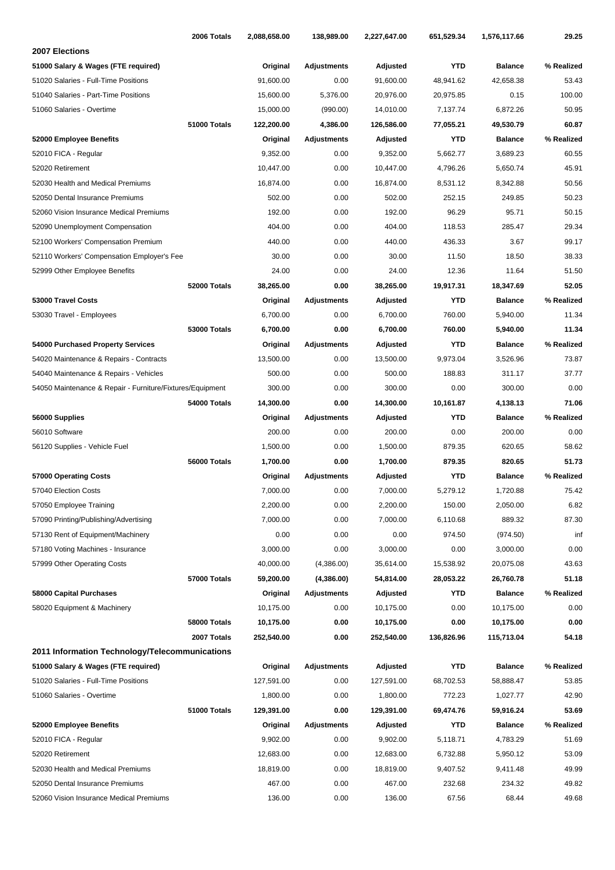|                                                           | 2006 Totals         | 2,088,658.00 | 138,989.00         | 2,227,647.00 | 651,529.34 | 1,576,117.66   | 29.25      |
|-----------------------------------------------------------|---------------------|--------------|--------------------|--------------|------------|----------------|------------|
| 2007 Elections                                            |                     |              |                    |              |            |                |            |
| 51000 Salary & Wages (FTE required)                       |                     | Original     | <b>Adjustments</b> | Adjusted     | <b>YTD</b> | <b>Balance</b> | % Realized |
| 51020 Salaries - Full-Time Positions                      |                     | 91,600.00    | 0.00               | 91,600.00    | 48,941.62  | 42,658.38      | 53.43      |
| 51040 Salaries - Part-Time Positions                      |                     | 15,600.00    | 5,376.00           | 20,976.00    | 20,975.85  | 0.15           | 100.00     |
| 51060 Salaries - Overtime                                 |                     | 15,000.00    | (990.00)           | 14,010.00    | 7,137.74   | 6,872.26       | 50.95      |
|                                                           | 51000 Totals        | 122,200.00   | 4,386.00           | 126,586.00   | 77,055.21  | 49,530.79      | 60.87      |
| 52000 Employee Benefits                                   |                     | Original     | Adjustments        | Adjusted     | <b>YTD</b> | <b>Balance</b> | % Realized |
| 52010 FICA - Regular                                      |                     | 9,352.00     | 0.00               | 9,352.00     | 5,662.77   | 3,689.23       | 60.55      |
| 52020 Retirement                                          |                     | 10,447.00    | 0.00               | 10,447.00    | 4,796.26   | 5,650.74       | 45.91      |
| 52030 Health and Medical Premiums                         |                     | 16,874.00    | 0.00               | 16,874.00    | 8,531.12   | 8,342.88       | 50.56      |
| 52050 Dental Insurance Premiums                           |                     | 502.00       | 0.00               | 502.00       | 252.15     | 249.85         | 50.23      |
| 52060 Vision Insurance Medical Premiums                   |                     | 192.00       | 0.00               | 192.00       | 96.29      | 95.71          | 50.15      |
| 52090 Unemployment Compensation                           |                     | 404.00       | 0.00               | 404.00       | 118.53     | 285.47         | 29.34      |
| 52100 Workers' Compensation Premium                       |                     | 440.00       | 0.00               | 440.00       | 436.33     | 3.67           | 99.17      |
| 52110 Workers' Compensation Employer's Fee                |                     | 30.00        | 0.00               | 30.00        | 11.50      | 18.50          | 38.33      |
| 52999 Other Employee Benefits                             |                     | 24.00        | 0.00               | 24.00        | 12.36      | 11.64          | 51.50      |
|                                                           | 52000 Totals        | 38,265.00    | 0.00               | 38,265.00    | 19,917.31  | 18,347.69      | 52.05      |
| 53000 Travel Costs                                        |                     | Original     | Adjustments        | Adjusted     | <b>YTD</b> | <b>Balance</b> | % Realized |
| 53030 Travel - Employees                                  |                     | 6,700.00     | 0.00               | 6,700.00     | 760.00     | 5,940.00       | 11.34      |
|                                                           | <b>53000 Totals</b> | 6,700.00     | 0.00               | 6,700.00     | 760.00     | 5,940.00       | 11.34      |
| 54000 Purchased Property Services                         |                     | Original     | <b>Adjustments</b> | Adjusted     | <b>YTD</b> | <b>Balance</b> | % Realized |
| 54020 Maintenance & Repairs - Contracts                   |                     | 13,500.00    | 0.00               | 13,500.00    | 9,973.04   | 3,526.96       | 73.87      |
| 54040 Maintenance & Repairs - Vehicles                    |                     | 500.00       | 0.00               | 500.00       | 188.83     | 311.17         | 37.77      |
| 54050 Maintenance & Repair - Furniture/Fixtures/Equipment |                     | 300.00       | 0.00               | 300.00       | 0.00       | 300.00         | 0.00       |
|                                                           | 54000 Totals        | 14,300.00    | 0.00               | 14,300.00    | 10,161.87  | 4,138.13       | 71.06      |
| 56000 Supplies                                            |                     | Original     | Adjustments        | Adjusted     | <b>YTD</b> | <b>Balance</b> | % Realized |
| 56010 Software                                            |                     | 200.00       | 0.00               | 200.00       | 0.00       | 200.00         | 0.00       |
| 56120 Supplies - Vehicle Fuel                             |                     | 1,500.00     | 0.00               | 1,500.00     | 879.35     | 620.65         | 58.62      |
|                                                           | 56000 Totals        | 1,700.00     | 0.00               | 1,700.00     | 879.35     | 820.65         | 51.73      |
| 57000 Operating Costs                                     |                     | Original     | Adjustments        | Adjusted     | <b>YTD</b> | <b>Balance</b> | % Realized |
| 57040 Election Costs                                      |                     | 7,000.00     | 0.00               | 7,000.00     | 5,279.12   | 1,720.88       | 75.42      |
| 57050 Employee Training                                   |                     | 2,200.00     | 0.00               | 2,200.00     | 150.00     | 2,050.00       | 6.82       |
| 57090 Printing/Publishing/Advertising                     |                     | 7,000.00     | 0.00               | 7,000.00     | 6,110.68   | 889.32         | 87.30      |
| 57130 Rent of Equipment/Machinery                         |                     | 0.00         | 0.00               | 0.00         | 974.50     | (974.50)       | inf        |
| 57180 Voting Machines - Insurance                         |                     | 3,000.00     | 0.00               | 3,000.00     | 0.00       | 3,000.00       | 0.00       |
| 57999 Other Operating Costs                               |                     | 40,000.00    | (4,386.00)         | 35,614.00    | 15,538.92  | 20,075.08      | 43.63      |
|                                                           | 57000 Totals        | 59,200.00    | (4,386.00)         | 54,814.00    | 28,053.22  | 26,760.78      | 51.18      |
| 58000 Capital Purchases                                   |                     | Original     | Adjustments        | Adjusted     | YTD        | <b>Balance</b> | % Realized |
| 58020 Equipment & Machinery                               |                     | 10,175.00    | 0.00               | 10,175.00    | 0.00       | 10,175.00      | 0.00       |
|                                                           | 58000 Totals        | 10,175.00    | 0.00               | 10,175.00    | 0.00       | 10,175.00      | 0.00       |
|                                                           | 2007 Totals         | 252,540.00   | 0.00               | 252,540.00   | 136,826.96 | 115,713.04     | 54.18      |
| 2011 Information Technology/Telecommunications            |                     |              |                    |              |            |                |            |
| 51000 Salary & Wages (FTE required)                       |                     | Original     | Adjustments        | Adjusted     | YTD        | <b>Balance</b> | % Realized |
| 51020 Salaries - Full-Time Positions                      |                     | 127,591.00   | 0.00               | 127,591.00   | 68,702.53  | 58,888.47      | 53.85      |
| 51060 Salaries - Overtime                                 |                     | 1,800.00     | 0.00               | 1,800.00     | 772.23     | 1,027.77       | 42.90      |
|                                                           | 51000 Totals        | 129,391.00   | 0.00               | 129,391.00   | 69,474.76  | 59,916.24      | 53.69      |
| 52000 Employee Benefits                                   |                     | Original     | <b>Adjustments</b> | Adjusted     | YTD        | <b>Balance</b> | % Realized |
| 52010 FICA - Regular                                      |                     | 9,902.00     | 0.00               | 9,902.00     | 5,118.71   | 4,783.29       | 51.69      |
| 52020 Retirement                                          |                     | 12,683.00    | 0.00               | 12,683.00    | 6,732.88   | 5,950.12       | 53.09      |
| 52030 Health and Medical Premiums                         |                     | 18,819.00    | 0.00               | 18,819.00    | 9,407.52   | 9,411.48       | 49.99      |
| 52050 Dental Insurance Premiums                           |                     | 467.00       | 0.00               | 467.00       | 232.68     | 234.32         | 49.82      |
| 52060 Vision Insurance Medical Premiums                   |                     | 136.00       | 0.00               | 136.00       | 67.56      | 68.44          | 49.68      |
|                                                           |                     |              |                    |              |            |                |            |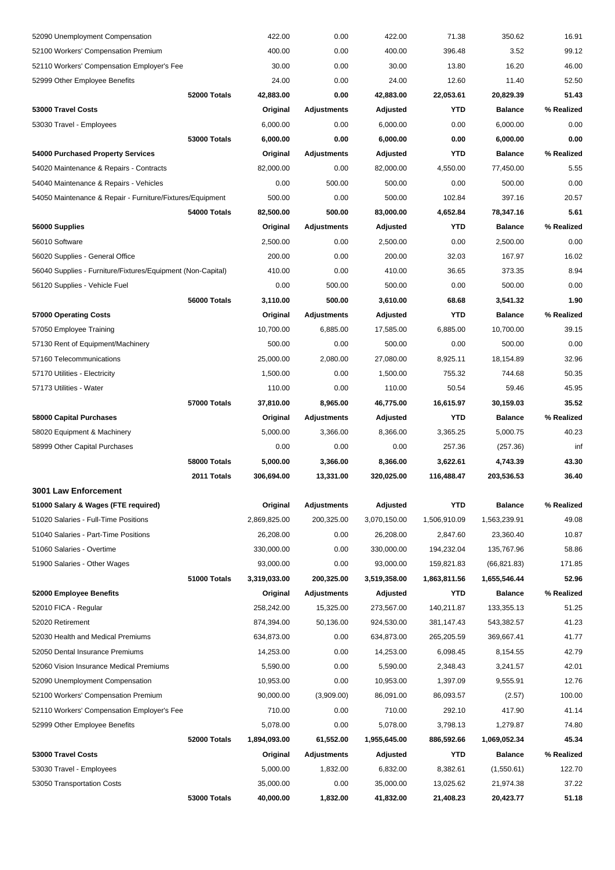| 52090 Unemployment Compensation                             |                     | 422.00       | 0.00               | 422.00       | 71.38        | 350.62         | 16.91      |
|-------------------------------------------------------------|---------------------|--------------|--------------------|--------------|--------------|----------------|------------|
| 52100 Workers' Compensation Premium                         |                     | 400.00       | 0.00               | 400.00       | 396.48       | 3.52           | 99.12      |
| 52110 Workers' Compensation Employer's Fee                  |                     | 30.00        | 0.00               | 30.00        | 13.80        | 16.20          | 46.00      |
| 52999 Other Employee Benefits                               |                     | 24.00        | 0.00               | 24.00        | 12.60        | 11.40          | 52.50      |
|                                                             | 52000 Totals        | 42,883.00    | 0.00               | 42,883.00    | 22,053.61    | 20,829.39      | 51.43      |
| 53000 Travel Costs                                          |                     | Original     | Adjustments        | Adjusted     | YTD          | <b>Balance</b> | % Realized |
| 53030 Travel - Employees                                    |                     | 6,000.00     | 0.00               | 6,000.00     | 0.00         | 6,000.00       | 0.00       |
|                                                             | <b>53000 Totals</b> | 6,000.00     | 0.00               | 6,000.00     | 0.00         | 6,000.00       | 0.00       |
| 54000 Purchased Property Services                           |                     | Original     | Adjustments        | Adjusted     | YTD          | <b>Balance</b> | % Realized |
| 54020 Maintenance & Repairs - Contracts                     |                     | 82,000.00    | 0.00               | 82,000.00    | 4,550.00     | 77,450.00      | 5.55       |
| 54040 Maintenance & Repairs - Vehicles                      |                     | 0.00         | 500.00             | 500.00       | 0.00         | 500.00         | 0.00       |
| 54050 Maintenance & Repair - Furniture/Fixtures/Equipment   |                     | 500.00       | 0.00               | 500.00       | 102.84       | 397.16         | 20.57      |
|                                                             | 54000 Totals        | 82,500.00    | 500.00             | 83,000.00    | 4,652.84     | 78,347.16      | 5.61       |
| 56000 Supplies                                              |                     | Original     | Adjustments        | Adjusted     | YTD          | <b>Balance</b> | % Realized |
| 56010 Software                                              |                     | 2,500.00     | 0.00               | 2,500.00     | 0.00         | 2,500.00       | 0.00       |
| 56020 Supplies - General Office                             |                     | 200.00       | 0.00               | 200.00       | 32.03        | 167.97         | 16.02      |
| 56040 Supplies - Furniture/Fixtures/Equipment (Non-Capital) |                     | 410.00       | 0.00               | 410.00       | 36.65        | 373.35         | 8.94       |
| 56120 Supplies - Vehicle Fuel                               |                     | 0.00         | 500.00             | 500.00       | 0.00         | 500.00         | 0.00       |
|                                                             | 56000 Totals        | 3,110.00     | 500.00             | 3,610.00     | 68.68        | 3,541.32       | 1.90       |
| 57000 Operating Costs                                       |                     | Original     | Adjustments        | Adjusted     | YTD          | <b>Balance</b> | % Realized |
| 57050 Employee Training                                     |                     | 10,700.00    | 6,885.00           | 17,585.00    | 6,885.00     | 10,700.00      | 39.15      |
| 57130 Rent of Equipment/Machinery                           |                     | 500.00       | 0.00               | 500.00       | 0.00         | 500.00         | 0.00       |
| 57160 Telecommunications                                    |                     | 25,000.00    | 2,080.00           | 27,080.00    | 8,925.11     | 18,154.89      | 32.96      |
| 57170 Utilities - Electricity                               |                     | 1,500.00     | 0.00               | 1,500.00     | 755.32       | 744.68         | 50.35      |
| 57173 Utilities - Water                                     |                     | 110.00       | 0.00               | 110.00       | 50.54        | 59.46          | 45.95      |
|                                                             | <b>57000 Totals</b> | 37,810.00    | 8,965.00           | 46,775.00    | 16,615.97    | 30,159.03      | 35.52      |
| 58000 Capital Purchases                                     |                     | Original     | Adjustments        | Adjusted     | YTD          | <b>Balance</b> | % Realized |
| 58020 Equipment & Machinery                                 |                     | 5,000.00     | 3,366.00           | 8,366.00     | 3,365.25     | 5,000.75       | 40.23      |
| 58999 Other Capital Purchases                               |                     | 0.00         | 0.00               | 0.00         | 257.36       | (257.36)       | inf        |
|                                                             | 58000 Totals        | 5,000.00     | 3,366.00           | 8,366.00     | 3,622.61     | 4,743.39       | 43.30      |
|                                                             | 2011 Totals         | 306,694.00   | 13,331.00          | 320,025.00   | 116,488.47   | 203,536.53     | 36.40      |
| 3001 Law Enforcement                                        |                     |              |                    |              |              |                |            |
| 51000 Salary & Wages (FTE required)                         |                     | Original     | <b>Adjustments</b> | Adjusted     | <b>YTD</b>   | <b>Balance</b> | % Realized |
| 51020 Salaries - Full-Time Positions                        |                     | 2,869,825.00 | 200,325.00         | 3,070,150.00 | 1,506,910.09 | 1,563,239.91   | 49.08      |
| 51040 Salaries - Part-Time Positions                        |                     | 26,208.00    | 0.00               | 26,208.00    | 2,847.60     | 23,360.40      | 10.87      |
| 51060 Salaries - Overtime                                   |                     | 330,000.00   | 0.00               | 330,000.00   | 194,232.04   | 135,767.96     | 58.86      |
| 51900 Salaries - Other Wages                                |                     | 93,000.00    | 0.00               | 93,000.00    | 159,821.83   | (66, 821.83)   | 171.85     |
|                                                             | 51000 Totals        | 3,319,033.00 | 200,325.00         | 3,519,358.00 | 1,863,811.56 | 1,655,546.44   | 52.96      |
| 52000 Employee Benefits                                     |                     | Original     | <b>Adjustments</b> | Adjusted     | YTD          | <b>Balance</b> | % Realized |
| 52010 FICA - Regular                                        |                     | 258,242.00   | 15,325.00          | 273,567.00   | 140,211.87   | 133,355.13     | 51.25      |
| 52020 Retirement                                            |                     | 874,394.00   | 50,136.00          | 924,530.00   | 381,147.43   | 543,382.57     | 41.23      |
| 52030 Health and Medical Premiums                           |                     | 634,873.00   | 0.00               | 634,873.00   | 265,205.59   | 369,667.41     | 41.77      |
| 52050 Dental Insurance Premiums                             |                     | 14,253.00    | 0.00               | 14,253.00    | 6,098.45     | 8,154.55       | 42.79      |
| 52060 Vision Insurance Medical Premiums                     |                     | 5,590.00     | 0.00               | 5,590.00     | 2,348.43     | 3,241.57       | 42.01      |
| 52090 Unemployment Compensation                             |                     | 10,953.00    | 0.00               | 10,953.00    | 1,397.09     | 9,555.91       | 12.76      |
| 52100 Workers' Compensation Premium                         |                     | 90,000.00    | (3,909.00)         | 86,091.00    | 86,093.57    | (2.57)         | 100.00     |
| 52110 Workers' Compensation Employer's Fee                  |                     | 710.00       | 0.00               | 710.00       | 292.10       | 417.90         | 41.14      |
| 52999 Other Employee Benefits                               |                     | 5,078.00     | 0.00               | 5,078.00     | 3,798.13     | 1,279.87       | 74.80      |
|                                                             | 52000 Totals        | 1,894,093.00 | 61,552.00          | 1,955,645.00 | 886,592.66   | 1,069,052.34   | 45.34      |
| 53000 Travel Costs                                          |                     | Original     | <b>Adjustments</b> | Adjusted     | YTD          | <b>Balance</b> | % Realized |
| 53030 Travel - Employees                                    |                     | 5,000.00     | 1,832.00           | 6,832.00     | 8,382.61     | (1,550.61)     | 122.70     |
| 53050 Transportation Costs                                  |                     | 35,000.00    | 0.00               | 35,000.00    | 13,025.62    | 21,974.38      | 37.22      |
|                                                             | 53000 Totals        | 40,000.00    | 1,832.00           | 41,832.00    | 21,408.23    | 20,423.77      | 51.18      |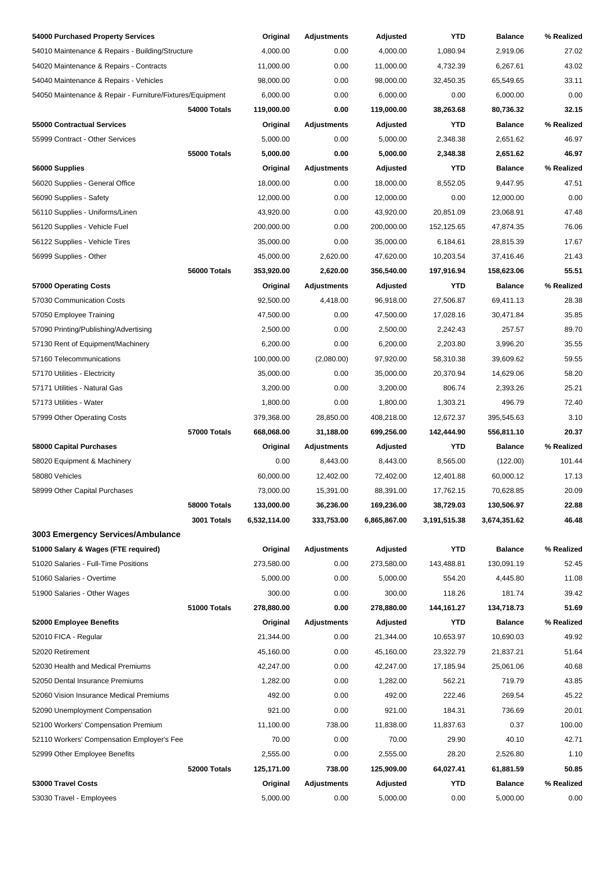| 54000 Purchased Property Services                         |                     | Original     | <b>Adjustments</b> | Adjusted     | YTD          | <b>Balance</b> | % Realized |
|-----------------------------------------------------------|---------------------|--------------|--------------------|--------------|--------------|----------------|------------|
| 54010 Maintenance & Repairs - Building/Structure          |                     | 4,000.00     | 0.00               | 4,000.00     | 1,080.94     | 2,919.06       | 27.02      |
| 54020 Maintenance & Repairs - Contracts                   |                     | 11,000.00    | 0.00               | 11,000.00    | 4,732.39     | 6,267.61       | 43.02      |
| 54040 Maintenance & Repairs - Vehicles                    |                     | 98,000.00    | 0.00               | 98,000.00    | 32,450.35    | 65,549.65      | 33.11      |
| 54050 Maintenance & Repair - Furniture/Fixtures/Equipment |                     | 6,000.00     | 0.00               | 6,000.00     | 0.00         | 6,000.00       | 0.00       |
|                                                           | 54000 Totals        | 119,000.00   | 0.00               | 119,000.00   | 38,263.68    | 80,736.32      | 32.15      |
| 55000 Contractual Services                                |                     | Original     | <b>Adjustments</b> | Adjusted     | YTD          | <b>Balance</b> | % Realized |
| 55999 Contract - Other Services                           |                     | 5,000.00     | 0.00               | 5,000.00     | 2,348.38     | 2,651.62       | 46.97      |
|                                                           | <b>55000 Totals</b> | 5,000.00     | 0.00               | 5,000.00     | 2,348.38     | 2,651.62       | 46.97      |
| 56000 Supplies                                            |                     | Original     | Adjustments        | Adjusted     | YTD          | <b>Balance</b> | % Realized |
| 56020 Supplies - General Office                           |                     | 18,000.00    | 0.00               | 18,000.00    | 8,552.05     | 9,447.95       | 47.51      |
| 56090 Supplies - Safety                                   |                     | 12,000.00    | 0.00               | 12,000.00    | 0.00         | 12,000.00      | 0.00       |
| 56110 Supplies - Uniforms/Linen                           |                     | 43,920.00    | 0.00               | 43,920.00    | 20,851.09    | 23,068.91      | 47.48      |
| 56120 Supplies - Vehicle Fuel                             |                     | 200,000.00   | 0.00               | 200,000.00   | 152,125.65   | 47,874.35      | 76.06      |
| 56122 Supplies - Vehicle Tires                            |                     | 35,000.00    | 0.00               | 35,000.00    | 6,184.61     | 28,815.39      | 17.67      |
| 56999 Supplies - Other                                    |                     | 45,000.00    | 2,620.00           | 47,620.00    | 10,203.54    | 37,416.46      | 21.43      |
|                                                           | 56000 Totals        | 353,920.00   | 2,620.00           | 356,540.00   | 197,916.94   | 158,623.06     | 55.51      |
| 57000 Operating Costs                                     |                     | Original     | Adjustments        | Adjusted     | YTD          | <b>Balance</b> | % Realized |
| 57030 Communication Costs                                 |                     | 92,500.00    | 4,418.00           | 96,918.00    | 27,506.87    | 69,411.13      | 28.38      |
| 57050 Employee Training                                   |                     | 47,500.00    | 0.00               | 47,500.00    | 17,028.16    | 30,471.84      | 35.85      |
| 57090 Printing/Publishing/Advertising                     |                     | 2,500.00     | 0.00               | 2,500.00     | 2,242.43     | 257.57         | 89.70      |
| 57130 Rent of Equipment/Machinery                         |                     | 6,200.00     | 0.00               | 6,200.00     | 2,203.80     | 3,996.20       | 35.55      |
| 57160 Telecommunications                                  |                     | 100,000.00   | (2,080.00)         | 97,920.00    | 58,310.38    | 39,609.62      | 59.55      |
| 57170 Utilities - Electricity                             |                     | 35,000.00    | 0.00               | 35,000.00    | 20,370.94    | 14,629.06      | 58.20      |
| 57171 Utilities - Natural Gas                             |                     | 3,200.00     | 0.00               | 3,200.00     | 806.74       | 2,393.26       | 25.21      |
| 57173 Utilities - Water                                   |                     | 1,800.00     | 0.00               | 1,800.00     | 1,303.21     | 496.79         | 72.40      |
| 57999 Other Operating Costs                               |                     | 379,368.00   | 28,850.00          | 408,218.00   | 12,672.37    | 395,545.63     | 3.10       |
|                                                           | <b>57000 Totals</b> | 668,068.00   | 31,188.00          | 699,256.00   | 142,444.90   | 556,811.10     | 20.37      |
| 58000 Capital Purchases                                   |                     | Original     | Adjustments        | Adjusted     | YTD          | <b>Balance</b> | % Realized |
| 58020 Equipment & Machinery                               |                     | 0.00         | 8,443.00           | 8,443.00     | 8,565.00     | (122.00)       | 101.44     |
| 58080 Vehicles                                            |                     | 60,000.00    | 12,402.00          | 72,402.00    | 12,401.88    | 60,000.12      | 17.13      |
| 58999 Other Capital Purchases                             |                     | 73,000.00    | 15,391.00          | 88,391.00    | 17,762.15    | 70,628.85      | 20.09      |
|                                                           | <b>58000 Totals</b> | 133,000.00   | 36,236.00          | 169,236.00   | 38,729.03    | 130,506.97     | 22.88      |
|                                                           | 3001 Totals         | 6,532,114.00 | 333,753.00         | 6,865,867.00 | 3,191,515.38 | 3,674,351.62   | 46.48      |
| 3003 Emergency Services/Ambulance                         |                     |              |                    |              |              |                |            |
| 51000 Salary & Wages (FTE required)                       |                     | Original     | <b>Adjustments</b> | Adjusted     | YTD          | <b>Balance</b> | % Realized |
| 51020 Salaries - Full-Time Positions                      |                     | 273,580.00   | 0.00               | 273,580.00   | 143,488.81   | 130,091.19     | 52.45      |
| 51060 Salaries - Overtime                                 |                     | 5,000.00     | 0.00               | 5,000.00     | 554.20       | 4,445.80       | 11.08      |
| 51900 Salaries - Other Wages                              |                     | 300.00       | 0.00               | 300.00       | 118.26       | 181.74         | 39.42      |
|                                                           | 51000 Totals        | 278,880.00   | 0.00               | 278,880.00   | 144,161.27   | 134,718.73     | 51.69      |
| 52000 Employee Benefits                                   |                     | Original     | <b>Adjustments</b> | Adjusted     | YTD          | <b>Balance</b> | % Realized |
| 52010 FICA - Regular                                      |                     | 21,344.00    | 0.00               | 21,344.00    | 10,653.97    | 10,690.03      | 49.92      |
| 52020 Retirement                                          |                     | 45,160.00    | 0.00               | 45,160.00    | 23,322.79    | 21,837.21      | 51.64      |
| 52030 Health and Medical Premiums                         |                     | 42,247.00    | 0.00               | 42,247.00    | 17,185.94    | 25,061.06      | 40.68      |
| 52050 Dental Insurance Premiums                           |                     | 1,282.00     | 0.00               | 1,282.00     | 562.21       | 719.79         | 43.85      |
| 52060 Vision Insurance Medical Premiums                   |                     | 492.00       | 0.00               | 492.00       | 222.46       | 269.54         | 45.22      |
| 52090 Unemployment Compensation                           |                     | 921.00       | 0.00               | 921.00       | 184.31       | 736.69         | 20.01      |
| 52100 Workers' Compensation Premium                       |                     | 11,100.00    | 738.00             | 11,838.00    | 11,837.63    | 0.37           | 100.00     |
| 52110 Workers' Compensation Employer's Fee                |                     | 70.00        | 0.00               | 70.00        | 29.90        | 40.10          | 42.71      |
| 52999 Other Employee Benefits                             |                     | 2,555.00     | 0.00               | 2,555.00     | 28.20        | 2,526.80       | 1.10       |
|                                                           | 52000 Totals        | 125,171.00   | 738.00             | 125,909.00   | 64,027.41    | 61,881.59      | 50.85      |
| 53000 Travel Costs                                        |                     | Original     | <b>Adjustments</b> | Adjusted     | <b>YTD</b>   | <b>Balance</b> | % Realized |
| 53030 Travel - Employees                                  |                     | 5,000.00     | 0.00               | 5,000.00     | 0.00         | 5,000.00       | 0.00       |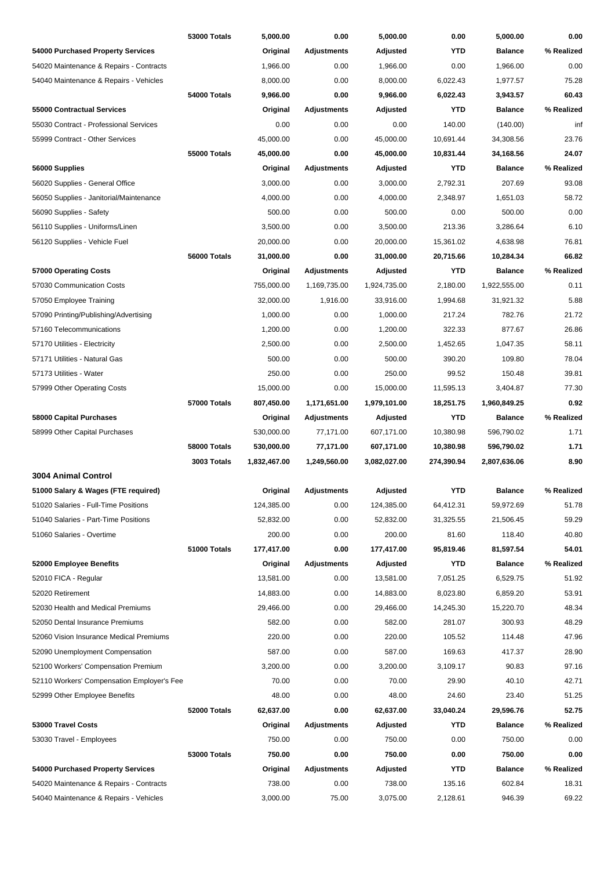|                                            | <b>53000 Totals</b> | 5,000.00     | 0.00               | 5,000.00     | 0.00       | 5,000.00       | 0.00       |
|--------------------------------------------|---------------------|--------------|--------------------|--------------|------------|----------------|------------|
| 54000 Purchased Property Services          |                     | Original     | <b>Adjustments</b> | Adjusted     | YTD        | <b>Balance</b> | % Realized |
| 54020 Maintenance & Repairs - Contracts    |                     | 1,966.00     | 0.00               | 1,966.00     | 0.00       | 1.966.00       | 0.00       |
| 54040 Maintenance & Repairs - Vehicles     |                     | 8,000.00     | 0.00               | 8,000.00     | 6,022.43   | 1,977.57       | 75.28      |
|                                            | 54000 Totals        | 9,966.00     | 0.00               | 9,966.00     | 6,022.43   | 3,943.57       | 60.43      |
| <b>55000 Contractual Services</b>          |                     | Original     | <b>Adjustments</b> | Adjusted     | YTD        | <b>Balance</b> | % Realized |
| 55030 Contract - Professional Services     |                     | 0.00         | 0.00               | 0.00         | 140.00     | (140.00)       | inf        |
| 55999 Contract - Other Services            |                     | 45,000.00    | 0.00               | 45,000.00    | 10,691.44  | 34,308.56      | 23.76      |
|                                            | <b>55000 Totals</b> | 45,000.00    | 0.00               | 45,000.00    | 10,831.44  | 34,168.56      | 24.07      |
| 56000 Supplies                             |                     | Original     | <b>Adjustments</b> | Adjusted     | YTD        | <b>Balance</b> | % Realized |
| 56020 Supplies - General Office            |                     | 3,000.00     | 0.00               | 3,000.00     | 2,792.31   | 207.69         | 93.08      |
| 56050 Supplies - Janitorial/Maintenance    |                     | 4,000.00     | 0.00               | 4,000.00     | 2,348.97   | 1,651.03       | 58.72      |
| 56090 Supplies - Safety                    |                     | 500.00       | 0.00               | 500.00       | 0.00       | 500.00         | 0.00       |
| 56110 Supplies - Uniforms/Linen            |                     | 3,500.00     | 0.00               | 3,500.00     | 213.36     | 3,286.64       | 6.10       |
| 56120 Supplies - Vehicle Fuel              |                     | 20,000.00    | 0.00               | 20,000.00    | 15,361.02  | 4,638.98       | 76.81      |
|                                            | 56000 Totals        | 31,000.00    | 0.00               | 31,000.00    | 20,715.66  | 10,284.34      | 66.82      |
| 57000 Operating Costs                      |                     | Original     | <b>Adjustments</b> | Adjusted     | YTD        | <b>Balance</b> | % Realized |
| 57030 Communication Costs                  |                     | 755,000.00   | 1,169,735.00       | 1,924,735.00 | 2,180.00   | 1,922,555.00   | 0.11       |
| 57050 Employee Training                    |                     | 32,000.00    | 1,916.00           | 33,916.00    | 1,994.68   | 31,921.32      | 5.88       |
| 57090 Printing/Publishing/Advertising      |                     | 1,000.00     | 0.00               | 1,000.00     | 217.24     | 782.76         | 21.72      |
| 57160 Telecommunications                   |                     | 1,200.00     | 0.00               | 1,200.00     | 322.33     | 877.67         | 26.86      |
| 57170 Utilities - Electricity              |                     | 2,500.00     | 0.00               | 2,500.00     | 1,452.65   | 1,047.35       | 58.11      |
| 57171 Utilities - Natural Gas              |                     | 500.00       | 0.00               | 500.00       | 390.20     | 109.80         | 78.04      |
| 57173 Utilities - Water                    |                     | 250.00       | 0.00               | 250.00       | 99.52      | 150.48         | 39.81      |
| 57999 Other Operating Costs                |                     | 15,000.00    | 0.00               | 15,000.00    | 11,595.13  | 3,404.87       | 77.30      |
|                                            | <b>57000 Totals</b> | 807,450.00   | 1,171,651.00       | 1,979,101.00 | 18,251.75  | 1,960,849.25   | 0.92       |
| 58000 Capital Purchases                    |                     | Original     | Adjustments        | Adjusted     | YTD        | <b>Balance</b> | % Realized |
| 58999 Other Capital Purchases              |                     | 530,000.00   | 77,171.00          | 607,171.00   | 10,380.98  | 596,790.02     | 1.71       |
|                                            | <b>58000 Totals</b> | 530,000.00   | 77,171.00          | 607,171.00   | 10,380.98  | 596,790.02     | 1.71       |
|                                            | 3003 Totals         | 1,832,467.00 | 1,249,560.00       | 3,082,027.00 | 274,390.94 | 2,807,636.06   | 8.90       |
| 3004 Animal Control                        |                     |              |                    |              |            |                |            |
| 51000 Salary & Wages (FTE required)        |                     | Original     | Adjustments        | Adjusted     | <b>YTD</b> | <b>Balance</b> | % Realized |
| 51020 Salaries - Full-Time Positions       |                     | 124,385.00   | 0.00               | 124,385.00   | 64,412.31  | 59,972.69      | 51.78      |
| 51040 Salaries - Part-Time Positions       |                     | 52,832.00    | 0.00               | 52,832.00    | 31,325.55  | 21,506.45      | 59.29      |
| 51060 Salaries - Overtime                  |                     | 200.00       | 0.00               | 200.00       | 81.60      | 118.40         | 40.80      |
|                                            | 51000 Totals        | 177,417.00   | 0.00               | 177,417.00   | 95,819.46  | 81,597.54      | 54.01      |
| 52000 Employee Benefits                    |                     | Original     | <b>Adjustments</b> | Adjusted     | YTD        | <b>Balance</b> | % Realized |
| 52010 FICA - Regular                       |                     | 13,581.00    | 0.00               | 13,581.00    | 7,051.25   | 6,529.75       | 51.92      |
| 52020 Retirement                           |                     | 14,883.00    | 0.00               | 14,883.00    | 8,023.80   | 6,859.20       | 53.91      |
| 52030 Health and Medical Premiums          |                     | 29,466.00    | 0.00               | 29,466.00    | 14,245.30  | 15,220.70      | 48.34      |
| 52050 Dental Insurance Premiums            |                     | 582.00       | 0.00               | 582.00       | 281.07     | 300.93         | 48.29      |
| 52060 Vision Insurance Medical Premiums    |                     | 220.00       | 0.00               | 220.00       | 105.52     | 114.48         | 47.96      |
| 52090 Unemployment Compensation            |                     | 587.00       | 0.00               | 587.00       | 169.63     | 417.37         | 28.90      |
| 52100 Workers' Compensation Premium        |                     | 3,200.00     | 0.00               | 3,200.00     | 3,109.17   | 90.83          | 97.16      |
| 52110 Workers' Compensation Employer's Fee |                     | 70.00        | 0.00               | 70.00        | 29.90      | 40.10          | 42.71      |
| 52999 Other Employee Benefits              |                     | 48.00        | 0.00               | 48.00        | 24.60      | 23.40          | 51.25      |
|                                            | 52000 Totals        | 62,637.00    | 0.00               | 62,637.00    | 33,040.24  | 29,596.76      | 52.75      |
| 53000 Travel Costs                         |                     | Original     | <b>Adjustments</b> | Adjusted     | YTD        | <b>Balance</b> | % Realized |
| 53030 Travel - Employees                   |                     | 750.00       | 0.00               | 750.00       | 0.00       | 750.00         | 0.00       |
|                                            | 53000 Totals        | 750.00       | 0.00               | 750.00       | 0.00       | 750.00         | 0.00       |
| 54000 Purchased Property Services          |                     | Original     | <b>Adjustments</b> | Adjusted     | YTD        | <b>Balance</b> | % Realized |
| 54020 Maintenance & Repairs - Contracts    |                     | 738.00       | 0.00               | 738.00       | 135.16     | 602.84         | 18.31      |
| 54040 Maintenance & Repairs - Vehicles     |                     | 3,000.00     | 75.00              | 3,075.00     | 2,128.61   | 946.39         | 69.22      |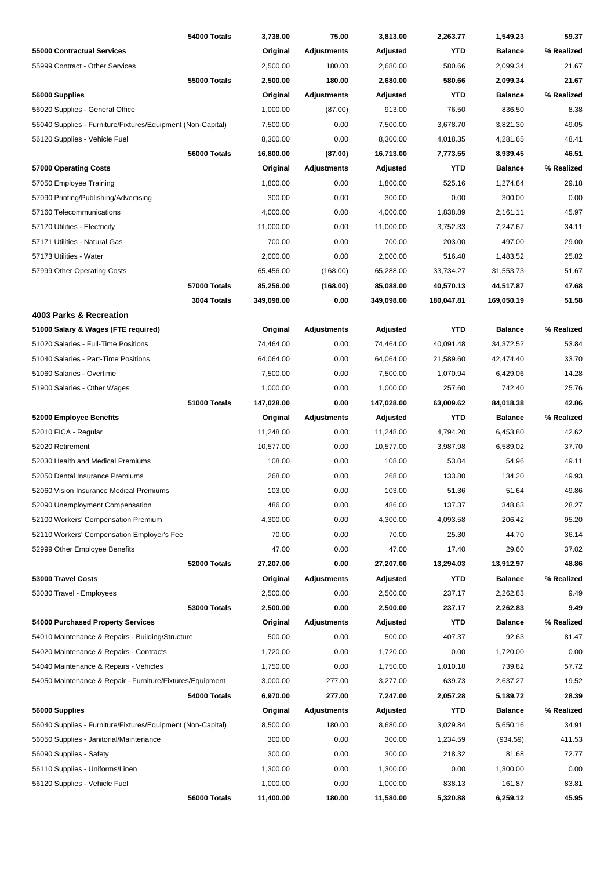|                                                             | 54000 Totals        | 3,738.00             | 75.00              | 3,813.00             | 2,263.77         | 1,549.23                   | 59.37              |
|-------------------------------------------------------------|---------------------|----------------------|--------------------|----------------------|------------------|----------------------------|--------------------|
| <b>55000 Contractual Services</b>                           |                     | Original             | <b>Adjustments</b> | Adjusted             | <b>YTD</b>       | <b>Balance</b>             | % Realized         |
| 55999 Contract - Other Services                             |                     | 2,500.00             | 180.00             | 2,680.00             | 580.66           | 2,099.34                   | 21.67              |
|                                                             | <b>55000 Totals</b> | 2,500.00             | 180.00             | 2,680.00             | 580.66           | 2,099.34                   | 21.67              |
| 56000 Supplies                                              |                     | Original             | Adjustments        | Adjusted             | YTD              | <b>Balance</b>             | % Realized         |
| 56020 Supplies - General Office                             |                     | 1,000.00             | (87.00)            | 913.00               | 76.50            | 836.50                     | 8.38               |
| 56040 Supplies - Furniture/Fixtures/Equipment (Non-Capital) |                     | 7,500.00             | 0.00               | 7,500.00             | 3,678.70         | 3,821.30                   | 49.05              |
| 56120 Supplies - Vehicle Fuel                               |                     | 8,300.00             | 0.00               | 8,300.00             | 4,018.35         | 4,281.65                   | 48.41              |
|                                                             | 56000 Totals        | 16,800.00            | (87.00)            | 16,713.00            | 7,773.55         | 8,939.45                   | 46.51              |
| 57000 Operating Costs                                       |                     | Original             | <b>Adjustments</b> | Adjusted             | YTD              | <b>Balance</b>             | % Realized         |
| 57050 Employee Training                                     |                     | 1,800.00             | 0.00               | 1,800.00             | 525.16           | 1,274.84                   | 29.18              |
| 57090 Printing/Publishing/Advertising                       |                     | 300.00               | 0.00               | 300.00               | 0.00             | 300.00                     | 0.00               |
| 57160 Telecommunications                                    |                     | 4,000.00             | 0.00               | 4,000.00             | 1,838.89         | 2,161.11                   | 45.97              |
| 57170 Utilities - Electricity                               |                     | 11,000.00            | 0.00               | 11,000.00            | 3,752.33         | 7,247.67                   | 34.11              |
| 57171 Utilities - Natural Gas                               |                     | 700.00               | 0.00               | 700.00               | 203.00           | 497.00                     | 29.00              |
| 57173 Utilities - Water                                     |                     | 2,000.00             | 0.00               | 2,000.00             | 516.48           | 1,483.52                   | 25.82              |
| 57999 Other Operating Costs                                 |                     | 65,456.00            | (168.00)           | 65,288.00            | 33,734.27        | 31,553.73                  | 51.67              |
|                                                             | <b>57000 Totals</b> | 85,256.00            | (168.00)           | 85,088.00            | 40,570.13        | 44,517.87                  | 47.68              |
|                                                             | 3004 Totals         | 349,098.00           | 0.00               | 349,098.00           | 180,047.81       | 169,050.19                 | 51.58              |
| 4003 Parks & Recreation                                     |                     |                      |                    |                      |                  |                            |                    |
| 51000 Salary & Wages (FTE required)                         |                     | Original             | <b>Adjustments</b> | Adjusted             | <b>YTD</b>       | <b>Balance</b>             | % Realized         |
| 51020 Salaries - Full-Time Positions                        |                     | 74,464.00            | 0.00               | 74,464.00            | 40,091.48        | 34,372.52                  | 53.84              |
| 51040 Salaries - Part-Time Positions                        |                     | 64,064.00            | 0.00               | 64,064.00            | 21,589.60        | 42,474.40                  | 33.70              |
| 51060 Salaries - Overtime                                   |                     | 7,500.00             | 0.00               | 7,500.00             | 1,070.94         | 6,429.06                   | 14.28              |
| 51900 Salaries - Other Wages                                |                     | 1,000.00             | 0.00               | 1,000.00             | 257.60           | 742.40                     | 25.76              |
|                                                             | 51000 Totals        | 147,028.00           | 0.00               | 147,028.00           | 63,009.62        | 84,018.38                  | 42.86              |
| 52000 Employee Benefits                                     |                     | Original             | <b>Adjustments</b> | Adjusted             | YTD              | <b>Balance</b>             | % Realized         |
| 52010 FICA - Regular                                        |                     | 11,248.00            | 0.00               | 11,248.00            | 4,794.20         | 6,453.80                   | 42.62              |
| 52020 Retirement                                            |                     | 10,577.00            | 0.00               | 10,577.00            | 3,987.98         | 6,589.02                   | 37.70              |
| 52030 Health and Medical Premiums                           |                     | 108.00               | 0.00               | 108.00               | 53.04            | 54.96                      | 49.11              |
| 52050 Dental Insurance Premiums                             |                     | 268.00               | 0.00               | 268.00               | 133.80           | 134.20                     | 49.93              |
| 52060 Vision Insurance Medical Premiums                     |                     | 103.00               | 0.00               | 103.00               | 51.36            | 51.64                      | 49.86              |
| 52090 Unemployment Compensation                             |                     | 486.00               | 0.00               | 486.00               | 137.37           | 348.63                     | 28.27              |
| 52100 Workers' Compensation Premium                         |                     | 4,300.00             | 0.00               | 4,300.00             | 4,093.58         | 206.42                     | 95.20              |
|                                                             |                     | 70.00                |                    | 70.00                |                  | 44.70                      |                    |
| 52110 Workers' Compensation Employer's Fee                  |                     |                      | 0.00               |                      | 25.30            |                            | 36.14              |
| 52999 Other Employee Benefits                               |                     | 47.00                | 0.00               | 47.00                | 17.40            | 29.60                      | 37.02              |
|                                                             | 52000 Totals        | 27,207.00            | 0.00               | 27,207.00            | 13,294.03        | 13,912.97                  | 48.86              |
| 53000 Travel Costs<br>53030 Travel - Employees              |                     | Original             | <b>Adjustments</b> | Adjusted             | YTD              | <b>Balance</b>             | % Realized<br>9.49 |
|                                                             | 53000 Totals        | 2,500.00<br>2,500.00 | 0.00<br>0.00       | 2,500.00             | 237.17<br>237.17 | 2,262.83                   | 9.49               |
| 54000 Purchased Property Services                           |                     | Original             | <b>Adjustments</b> | 2,500.00<br>Adjusted | <b>YTD</b>       | 2,262.83<br><b>Balance</b> | % Realized         |
| 54010 Maintenance & Repairs - Building/Structure            |                     | 500.00               | 0.00               | 500.00               | 407.37           | 92.63                      | 81.47              |
| 54020 Maintenance & Repairs - Contracts                     |                     | 1,720.00             | 0.00               | 1,720.00             | 0.00             | 1,720.00                   | 0.00               |
| 54040 Maintenance & Repairs - Vehicles                      |                     | 1,750.00             | 0.00               | 1,750.00             | 1,010.18         | 739.82                     | 57.72              |
| 54050 Maintenance & Repair - Furniture/Fixtures/Equipment   |                     | 3,000.00             | 277.00             | 3,277.00             | 639.73           | 2,637.27                   | 19.52              |
|                                                             | 54000 Totals        | 6,970.00             | 277.00             | 7,247.00             | 2,057.28         | 5,189.72                   | 28.39              |
| 56000 Supplies                                              |                     | Original             | <b>Adjustments</b> | Adjusted             | <b>YTD</b>       | <b>Balance</b>             | % Realized         |
| 56040 Supplies - Furniture/Fixtures/Equipment (Non-Capital) |                     | 8,500.00             | 180.00             | 8,680.00             | 3,029.84         | 5,650.16                   | 34.91              |
| 56050 Supplies - Janitorial/Maintenance                     |                     | 300.00               | 0.00               | 300.00               | 1,234.59         | (934.59)                   | 411.53             |
| 56090 Supplies - Safety                                     |                     | 300.00               | 0.00               | 300.00               | 218.32           | 81.68                      | 72.77              |
| 56110 Supplies - Uniforms/Linen                             |                     | 1,300.00             | 0.00               | 1,300.00             | 0.00             | 1,300.00                   | 0.00               |
| 56120 Supplies - Vehicle Fuel                               |                     | 1,000.00             | 0.00               | 1,000.00             | 838.13           | 161.87                     | 83.81              |
|                                                             | 56000 Totals        | 11,400.00            | 180.00             | 11,580.00            | 5,320.88         | 6,259.12                   | 45.95              |
|                                                             |                     |                      |                    |                      |                  |                            |                    |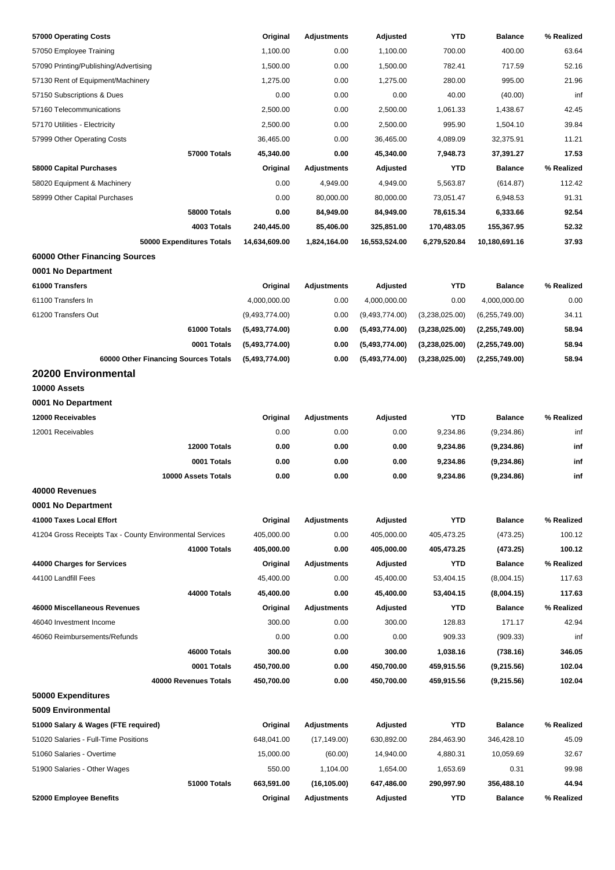| 57000 Operating Costs                                    | Original       | <b>Adjustments</b> | Adjusted       | <b>YTD</b>     | <b>Balance</b> | % Realized |
|----------------------------------------------------------|----------------|--------------------|----------------|----------------|----------------|------------|
| 57050 Employee Training                                  | 1,100.00       | 0.00               | 1,100.00       | 700.00         | 400.00         | 63.64      |
| 57090 Printing/Publishing/Advertising                    | 1,500.00       | 0.00               | 1,500.00       | 782.41         | 717.59         | 52.16      |
| 57130 Rent of Equipment/Machinery                        | 1,275.00       | 0.00               | 1,275.00       | 280.00         | 995.00         | 21.96      |
| 57150 Subscriptions & Dues                               | 0.00           | 0.00               | 0.00           | 40.00          | (40.00)        | inf        |
| 57160 Telecommunications                                 | 2,500.00       | 0.00               | 2,500.00       | 1,061.33       | 1,438.67       | 42.45      |
| 57170 Utilities - Electricity                            | 2,500.00       | 0.00               | 2,500.00       | 995.90         | 1,504.10       | 39.84      |
| 57999 Other Operating Costs                              | 36,465.00      | 0.00               | 36,465.00      | 4,089.09       | 32,375.91      | 11.21      |
| 57000 Totals                                             | 45,340.00      | 0.00               | 45,340.00      | 7,948.73       | 37,391.27      | 17.53      |
| 58000 Capital Purchases                                  | Original       | <b>Adjustments</b> | Adjusted       | <b>YTD</b>     | <b>Balance</b> | % Realized |
| 58020 Equipment & Machinery                              | 0.00           | 4,949.00           | 4,949.00       | 5,563.87       | (614.87)       | 112.42     |
| 58999 Other Capital Purchases                            | 0.00           | 80,000.00          | 80,000.00      | 73,051.47      | 6,948.53       | 91.31      |
| 58000 Totals                                             | 0.00           | 84,949.00          | 84,949.00      | 78,615.34      | 6,333.66       | 92.54      |
| 4003 Totals                                              | 240,445.00     | 85,406.00          | 325,851.00     | 170,483.05     | 155,367.95     | 52.32      |
| 50000 Expenditures Totals                                | 14,634,609.00  | 1,824,164.00       | 16,553,524.00  | 6,279,520.84   | 10,180,691.16  | 37.93      |
| 60000 Other Financing Sources                            |                |                    |                |                |                |            |
| 0001 No Department                                       |                |                    |                |                |                |            |
| 61000 Transfers                                          | Original       | <b>Adjustments</b> | Adjusted       | <b>YTD</b>     | <b>Balance</b> | % Realized |
| 61100 Transfers In                                       | 4,000,000.00   | 0.00               | 4,000,000.00   | 0.00           | 4,000,000.00   | 0.00       |
| 61200 Transfers Out                                      | (9,493,774.00) | 0.00               | (9,493,774.00) | (3,238,025.00) | (6,255,749.00) | 34.11      |
| 61000 Totals                                             | (5,493,774.00) | 0.00               | (5,493,774.00) | (3,238,025.00) | (2,255,749.00) | 58.94      |
| 0001 Totals                                              | (5,493,774.00) | 0.00               | (5,493,774.00) | (3,238,025.00) | (2,255,749.00) | 58.94      |
| 60000 Other Financing Sources Totals                     | (5,493,774.00) | 0.00               | (5,493,774.00) | (3,238,025.00) | (2,255,749.00) | 58.94      |
| <b>20200 Environmental</b>                               |                |                    |                |                |                |            |
| 10000 Assets                                             |                |                    |                |                |                |            |
| 0001 No Department                                       |                |                    |                |                |                |            |
| 12000 Receivables                                        | Original       | <b>Adjustments</b> | Adjusted       | <b>YTD</b>     | <b>Balance</b> | % Realized |
| 12001 Receivables                                        | 0.00           | 0.00               | 0.00           | 9,234.86       | (9,234.86)     | inf        |
| 12000 Totals                                             |                |                    |                | 9,234.86       |                |            |
| 0001 Totals                                              | 0.00           | 0.00               | 0.00           |                | (9,234.86)     | inf        |
|                                                          | 0.00           | 0.00               | 0.00           | 9,234.86       | (9,234.86)     | inf        |
| 10000 Assets Totals                                      | 0.00           | 0.00               | 0.00           | 9,234.86       | (9,234.86)     | inf        |
| 40000 Revenues                                           |                |                    |                |                |                |            |
| 0001 No Department                                       |                |                    |                |                |                |            |
| 41000 Taxes Local Effort                                 | Original       | <b>Adjustments</b> | Adjusted       | <b>YTD</b>     | <b>Balance</b> | % Realized |
| 41204 Gross Receipts Tax - County Environmental Services | 405,000.00     | 0.00               | 405,000.00     | 405,473.25     | (473.25)       | 100.12     |
| 41000 Totals                                             | 405,000.00     | 0.00               | 405,000.00     | 405,473.25     | (473.25)       | 100.12     |
| 44000 Charges for Services                               | Original       | <b>Adjustments</b> | Adjusted       | <b>YTD</b>     | <b>Balance</b> | % Realized |
| 44100 Landfill Fees                                      | 45,400.00      | 0.00               | 45,400.00      | 53,404.15      | (8,004.15)     | 117.63     |
| 44000 Totals                                             | 45,400.00      | 0.00               | 45,400.00      | 53,404.15      | (8,004.15)     | 117.63     |
| 46000 Miscellaneous Revenues                             | Original       | <b>Adjustments</b> | Adjusted       | <b>YTD</b>     | <b>Balance</b> | % Realized |
| 46040 Investment Income                                  | 300.00         | 0.00               | 300.00         | 128.83         | 171.17         | 42.94      |
| 46060 Reimbursements/Refunds                             | 0.00           | 0.00               | 0.00           | 909.33         | (909.33)       | inf        |
| 46000 Totals                                             | 300.00         | 0.00               | 300.00         | 1,038.16       | (738.16)       | 346.05     |
| 0001 Totals                                              | 450,700.00     | 0.00               | 450,700.00     | 459,915.56     | (9,215.56)     | 102.04     |
| 40000 Revenues Totals                                    | 450,700.00     | 0.00               | 450,700.00     | 459,915.56     | (9,215.56)     | 102.04     |
| 50000 Expenditures                                       |                |                    |                |                |                |            |
| 5009 Environmental                                       |                |                    |                |                |                |            |
| 51000 Salary & Wages (FTE required)                      | Original       | <b>Adjustments</b> | Adjusted       | <b>YTD</b>     | <b>Balance</b> | % Realized |
| 51020 Salaries - Full-Time Positions                     | 648,041.00     | (17, 149.00)       | 630,892.00     | 284,463.90     | 346,428.10     | 45.09      |
| 51060 Salaries - Overtime                                | 15,000.00      | (60.00)            | 14,940.00      | 4,880.31       | 10,059.69      | 32.67      |
| 51900 Salaries - Other Wages                             | 550.00         | 1,104.00           | 1,654.00       | 1,653.69       | 0.31           | 99.98      |
| 51000 Totals                                             | 663,591.00     | (16, 105.00)       | 647,486.00     | 290,997.90     | 356,488.10     | 44.94      |
| 52000 Employee Benefits                                  | Original       | <b>Adjustments</b> | Adjusted       | <b>YTD</b>     | <b>Balance</b> | % Realized |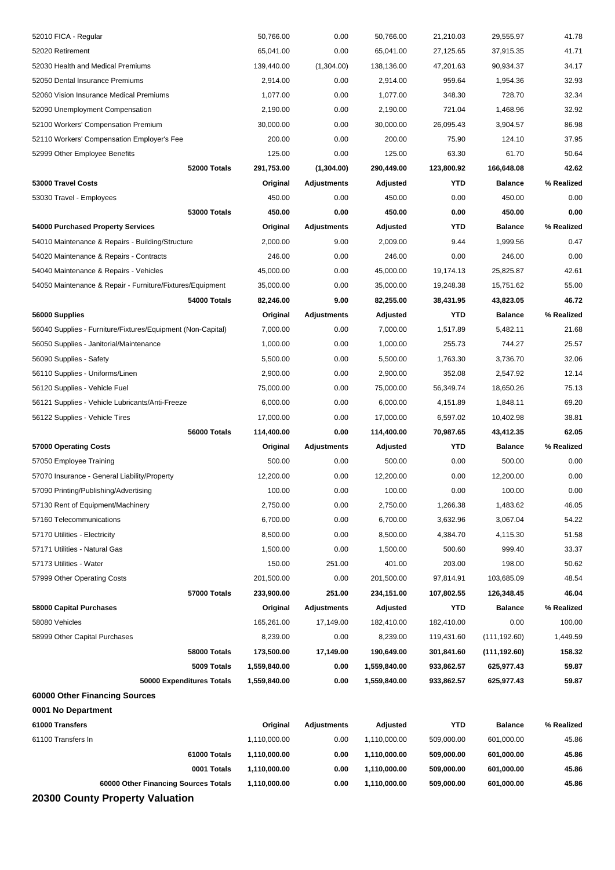| 52010 FICA - Regular                                        | 50,766.00    | 0.00               | 50,766.00    | 21,210.03  | 29,555.97      | 41.78      |
|-------------------------------------------------------------|--------------|--------------------|--------------|------------|----------------|------------|
| 52020 Retirement                                            | 65,041.00    | 0.00               | 65,041.00    | 27,125.65  | 37,915.35      | 41.71      |
| 52030 Health and Medical Premiums                           | 139,440.00   | (1,304.00)         | 138,136.00   | 47,201.63  | 90,934.37      | 34.17      |
| 52050 Dental Insurance Premiums                             | 2,914.00     | 0.00               | 2,914.00     | 959.64     | 1,954.36       | 32.93      |
| 52060 Vision Insurance Medical Premiums                     | 1,077.00     | 0.00               | 1,077.00     | 348.30     | 728.70         | 32.34      |
| 52090 Unemployment Compensation                             | 2,190.00     | 0.00               | 2,190.00     | 721.04     | 1,468.96       | 32.92      |
| 52100 Workers' Compensation Premium                         | 30,000.00    | 0.00               | 30,000.00    | 26,095.43  | 3,904.57       | 86.98      |
| 52110 Workers' Compensation Employer's Fee                  | 200.00       | 0.00               | 200.00       | 75.90      | 124.10         | 37.95      |
| 52999 Other Employee Benefits                               | 125.00       | 0.00               | 125.00       | 63.30      | 61.70          | 50.64      |
| 52000 Totals                                                | 291,753.00   | (1,304.00)         | 290,449.00   | 123,800.92 | 166,648.08     | 42.62      |
| 53000 Travel Costs                                          | Original     | <b>Adjustments</b> | Adjusted     | <b>YTD</b> | <b>Balance</b> | % Realized |
| 53030 Travel - Employees                                    | 450.00       | 0.00               | 450.00       | 0.00       | 450.00         | 0.00       |
| 53000 Totals                                                | 450.00       | 0.00               | 450.00       | 0.00       | 450.00         | 0.00       |
| 54000 Purchased Property Services                           | Original     | Adjustments        | Adjusted     | YTD        | <b>Balance</b> | % Realized |
| 54010 Maintenance & Repairs - Building/Structure            | 2,000.00     | 9.00               | 2,009.00     | 9.44       | 1,999.56       | 0.47       |
| 54020 Maintenance & Repairs - Contracts                     | 246.00       | 0.00               | 246.00       | 0.00       | 246.00         | 0.00       |
| 54040 Maintenance & Repairs - Vehicles                      | 45,000.00    | 0.00               | 45,000.00    | 19,174.13  | 25,825.87      | 42.61      |
| 54050 Maintenance & Repair - Furniture/Fixtures/Equipment   | 35,000.00    | 0.00               | 35,000.00    | 19,248.38  | 15,751.62      | 55.00      |
| 54000 Totals                                                | 82,246.00    | 9.00               | 82,255.00    | 38,431.95  | 43,823.05      | 46.72      |
| 56000 Supplies                                              | Original     | Adjustments        | Adjusted     | <b>YTD</b> | <b>Balance</b> | % Realized |
| 56040 Supplies - Furniture/Fixtures/Equipment (Non-Capital) | 7,000.00     | 0.00               | 7,000.00     | 1,517.89   | 5,482.11       | 21.68      |
| 56050 Supplies - Janitorial/Maintenance                     | 1,000.00     | 0.00               | 1,000.00     | 255.73     | 744.27         | 25.57      |
| 56090 Supplies - Safety                                     | 5,500.00     | 0.00               | 5,500.00     | 1,763.30   | 3,736.70       | 32.06      |
| 56110 Supplies - Uniforms/Linen                             | 2,900.00     | 0.00               | 2,900.00     | 352.08     | 2,547.92       | 12.14      |
| 56120 Supplies - Vehicle Fuel                               | 75,000.00    | 0.00               | 75,000.00    | 56,349.74  | 18,650.26      | 75.13      |
| 56121 Supplies - Vehicle Lubricants/Anti-Freeze             | 6,000.00     | 0.00               | 6,000.00     | 4,151.89   | 1,848.11       | 69.20      |
| 56122 Supplies - Vehicle Tires                              | 17,000.00    | 0.00               | 17,000.00    | 6,597.02   | 10,402.98      | 38.81      |
|                                                             |              |                    |              |            |                |            |
| 56000 Totals                                                | 114,400.00   | 0.00               | 114,400.00   | 70,987.65  | 43,412.35      | 62.05      |
| 57000 Operating Costs                                       | Original     | Adjustments        | Adjusted     | YTD        | <b>Balance</b> | % Realized |
| 57050 Employee Training                                     | 500.00       | 0.00               | 500.00       | 0.00       | 500.00         | 0.00       |
| 57070 Insurance - General Liability/Property                | 12,200.00    | 0.00               | 12,200.00    | 0.00       | 12,200.00      | 0.00       |
| 57090 Printing/Publishing/Advertising                       | 100.00       | 0.00               | 100.00       | 0.00       | 100.00         | 0.00       |
| 57130 Rent of Equipment/Machinery                           | 2,750.00     | 0.00               | 2,750.00     | 1,266.38   | 1,483.62       | 46.05      |
| 57160 Telecommunications                                    | 6,700.00     | 0.00               | 6,700.00     | 3,632.96   | 3,067.04       | 54.22      |
| 57170 Utilities - Electricity                               | 8,500.00     | 0.00               | 8,500.00     | 4,384.70   | 4,115.30       | 51.58      |
| 57171 Utilities - Natural Gas                               | 1,500.00     | 0.00               | 1,500.00     | 500.60     | 999.40         | 33.37      |
| 57173 Utilities - Water                                     | 150.00       | 251.00             | 401.00       | 203.00     | 198.00         | 50.62      |
| 57999 Other Operating Costs                                 | 201,500.00   | 0.00               | 201,500.00   | 97,814.91  | 103,685.09     | 48.54      |
| 57000 Totals                                                | 233,900.00   | 251.00             | 234,151.00   | 107,802.55 | 126,348.45     | 46.04      |
| <b>58000 Capital Purchases</b>                              | Original     | <b>Adjustments</b> | Adjusted     | <b>YTD</b> | <b>Balance</b> | % Realized |
| 58080 Vehicles                                              | 165,261.00   | 17,149.00          | 182,410.00   | 182,410.00 | 0.00           | 100.00     |
| 58999 Other Capital Purchases                               | 8,239.00     | 0.00               | 8,239.00     | 119,431.60 | (111, 192.60)  | 1,449.59   |
| 58000 Totals                                                | 173,500.00   | 17,149.00          | 190,649.00   | 301,841.60 | (111, 192.60)  | 158.32     |
| 5009 Totals                                                 | 1,559,840.00 | 0.00               | 1,559,840.00 | 933,862.57 | 625,977.43     | 59.87      |
| 50000 Expenditures Totals                                   | 1,559,840.00 | 0.00               | 1,559,840.00 | 933,862.57 | 625,977.43     | 59.87      |
| 60000 Other Financing Sources                               |              |                    |              |            |                |            |
| 0001 No Department                                          |              |                    |              |            |                |            |
| 61000 Transfers                                             | Original     | <b>Adjustments</b> | Adjusted     | <b>YTD</b> | <b>Balance</b> | % Realized |
| 61100 Transfers In                                          | 1,110,000.00 | 0.00               | 1,110,000.00 | 509,000.00 | 601,000.00     | 45.86      |
| 61000 Totals                                                | 1,110,000.00 | 0.00               | 1,110,000.00 | 509,000.00 | 601,000.00     | 45.86      |
| 0001 Totals                                                 | 1,110,000.00 | 0.00               | 1,110,000.00 | 509,000.00 | 601,000.00     | 45.86      |
| 60000 Other Financing Sources Totals                        | 1,110,000.00 | 0.00               | 1,110,000.00 | 509,000.00 | 601,000.00     | 45.86      |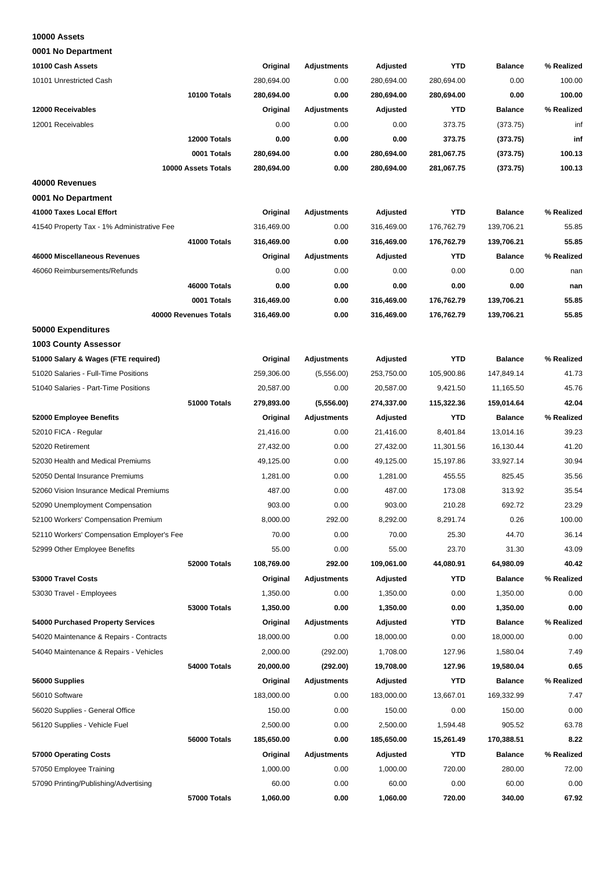#### **10000 Assets**

**0001 No Department**

| 10100 Cash Assets                          | Original   | <b>Adjustments</b> | Adjusted   | <b>YTD</b> | <b>Balance</b> | % Realized |
|--------------------------------------------|------------|--------------------|------------|------------|----------------|------------|
| 10101 Unrestricted Cash                    | 280,694.00 | 0.00               | 280,694.00 | 280,694.00 | 0.00           | 100.00     |
| 10100 Totals                               | 280,694.00 | 0.00               | 280,694.00 | 280,694.00 | 0.00           | 100.00     |
| 12000 Receivables                          | Original   | <b>Adjustments</b> | Adjusted   | <b>YTD</b> | <b>Balance</b> | % Realized |
| 12001 Receivables                          | 0.00       | 0.00               | 0.00       | 373.75     | (373.75)       | inf        |
| 12000 Totals                               | 0.00       | 0.00               | 0.00       | 373.75     | (373.75)       | inf        |
| 0001 Totals                                | 280,694.00 | 0.00               | 280,694.00 | 281,067.75 | (373.75)       | 100.13     |
| 10000 Assets Totals                        | 280,694.00 | 0.00               | 280,694.00 | 281,067.75 | (373.75)       | 100.13     |
| 40000 Revenues                             |            |                    |            |            |                |            |
| 0001 No Department                         |            |                    |            |            |                |            |
| 41000 Taxes Local Effort                   | Original   | Adjustments        | Adjusted   | <b>YTD</b> | <b>Balance</b> | % Realized |
| 41540 Property Tax - 1% Administrative Fee | 316,469.00 | 0.00               | 316,469.00 | 176,762.79 | 139,706.21     | 55.85      |
| 41000 Totals                               | 316,469.00 | 0.00               | 316,469.00 | 176,762.79 | 139,706.21     | 55.85      |
| 46000 Miscellaneous Revenues               | Original   | <b>Adjustments</b> | Adjusted   | <b>YTD</b> | <b>Balance</b> | % Realized |
| 46060 Reimbursements/Refunds               | 0.00       | 0.00               | 0.00       | 0.00       | 0.00           | nan        |
| 46000 Totals                               | 0.00       | 0.00               | 0.00       | 0.00       | 0.00           | nan        |
| 0001 Totals                                | 316,469.00 | 0.00               | 316,469.00 | 176,762.79 | 139,706.21     | 55.85      |
| 40000 Revenues Totals                      | 316,469.00 | 0.00               | 316,469.00 | 176,762.79 | 139,706.21     | 55.85      |
| 50000 Expenditures                         |            |                    |            |            |                |            |
| <b>1003 County Assessor</b>                |            |                    |            |            |                |            |
|                                            |            |                    |            |            |                |            |
| 51000 Salary & Wages (FTE required)        | Original   | <b>Adjustments</b> | Adjusted   | <b>YTD</b> | <b>Balance</b> | % Realized |
| 51020 Salaries - Full-Time Positions       | 259,306.00 | (5,556.00)         | 253,750.00 | 105,900.86 | 147,849.14     | 41.73      |
| 51040 Salaries - Part-Time Positions       | 20,587.00  | 0.00               | 20,587.00  | 9,421.50   | 11,165.50      | 45.76      |
| 51000 Totals                               | 279,893.00 | (5,556.00)         | 274,337.00 | 115,322.36 | 159,014.64     | 42.04      |
| 52000 Employee Benefits                    | Original   | <b>Adjustments</b> | Adjusted   | <b>YTD</b> | <b>Balance</b> | % Realized |
| 52010 FICA - Regular                       | 21,416.00  | 0.00               | 21,416.00  | 8,401.84   | 13,014.16      | 39.23      |
| 52020 Retirement                           | 27,432.00  | 0.00               | 27,432.00  | 11,301.56  | 16,130.44      | 41.20      |
| 52030 Health and Medical Premiums          | 49,125.00  | 0.00               | 49,125.00  | 15,197.86  | 33,927.14      | 30.94      |
| 52050 Dental Insurance Premiums            | 1,281.00   | 0.00               | 1,281.00   | 455.55     | 825.45         | 35.56      |
| 52060 Vision Insurance Medical Premiums    | 487.00     | 0.00               | 487.00     | 173.08     | 313.92         | 35.54      |
| 52090 Unemployment Compensation            | 903.00     | 0.00               | 903.00     | 210.28     | 692.72         | 23.29      |
| 52100 Workers' Compensation Premium        | 8,000.00   | 292.00             | 8,292.00   | 8,291.74   | 0.26           | 100.00     |
| 52110 Workers' Compensation Employer's Fee | 70.00      | 0.00               | 70.00      | 25.30      | 44.70          | 36.14      |
| 52999 Other Employee Benefits              | 55.00      | 0.00               | 55.00      | 23.70      | 31.30          | 43.09      |
| 52000 Totals                               | 108,769.00 | 292.00             | 109,061.00 | 44,080.91  | 64,980.09      | 40.42      |
| 53000 Travel Costs                         | Original   | Adjustments        | Adjusted   | YTD        | <b>Balance</b> | % Realized |
| 53030 Travel - Employees                   | 1,350.00   | 0.00               | 1,350.00   | 0.00       | 1,350.00       | 0.00       |
| 53000 Totals                               | 1,350.00   | 0.00               | 1,350.00   | 0.00       | 1,350.00       | 0.00       |
| 54000 Purchased Property Services          | Original   | <b>Adjustments</b> | Adjusted   | YTD        | <b>Balance</b> | % Realized |
| 54020 Maintenance & Repairs - Contracts    | 18,000.00  | 0.00               | 18,000.00  | 0.00       | 18,000.00      | 0.00       |
| 54040 Maintenance & Repairs - Vehicles     | 2,000.00   | (292.00)           | 1,708.00   | 127.96     | 1,580.04       | 7.49       |
| 54000 Totals                               | 20,000.00  | (292.00)           | 19,708.00  | 127.96     | 19,580.04      | 0.65       |
| 56000 Supplies                             | Original   | Adjustments        | Adjusted   | YTD        | <b>Balance</b> | % Realized |
| 56010 Software                             | 183,000.00 | 0.00               | 183,000.00 | 13,667.01  | 169,332.99     | 7.47       |
| 56020 Supplies - General Office            | 150.00     | 0.00               | 150.00     | 0.00       | 150.00         | 0.00       |
| 56120 Supplies - Vehicle Fuel              | 2,500.00   | 0.00               | 2,500.00   | 1,594.48   | 905.52         | 63.78      |
| 56000 Totals                               | 185,650.00 | 0.00               | 185,650.00 | 15,261.49  | 170,388.51     | 8.22       |
| 57000 Operating Costs                      | Original   | Adjustments        | Adjusted   | <b>YTD</b> | <b>Balance</b> | % Realized |
| 57050 Employee Training                    | 1,000.00   | 0.00               | 1,000.00   | 720.00     | 280.00         | 72.00      |
| 57090 Printing/Publishing/Advertising      | 60.00      | 0.00               | 60.00      | 0.00       | 60.00          | 0.00       |
| 57000 Totals                               | 1,060.00   | 0.00               | 1,060.00   | 720.00     | 340.00         | 67.92      |
|                                            |            |                    |            |            |                |            |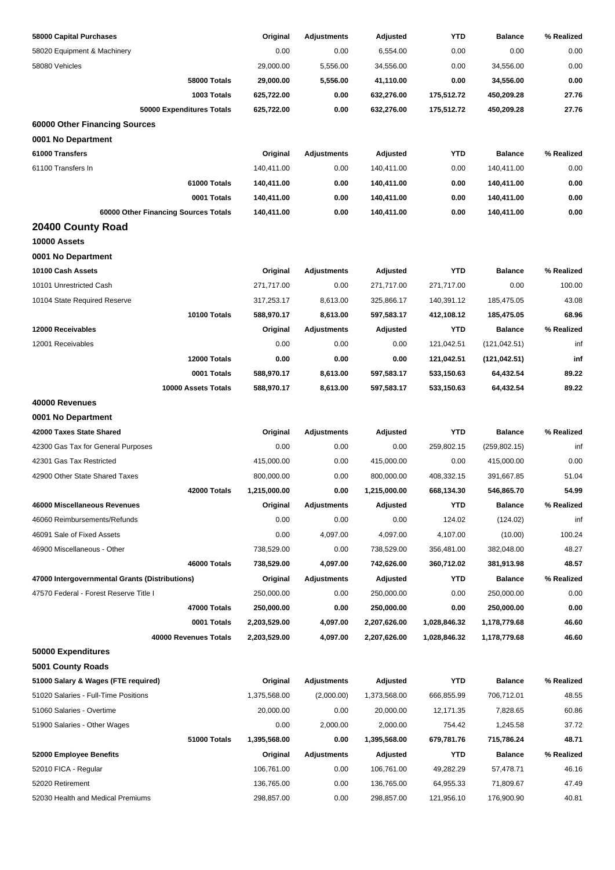| 58000 Capital Purchases                        | Original     | <b>Adjustments</b> | Adjusted     | YTD          | <b>Balance</b> | % Realized |
|------------------------------------------------|--------------|--------------------|--------------|--------------|----------------|------------|
| 58020 Equipment & Machinery                    | 0.00         | 0.00               | 6,554.00     | 0.00         | 0.00           | 0.00       |
| 58080 Vehicles                                 | 29,000.00    | 5,556.00           | 34,556.00    | 0.00         | 34,556.00      | 0.00       |
| <b>58000 Totals</b>                            | 29,000.00    | 5,556.00           | 41,110.00    | 0.00         | 34,556.00      | 0.00       |
| 1003 Totals                                    | 625,722.00   | 0.00               | 632,276.00   | 175,512.72   | 450,209.28     | 27.76      |
| 50000 Expenditures Totals                      | 625,722.00   | 0.00               | 632,276.00   | 175,512.72   | 450,209.28     | 27.76      |
| 60000 Other Financing Sources                  |              |                    |              |              |                |            |
| 0001 No Department                             |              |                    |              |              |                |            |
| 61000 Transfers                                | Original     | <b>Adjustments</b> | Adjusted     | <b>YTD</b>   | <b>Balance</b> | % Realized |
| 61100 Transfers In                             | 140,411.00   | 0.00               | 140,411.00   | 0.00         | 140,411.00     | 0.00       |
| 61000 Totals                                   | 140,411.00   | 0.00               | 140,411.00   | 0.00         | 140,411.00     | 0.00       |
| 0001 Totals                                    | 140,411.00   | 0.00               | 140,411.00   | 0.00         | 140,411.00     | 0.00       |
| 60000 Other Financing Sources Totals           | 140,411.00   | 0.00               | 140,411.00   | 0.00         | 140,411.00     | 0.00       |
| 20400 County Road                              |              |                    |              |              |                |            |
| 10000 Assets                                   |              |                    |              |              |                |            |
| 0001 No Department                             |              |                    |              |              |                |            |
| 10100 Cash Assets                              | Original     | <b>Adjustments</b> | Adjusted     | <b>YTD</b>   | <b>Balance</b> | % Realized |
| 10101 Unrestricted Cash                        | 271,717.00   | 0.00               | 271,717.00   | 271,717.00   | 0.00           | 100.00     |
| 10104 State Required Reserve                   | 317,253.17   | 8,613.00           | 325,866.17   | 140,391.12   | 185,475.05     | 43.08      |
| 10100 Totals                                   | 588,970.17   | 8,613.00           | 597,583.17   | 412,108.12   | 185,475.05     | 68.96      |
| 12000 Receivables                              | Original     | <b>Adjustments</b> | Adjusted     | <b>YTD</b>   | <b>Balance</b> | % Realized |
| 12001 Receivables                              | 0.00         | 0.00               | 0.00         | 121,042.51   | (121, 042.51)  | inf        |
| 12000 Totals                                   | 0.00         | 0.00               | 0.00         | 121,042.51   | (121, 042.51)  | inf        |
| 0001 Totals                                    | 588,970.17   | 8,613.00           | 597,583.17   | 533,150.63   | 64,432.54      | 89.22      |
| 10000 Assets Totals                            | 588,970.17   | 8,613.00           | 597,583.17   | 533,150.63   | 64,432.54      | 89.22      |
| 40000 Revenues                                 |              |                    |              |              |                |            |
| 0001 No Department                             |              |                    |              |              |                |            |
| 42000 Taxes State Shared                       | Original     | <b>Adjustments</b> | Adjusted     | <b>YTD</b>   | <b>Balance</b> | % Realized |
| 42300 Gas Tax for General Purposes             | 0.00         | 0.00               | 0.00         | 259,802.15   | (259, 802.15)  | inf        |
| 42301 Gas Tax Restricted                       | 415,000.00   | 0.00               | 415,000.00   | 0.00         | 415,000.00     | 0.00       |
| 42900 Other State Shared Taxes                 | 800,000.00   | 0.00               | 800,000.00   | 408,332.15   | 391,667.85     | 51.04      |
| 42000 Totals                                   | 1,215,000.00 | 0.00               | 1,215,000.00 | 668,134.30   | 546,865.70     | 54.99      |
| 46000 Miscellaneous Revenues                   | Original     | <b>Adjustments</b> | Adjusted     | <b>YTD</b>   | <b>Balance</b> | % Realized |
| 46060 Reimbursements/Refunds                   | 0.00         | 0.00               | 0.00         | 124.02       | (124.02)       | inf        |
| 46091 Sale of Fixed Assets                     | 0.00         | 4,097.00           | 4,097.00     | 4,107.00     | (10.00)        | 100.24     |
| 46900 Miscellaneous - Other                    | 738,529.00   | 0.00               | 738,529.00   | 356,481.00   | 382,048.00     | 48.27      |
| 46000 Totals                                   | 738,529.00   | 4,097.00           | 742,626.00   | 360,712.02   | 381,913.98     | 48.57      |
| 47000 Intergovernmental Grants (Distributions) | Original     | <b>Adjustments</b> | Adjusted     | <b>YTD</b>   | <b>Balance</b> | % Realized |
| 47570 Federal - Forest Reserve Title I         | 250,000.00   | 0.00               | 250,000.00   | 0.00         | 250,000.00     | 0.00       |
| 47000 Totals                                   | 250,000.00   | 0.00               | 250,000.00   | 0.00         | 250,000.00     | 0.00       |
| 0001 Totals                                    | 2,203,529.00 | 4,097.00           | 2,207,626.00 | 1,028,846.32 | 1,178,779.68   | 46.60      |
| 40000 Revenues Totals                          | 2,203,529.00 | 4,097.00           | 2,207,626.00 | 1,028,846.32 | 1,178,779.68   | 46.60      |
| 50000 Expenditures                             |              |                    |              |              |                |            |
| 5001 County Roads                              |              |                    |              |              |                |            |
| 51000 Salary & Wages (FTE required)            | Original     | <b>Adjustments</b> | Adjusted     | <b>YTD</b>   | <b>Balance</b> | % Realized |
| 51020 Salaries - Full-Time Positions           | 1,375,568.00 | (2,000.00)         | 1,373,568.00 | 666,855.99   | 706,712.01     | 48.55      |
| 51060 Salaries - Overtime                      | 20,000.00    | 0.00               | 20,000.00    | 12,171.35    | 7,828.65       | 60.86      |
| 51900 Salaries - Other Wages                   | 0.00         | 2,000.00           | 2,000.00     | 754.42       | 1,245.58       | 37.72      |
| 51000 Totals                                   | 1,395,568.00 | 0.00               | 1,395,568.00 | 679,781.76   | 715,786.24     | 48.71      |
| 52000 Employee Benefits                        | Original     | <b>Adjustments</b> | Adjusted     | <b>YTD</b>   | <b>Balance</b> | % Realized |
| 52010 FICA - Regular                           | 106,761.00   | 0.00               | 106,761.00   | 49,282.29    | 57,478.71      | 46.16      |
| 52020 Retirement                               | 136,765.00   | 0.00               | 136,765.00   | 64,955.33    | 71,809.67      | 47.49      |
| 52030 Health and Medical Premiums              | 298,857.00   | 0.00               | 298,857.00   | 121,956.10   | 176,900.90     | 40.81      |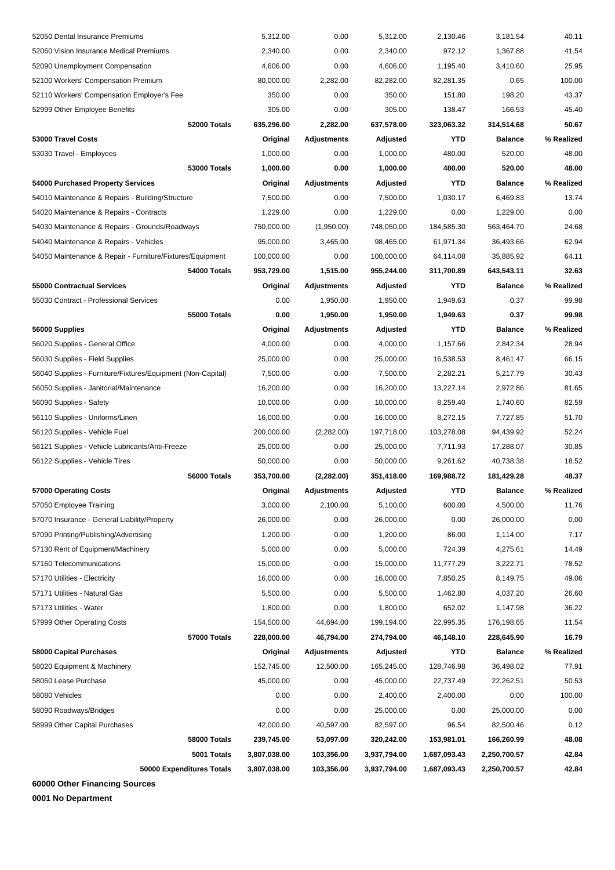| 57160 Telecommunications<br>57170 Utilities - Electricity<br>57171 Utilities - Natural Gas<br>57173 Utilities - Water<br>57999 Other Operating Costs<br>57000 Totals<br>58000 Capital Purchases<br>58020 Equipment & Machinery<br>58060 Lease Purchase<br>58080 Vehicles<br>58090 Roadways/Bridges<br>58999 Other Capital Purchases<br>58000 Totals<br>5001 Totals | 16,000.00<br>5,500.00<br>1,800.00<br>154,500.00<br>228,000.00<br>Original<br>152,745.00<br>45,000.00<br>0.00<br>0.00<br>42,000.00<br>239,745.00<br>3,807,038.00 | 0.00<br>0.00<br>0.00<br>44,694.00<br>46,794.00<br><b>Adjustments</b><br>12,500.00<br>0.00<br>0.00<br>0.00<br>40,597.00<br>53,097.00<br>103,356.00 | 16,000.00<br>5,500.00<br>1,800.00<br>199,194.00<br>274,794.00<br>Adjusted<br>165,245.00<br>45,000.00<br>2,400.00<br>25,000.00<br>82,597.00<br>320,242.00<br>3,937,794.00 | 1,462.80<br>652.02<br>22,995.35<br>46,148.10<br>YTD<br>128,746.98<br>22,737.49<br>2,400.00<br>0.00<br>96.54<br>153,981.01<br>1,687,093.43 | 4,037.20<br>1,147.98<br>176,198.65<br>228,645.90<br><b>Balance</b><br>36,498.02<br>22,262.51<br>0.00<br>25,000.00<br>82,500.46<br>166,260.99<br>2,250,700.57 | 49.06<br>26.60<br>36.22<br>11.54<br>16.79<br>% Realized<br>77.91<br>50.53<br>100.00<br>0.00<br>0.12<br>48.08<br>42.84 |
|--------------------------------------------------------------------------------------------------------------------------------------------------------------------------------------------------------------------------------------------------------------------------------------------------------------------------------------------------------------------|-----------------------------------------------------------------------------------------------------------------------------------------------------------------|---------------------------------------------------------------------------------------------------------------------------------------------------|--------------------------------------------------------------------------------------------------------------------------------------------------------------------------|-------------------------------------------------------------------------------------------------------------------------------------------|--------------------------------------------------------------------------------------------------------------------------------------------------------------|-----------------------------------------------------------------------------------------------------------------------|
|                                                                                                                                                                                                                                                                                                                                                                    |                                                                                                                                                                 |                                                                                                                                                   |                                                                                                                                                                          |                                                                                                                                           |                                                                                                                                                              |                                                                                                                       |
|                                                                                                                                                                                                                                                                                                                                                                    |                                                                                                                                                                 |                                                                                                                                                   |                                                                                                                                                                          |                                                                                                                                           |                                                                                                                                                              |                                                                                                                       |
|                                                                                                                                                                                                                                                                                                                                                                    |                                                                                                                                                                 |                                                                                                                                                   |                                                                                                                                                                          |                                                                                                                                           |                                                                                                                                                              |                                                                                                                       |
|                                                                                                                                                                                                                                                                                                                                                                    |                                                                                                                                                                 |                                                                                                                                                   |                                                                                                                                                                          |                                                                                                                                           |                                                                                                                                                              |                                                                                                                       |
|                                                                                                                                                                                                                                                                                                                                                                    |                                                                                                                                                                 |                                                                                                                                                   |                                                                                                                                                                          |                                                                                                                                           |                                                                                                                                                              |                                                                                                                       |
|                                                                                                                                                                                                                                                                                                                                                                    |                                                                                                                                                                 |                                                                                                                                                   |                                                                                                                                                                          |                                                                                                                                           |                                                                                                                                                              |                                                                                                                       |
|                                                                                                                                                                                                                                                                                                                                                                    |                                                                                                                                                                 |                                                                                                                                                   |                                                                                                                                                                          |                                                                                                                                           |                                                                                                                                                              |                                                                                                                       |
|                                                                                                                                                                                                                                                                                                                                                                    |                                                                                                                                                                 |                                                                                                                                                   |                                                                                                                                                                          |                                                                                                                                           |                                                                                                                                                              |                                                                                                                       |
|                                                                                                                                                                                                                                                                                                                                                                    |                                                                                                                                                                 |                                                                                                                                                   |                                                                                                                                                                          |                                                                                                                                           |                                                                                                                                                              |                                                                                                                       |
|                                                                                                                                                                                                                                                                                                                                                                    |                                                                                                                                                                 |                                                                                                                                                   |                                                                                                                                                                          |                                                                                                                                           |                                                                                                                                                              |                                                                                                                       |
|                                                                                                                                                                                                                                                                                                                                                                    |                                                                                                                                                                 |                                                                                                                                                   |                                                                                                                                                                          |                                                                                                                                           |                                                                                                                                                              |                                                                                                                       |
|                                                                                                                                                                                                                                                                                                                                                                    |                                                                                                                                                                 |                                                                                                                                                   |                                                                                                                                                                          |                                                                                                                                           |                                                                                                                                                              |                                                                                                                       |
|                                                                                                                                                                                                                                                                                                                                                                    |                                                                                                                                                                 |                                                                                                                                                   |                                                                                                                                                                          |                                                                                                                                           |                                                                                                                                                              |                                                                                                                       |
|                                                                                                                                                                                                                                                                                                                                                                    |                                                                                                                                                                 |                                                                                                                                                   |                                                                                                                                                                          | 7,850.25                                                                                                                                  | 8,149.75                                                                                                                                                     |                                                                                                                       |
|                                                                                                                                                                                                                                                                                                                                                                    | 15,000.00                                                                                                                                                       | 0.00                                                                                                                                              | 15,000.00                                                                                                                                                                | 11,777.29                                                                                                                                 | 3,222.71                                                                                                                                                     | 78.52                                                                                                                 |
| 57130 Rent of Equipment/Machinery                                                                                                                                                                                                                                                                                                                                  | 5,000.00                                                                                                                                                        | 0.00                                                                                                                                              | 5,000.00                                                                                                                                                                 | 724.39                                                                                                                                    | 4,275.61                                                                                                                                                     | 14.49                                                                                                                 |
| 57090 Printing/Publishing/Advertising                                                                                                                                                                                                                                                                                                                              | 1,200.00                                                                                                                                                        | 0.00                                                                                                                                              | 1,200.00                                                                                                                                                                 | 86.00                                                                                                                                     | 1,114.00                                                                                                                                                     | 7.17                                                                                                                  |
| 57070 Insurance - General Liability/Property                                                                                                                                                                                                                                                                                                                       | 26,000.00                                                                                                                                                       | 0.00                                                                                                                                              | 26,000.00                                                                                                                                                                | 0.00                                                                                                                                      | 26,000.00                                                                                                                                                    | 0.00                                                                                                                  |
| 57050 Employee Training                                                                                                                                                                                                                                                                                                                                            | 3,000.00                                                                                                                                                        | 2,100.00                                                                                                                                          | 5,100.00                                                                                                                                                                 | 600.00                                                                                                                                    | 4,500.00                                                                                                                                                     | 11.76                                                                                                                 |
| 57000 Operating Costs                                                                                                                                                                                                                                                                                                                                              | Original                                                                                                                                                        | Adjustments                                                                                                                                       | Adjusted                                                                                                                                                                 | <b>YTD</b>                                                                                                                                | <b>Balance</b>                                                                                                                                               | % Realized                                                                                                            |
| 56000 Totals                                                                                                                                                                                                                                                                                                                                                       | 353,700.00                                                                                                                                                      | (2,282.00)                                                                                                                                        | 351,418.00                                                                                                                                                               | 169,988.72                                                                                                                                | 181,429.28                                                                                                                                                   | 48.37                                                                                                                 |
| 56122 Supplies - Vehicle Tires                                                                                                                                                                                                                                                                                                                                     | 50,000.00                                                                                                                                                       | 0.00                                                                                                                                              | 50,000.00                                                                                                                                                                | 9,261.62                                                                                                                                  | 40,738.38                                                                                                                                                    | 18.52                                                                                                                 |
| 56121 Supplies - Vehicle Lubricants/Anti-Freeze                                                                                                                                                                                                                                                                                                                    | 25,000.00                                                                                                                                                       | 0.00                                                                                                                                              | 25,000.00                                                                                                                                                                | 7,711.93                                                                                                                                  | 17,288.07                                                                                                                                                    | 30.85                                                                                                                 |
| 56120 Supplies - Vehicle Fuel                                                                                                                                                                                                                                                                                                                                      | 200,000.00                                                                                                                                                      | (2,282.00)                                                                                                                                        | 197,718.00                                                                                                                                                               | 103,278.08                                                                                                                                | 94,439.92                                                                                                                                                    | 52.24                                                                                                                 |
| 56110 Supplies - Uniforms/Linen                                                                                                                                                                                                                                                                                                                                    | 16,000.00                                                                                                                                                       | 0.00                                                                                                                                              | 16,000.00                                                                                                                                                                | 8,272.15                                                                                                                                  | 7,727.85                                                                                                                                                     | 51.70                                                                                                                 |
| 56090 Supplies - Safety                                                                                                                                                                                                                                                                                                                                            | 10,000.00                                                                                                                                                       | 0.00                                                                                                                                              | 10,000.00                                                                                                                                                                | 8,259.40                                                                                                                                  | 1,740.60                                                                                                                                                     | 82.59                                                                                                                 |
| 56050 Supplies - Janitorial/Maintenance                                                                                                                                                                                                                                                                                                                            | 16,200.00                                                                                                                                                       | 0.00                                                                                                                                              | 16,200.00                                                                                                                                                                | 13,227.14                                                                                                                                 | 2,972.86                                                                                                                                                     | 81.65                                                                                                                 |
| 56040 Supplies - Furniture/Fixtures/Equipment (Non-Capital)                                                                                                                                                                                                                                                                                                        | 7,500.00                                                                                                                                                        | 0.00                                                                                                                                              | 7,500.00                                                                                                                                                                 | 2,282.21                                                                                                                                  | 5,217.79                                                                                                                                                     | 30.43                                                                                                                 |
| 56030 Supplies - Field Supplies                                                                                                                                                                                                                                                                                                                                    | 25,000.00                                                                                                                                                       | 0.00                                                                                                                                              | 25,000.00                                                                                                                                                                | 16,538.53                                                                                                                                 | 8,461.47                                                                                                                                                     | 66.15                                                                                                                 |
| 56020 Supplies - General Office                                                                                                                                                                                                                                                                                                                                    | 4,000.00                                                                                                                                                        | 0.00                                                                                                                                              | 4,000.00                                                                                                                                                                 | 1,157.66                                                                                                                                  | 2,842.34                                                                                                                                                     | 28.94                                                                                                                 |
| 56000 Supplies                                                                                                                                                                                                                                                                                                                                                     | Original                                                                                                                                                        | Adjustments                                                                                                                                       | Adjusted                                                                                                                                                                 | <b>YTD</b>                                                                                                                                | <b>Balance</b>                                                                                                                                               | % Realized                                                                                                            |
| <b>55000 Totals</b>                                                                                                                                                                                                                                                                                                                                                | 0.00                                                                                                                                                            | 1,950.00                                                                                                                                          | 1,950.00                                                                                                                                                                 | 1,949.63                                                                                                                                  | 0.37                                                                                                                                                         | 99.98                                                                                                                 |
| 55030 Contract - Professional Services                                                                                                                                                                                                                                                                                                                             | 0.00                                                                                                                                                            | 1,950.00                                                                                                                                          | 1,950.00                                                                                                                                                                 | 1,949.63                                                                                                                                  | 0.37                                                                                                                                                         | 99.98                                                                                                                 |
| 55000 Contractual Services                                                                                                                                                                                                                                                                                                                                         | Original                                                                                                                                                        | <b>Adjustments</b>                                                                                                                                | Adjusted                                                                                                                                                                 | YTD                                                                                                                                       | <b>Balance</b>                                                                                                                                               | % Realized                                                                                                            |
| 54000 Totals                                                                                                                                                                                                                                                                                                                                                       | 953,729.00                                                                                                                                                      | 1,515.00                                                                                                                                          | 955,244.00                                                                                                                                                               | 311,700.89                                                                                                                                | 643,543.11                                                                                                                                                   | 32.63                                                                                                                 |
| 54050 Maintenance & Repair - Furniture/Fixtures/Equipment                                                                                                                                                                                                                                                                                                          | 100,000.00                                                                                                                                                      | 0.00                                                                                                                                              | 100,000.00                                                                                                                                                               | 64,114.08                                                                                                                                 | 35,885.92                                                                                                                                                    | 64.11                                                                                                                 |
| 54040 Maintenance & Repairs - Vehicles                                                                                                                                                                                                                                                                                                                             | 95,000.00                                                                                                                                                       | 3,465.00                                                                                                                                          | 98,465.00                                                                                                                                                                | 61,971.34                                                                                                                                 | 36,493.66                                                                                                                                                    | 62.94                                                                                                                 |
| 54030 Maintenance & Repairs - Grounds/Roadways                                                                                                                                                                                                                                                                                                                     | 750,000.00                                                                                                                                                      | (1,950.00)                                                                                                                                        | 748,050.00                                                                                                                                                               | 184,585.30                                                                                                                                | 563,464.70                                                                                                                                                   | 24.68                                                                                                                 |
| 54020 Maintenance & Repairs - Contracts                                                                                                                                                                                                                                                                                                                            | 1,229.00                                                                                                                                                        | 0.00                                                                                                                                              | 1,229.00                                                                                                                                                                 | 0.00                                                                                                                                      | 1,229.00                                                                                                                                                     | 0.00                                                                                                                  |
| 54010 Maintenance & Repairs - Building/Structure                                                                                                                                                                                                                                                                                                                   | 7,500.00                                                                                                                                                        | 0.00                                                                                                                                              | 7,500.00                                                                                                                                                                 | 1,030.17                                                                                                                                  | 6,469.83                                                                                                                                                     | 13.74                                                                                                                 |
| 54000 Purchased Property Services                                                                                                                                                                                                                                                                                                                                  | Original                                                                                                                                                        | <b>Adjustments</b>                                                                                                                                | Adjusted                                                                                                                                                                 | YTD                                                                                                                                       | <b>Balance</b>                                                                                                                                               | % Realized                                                                                                            |
| <b>53000 Totals</b>                                                                                                                                                                                                                                                                                                                                                | 1,000.00                                                                                                                                                        | 0.00                                                                                                                                              | 1,000.00                                                                                                                                                                 | 480.00                                                                                                                                    | 520.00                                                                                                                                                       | 48.00                                                                                                                 |
| 53030 Travel - Employees                                                                                                                                                                                                                                                                                                                                           | 1,000.00                                                                                                                                                        | 0.00                                                                                                                                              | 1,000.00                                                                                                                                                                 | 480.00                                                                                                                                    | 520.00                                                                                                                                                       | 48.00                                                                                                                 |
| 53000 Travel Costs                                                                                                                                                                                                                                                                                                                                                 | Original                                                                                                                                                        | <b>Adjustments</b>                                                                                                                                | Adjusted                                                                                                                                                                 | <b>YTD</b>                                                                                                                                | <b>Balance</b>                                                                                                                                               | % Realized                                                                                                            |
| 52000 Totals                                                                                                                                                                                                                                                                                                                                                       | 635,296.00                                                                                                                                                      | 2,282.00                                                                                                                                          | 637,578.00                                                                                                                                                               | 323,063.32                                                                                                                                | 314,514.68                                                                                                                                                   | 50.67                                                                                                                 |
| 52999 Other Employee Benefits                                                                                                                                                                                                                                                                                                                                      | 305.00                                                                                                                                                          | 0.00                                                                                                                                              | 305.00                                                                                                                                                                   | 138.47                                                                                                                                    | 166.53                                                                                                                                                       | 45.40                                                                                                                 |
| 52110 Workers' Compensation Employer's Fee                                                                                                                                                                                                                                                                                                                         | 350.00                                                                                                                                                          | 0.00                                                                                                                                              | 350.00                                                                                                                                                                   | 151.80                                                                                                                                    | 198.20                                                                                                                                                       | 43.37                                                                                                                 |
| 52100 Workers' Compensation Premium                                                                                                                                                                                                                                                                                                                                | 80,000.00                                                                                                                                                       | 2,282.00                                                                                                                                          | 82,282.00                                                                                                                                                                | 82,281.35                                                                                                                                 | 0.65                                                                                                                                                         | 100.00                                                                                                                |
|                                                                                                                                                                                                                                                                                                                                                                    | 4,606.00                                                                                                                                                        | 0.00                                                                                                                                              | 4,606.00                                                                                                                                                                 | 1,195.40                                                                                                                                  | 3,410.60                                                                                                                                                     | 25.95                                                                                                                 |
| 52090 Unemployment Compensation                                                                                                                                                                                                                                                                                                                                    | 2,340.00                                                                                                                                                        | 0.00                                                                                                                                              | 2,340.00                                                                                                                                                                 | 972.12                                                                                                                                    | 1,367.88                                                                                                                                                     | 41.54                                                                                                                 |
| 52060 Vision Insurance Medical Premiums                                                                                                                                                                                                                                                                                                                            |                                                                                                                                                                 |                                                                                                                                                   |                                                                                                                                                                          |                                                                                                                                           |                                                                                                                                                              |                                                                                                                       |

**60000 Other Financing Sources**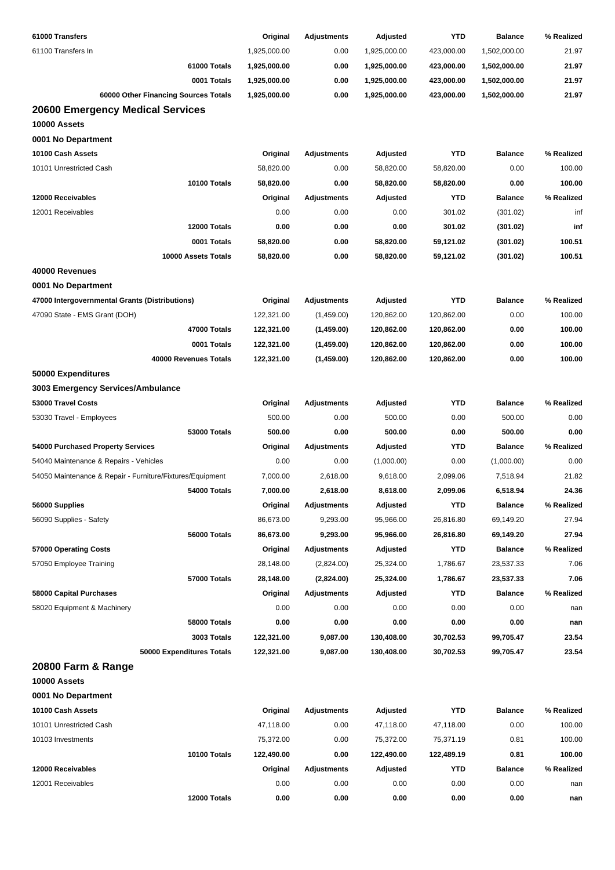| 61000 Transfers                                           | Original     | <b>Adjustments</b> | Adjusted     | <b>YTD</b> | <b>Balance</b> | % Realized |
|-----------------------------------------------------------|--------------|--------------------|--------------|------------|----------------|------------|
| 61100 Transfers In                                        | 1,925,000.00 | 0.00               | 1,925,000.00 | 423,000.00 | 1,502,000.00   | 21.97      |
| 61000 Totals                                              | 1,925,000.00 | 0.00               | 1,925,000.00 | 423,000.00 | 1,502,000.00   | 21.97      |
| 0001 Totals                                               | 1,925,000.00 | 0.00               | 1,925,000.00 | 423,000.00 | 1,502,000.00   | 21.97      |
| 60000 Other Financing Sources Totals                      | 1,925,000.00 | 0.00               | 1,925,000.00 | 423,000.00 | 1,502,000.00   | 21.97      |
| <b>20600 Emergency Medical Services</b>                   |              |                    |              |            |                |            |
| 10000 Assets                                              |              |                    |              |            |                |            |
| 0001 No Department                                        |              |                    |              |            |                |            |
| 10100 Cash Assets                                         | Original     | <b>Adjustments</b> | Adjusted     | <b>YTD</b> | <b>Balance</b> | % Realized |
| 10101 Unrestricted Cash                                   | 58,820.00    | 0.00               | 58,820.00    | 58,820.00  | 0.00           | 100.00     |
| 10100 Totals                                              | 58,820.00    | 0.00               | 58,820.00    | 58,820.00  | 0.00           | 100.00     |
| 12000 Receivables                                         | Original     | <b>Adjustments</b> | Adjusted     | <b>YTD</b> | <b>Balance</b> | % Realized |
| 12001 Receivables                                         | 0.00         | 0.00               | 0.00         | 301.02     | (301.02)       | inf        |
| 12000 Totals                                              | 0.00         | 0.00               | 0.00         | 301.02     | (301.02)       | inf        |
| 0001 Totals                                               | 58,820.00    | 0.00               | 58,820.00    | 59,121.02  | (301.02)       | 100.51     |
| 10000 Assets Totals                                       | 58,820.00    | 0.00               | 58,820.00    | 59,121.02  | (301.02)       | 100.51     |
| 40000 Revenues                                            |              |                    |              |            |                |            |
| 0001 No Department                                        |              |                    |              |            |                |            |
| 47000 Intergovernmental Grants (Distributions)            | Original     | <b>Adjustments</b> | Adjusted     | <b>YTD</b> | <b>Balance</b> | % Realized |
| 47090 State - EMS Grant (DOH)                             | 122,321.00   | (1,459.00)         | 120,862.00   | 120,862.00 | 0.00           | 100.00     |
| 47000 Totals                                              | 122,321.00   | (1,459.00)         | 120,862.00   | 120,862.00 | 0.00           | 100.00     |
| 0001 Totals                                               | 122,321.00   | (1,459.00)         | 120,862.00   | 120,862.00 | 0.00           | 100.00     |
| 40000 Revenues Totals                                     | 122,321.00   | (1,459.00)         | 120,862.00   | 120,862.00 | 0.00           | 100.00     |
| 50000 Expenditures                                        |              |                    |              |            |                |            |
| 3003 Emergency Services/Ambulance                         |              |                    |              |            |                |            |
| 53000 Travel Costs                                        | Original     | <b>Adjustments</b> | Adjusted     | <b>YTD</b> | <b>Balance</b> | % Realized |
| 53030 Travel - Employees                                  | 500.00       | 0.00               | 500.00       | 0.00       | 500.00         | 0.00       |
| <b>53000 Totals</b>                                       | 500.00       | 0.00               | 500.00       | 0.00       | 500.00         | 0.00       |
| 54000 Purchased Property Services                         |              | <b>Adjustments</b> | Adjusted     | YTD        | <b>Balance</b> | % Realized |
|                                                           | Original     |                    |              |            |                |            |
| 54040 Maintenance & Repairs - Vehicles                    | 0.00         | 0.00               | (1,000.00)   | 0.00       | (1,000.00)     | 0.00       |
| 54050 Maintenance & Repair - Furniture/Fixtures/Equipment | 7,000.00     | 2,618.00           | 9,618.00     | 2,099.06   | 7,518.94       | 21.82      |
| 54000 Totals                                              | 7,000.00     | 2,618.00           | 8,618.00     | 2,099.06   | 6,518.94       | 24.36      |
| 56000 Supplies                                            | Original     | <b>Adjustments</b> | Adjusted     | <b>YTD</b> | <b>Balance</b> | % Realized |
| 56090 Supplies - Safety                                   | 86,673.00    | 9,293.00           | 95,966.00    | 26,816.80  | 69,149.20      | 27.94      |
| 56000 Totals                                              | 86,673.00    | 9,293.00           | 95,966.00    | 26,816.80  | 69,149.20      | 27.94      |
| 57000 Operating Costs                                     | Original     | <b>Adjustments</b> | Adjusted     | <b>YTD</b> | <b>Balance</b> | % Realized |
| 57050 Employee Training                                   | 28,148.00    | (2,824.00)         | 25,324.00    | 1,786.67   | 23,537.33      | 7.06       |
| 57000 Totals                                              | 28,148.00    | (2,824.00)         | 25,324.00    | 1,786.67   | 23,537.33      | 7.06       |
| 58000 Capital Purchases                                   | Original     | <b>Adjustments</b> | Adjusted     | YTD        | <b>Balance</b> | % Realized |
| 58020 Equipment & Machinery                               | 0.00         | 0.00               | 0.00         | 0.00       | 0.00           | nan        |
| 58000 Totals                                              | 0.00         | 0.00               | 0.00         | 0.00       | 0.00           | nan        |
| 3003 Totals                                               | 122,321.00   | 9,087.00           | 130,408.00   | 30,702.53  | 99,705.47      | 23.54      |
| 50000 Expenditures Totals                                 | 122,321.00   | 9,087.00           | 130,408.00   | 30,702.53  | 99,705.47      | 23.54      |
| 20800 Farm & Range                                        |              |                    |              |            |                |            |
| 10000 Assets                                              |              |                    |              |            |                |            |
| 0001 No Department                                        |              |                    |              |            |                |            |
| 10100 Cash Assets                                         | Original     | <b>Adjustments</b> | Adjusted     | <b>YTD</b> | <b>Balance</b> | % Realized |
| 10101 Unrestricted Cash                                   | 47,118.00    | 0.00               | 47,118.00    | 47,118.00  | 0.00           | 100.00     |
| 10103 Investments                                         | 75,372.00    | 0.00               | 75,372.00    | 75,371.19  | 0.81           | 100.00     |
| 10100 Totals                                              | 122,490.00   | 0.00               | 122,490.00   | 122,489.19 | 0.81           | 100.00     |
| 12000 Receivables                                         | Original     | <b>Adjustments</b> | Adjusted     | YTD        | <b>Balance</b> | % Realized |
| 12001 Receivables                                         | 0.00         | 0.00               | 0.00         | 0.00       | 0.00           | nan        |
| 12000 Totals                                              | 0.00         | 0.00               | 0.00         | 0.00       | 0.00           | nan        |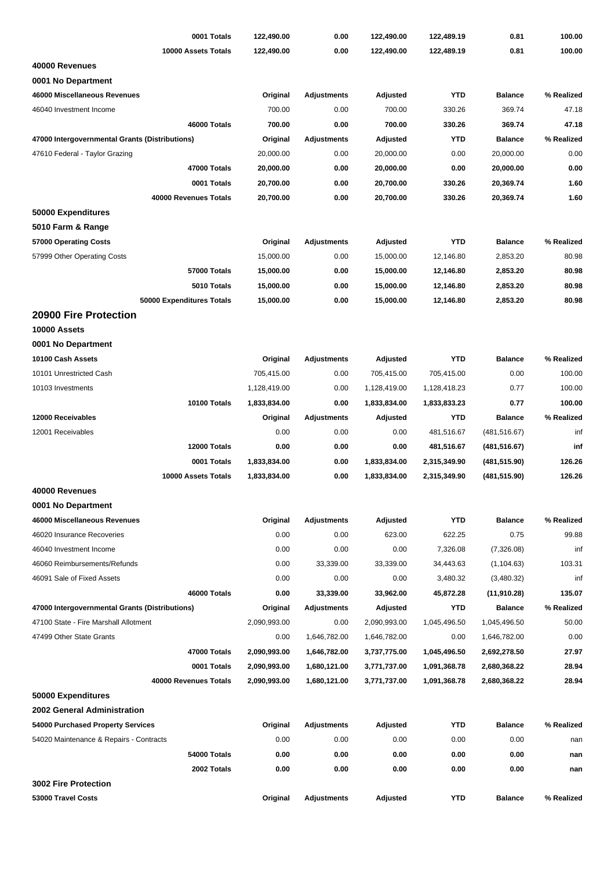| 0001 Totals                                    | 122,490.00   | 0.00               | 122,490.00   | 122,489.19   | 0.81           | 100.00     |
|------------------------------------------------|--------------|--------------------|--------------|--------------|----------------|------------|
| 10000 Assets Totals                            | 122,490.00   | 0.00               | 122,490.00   | 122,489.19   | 0.81           | 100.00     |
| 40000 Revenues                                 |              |                    |              |              |                |            |
| 0001 No Department                             |              |                    |              |              |                |            |
| 46000 Miscellaneous Revenues                   | Original     | <b>Adjustments</b> | Adjusted     | <b>YTD</b>   | <b>Balance</b> | % Realized |
| 46040 Investment Income                        | 700.00       | 0.00               | 700.00       | 330.26       | 369.74         | 47.18      |
| 46000 Totals                                   | 700.00       | 0.00               | 700.00       | 330.26       | 369.74         | 47.18      |
| 47000 Intergovernmental Grants (Distributions) | Original     | <b>Adjustments</b> | Adjusted     | <b>YTD</b>   | <b>Balance</b> | % Realized |
| 47610 Federal - Taylor Grazing                 | 20,000.00    | 0.00               | 20,000.00    | 0.00         | 20,000.00      | 0.00       |
| 47000 Totals                                   | 20,000.00    | 0.00               | 20,000.00    | 0.00         | 20,000.00      | 0.00       |
| 0001 Totals                                    | 20,700.00    | 0.00               | 20,700.00    | 330.26       | 20,369.74      | 1.60       |
| 40000 Revenues Totals                          | 20,700.00    | 0.00               | 20,700.00    | 330.26       | 20,369.74      | 1.60       |
| 50000 Expenditures                             |              |                    |              |              |                |            |
| 5010 Farm & Range                              |              |                    |              |              |                |            |
| 57000 Operating Costs                          | Original     | <b>Adjustments</b> | Adjusted     | <b>YTD</b>   | <b>Balance</b> | % Realized |
| 57999 Other Operating Costs                    | 15,000.00    | 0.00               | 15,000.00    | 12,146.80    | 2,853.20       | 80.98      |
| 57000 Totals                                   | 15,000.00    | 0.00               | 15,000.00    | 12,146.80    | 2,853.20       | 80.98      |
| 5010 Totals                                    | 15,000.00    | 0.00               | 15,000.00    | 12,146.80    | 2,853.20       | 80.98      |
| 50000 Expenditures Totals                      | 15,000.00    | 0.00               | 15,000.00    | 12,146.80    | 2,853.20       | 80.98      |
| 20900 Fire Protection                          |              |                    |              |              |                |            |
| 10000 Assets                                   |              |                    |              |              |                |            |
| 0001 No Department                             |              |                    |              |              |                |            |
| 10100 Cash Assets                              | Original     | <b>Adjustments</b> | Adjusted     | <b>YTD</b>   | <b>Balance</b> | % Realized |
| 10101 Unrestricted Cash                        | 705,415.00   | 0.00               | 705,415.00   | 705,415.00   | 0.00           | 100.00     |
| 10103 Investments                              | 1,128,419.00 | 0.00               | 1,128,419.00 | 1,128,418.23 | 0.77           | 100.00     |
| 10100 Totals                                   | 1,833,834.00 | 0.00               | 1,833,834.00 | 1,833,833.23 | 0.77           | 100.00     |
| 12000 Receivables                              | Original     | <b>Adjustments</b> | Adjusted     | <b>YTD</b>   | <b>Balance</b> | % Realized |
| 12001 Receivables                              | 0.00         | 0.00               | 0.00         | 481,516.67   | (481, 516.67)  | inf        |
| 12000 Totals                                   | 0.00         | 0.00               | 0.00         | 481,516.67   | (481, 516.67)  | inf        |
| 0001 Totals                                    | 1,833,834.00 | 0.00               | 1,833,834.00 | 2,315,349.90 | (481, 515.90)  | 126.26     |
| 10000 Assets Totals                            | 1,833,834.00 | 0.00               | 1,833,834.00 | 2,315,349.90 | (481, 515.90)  | 126.26     |
| 40000 Revenues                                 |              |                    |              |              |                |            |
| 0001 No Department                             |              |                    |              |              |                |            |
| 46000 Miscellaneous Revenues                   | Original     | <b>Adjustments</b> | Adjusted     | <b>YTD</b>   | <b>Balance</b> | % Realized |
| 46020 Insurance Recoveries                     | 0.00         | 0.00               | 623.00       | 622.25       | 0.75           | 99.88      |
| 46040 Investment Income                        | 0.00         | 0.00               | 0.00         | 7,326.08     | (7,326.08)     | inf        |
| 46060 Reimbursements/Refunds                   | 0.00         | 33,339.00          | 33,339.00    | 34,443.63    | (1, 104.63)    | 103.31     |
| 46091 Sale of Fixed Assets                     | 0.00         | 0.00               | 0.00         | 3,480.32     | (3,480.32)     | inf        |
| 46000 Totals                                   | 0.00         | 33,339.00          | 33,962.00    | 45,872.28    | (11,910.28)    | 135.07     |
| 47000 Intergovernmental Grants (Distributions) | Original     | <b>Adjustments</b> | Adjusted     | <b>YTD</b>   | <b>Balance</b> | % Realized |
| 47100 State - Fire Marshall Allotment          | 2,090,993.00 | 0.00               | 2,090,993.00 | 1,045,496.50 | 1,045,496.50   | 50.00      |
| 47499 Other State Grants                       | 0.00         | 1,646,782.00       | 1,646,782.00 | 0.00         | 1,646,782.00   | 0.00       |
| 47000 Totals                                   | 2,090,993.00 | 1,646,782.00       | 3,737,775.00 | 1,045,496.50 | 2,692,278.50   | 27.97      |
| 0001 Totals                                    | 2,090,993.00 | 1,680,121.00       | 3,771,737.00 | 1,091,368.78 | 2,680,368.22   | 28.94      |
| 40000 Revenues Totals                          | 2,090,993.00 | 1,680,121.00       | 3,771,737.00 | 1,091,368.78 | 2,680,368.22   | 28.94      |
| 50000 Expenditures                             |              |                    |              |              |                |            |
| 2002 General Administration                    |              |                    |              |              |                |            |
| 54000 Purchased Property Services              | Original     | <b>Adjustments</b> | Adjusted     | YTD          | <b>Balance</b> | % Realized |
| 54020 Maintenance & Repairs - Contracts        | 0.00         | 0.00               | 0.00         | 0.00         | 0.00           | nan        |
| 54000 Totals                                   | 0.00         | 0.00               | 0.00         | 0.00         | 0.00           | nan        |
| 2002 Totals                                    | 0.00         | 0.00               | 0.00         | 0.00         | 0.00           | nan        |
| 3002 Fire Protection                           |              |                    |              |              |                |            |
| 53000 Travel Costs                             | Original     | <b>Adjustments</b> | Adjusted     | YTD          | <b>Balance</b> | % Realized |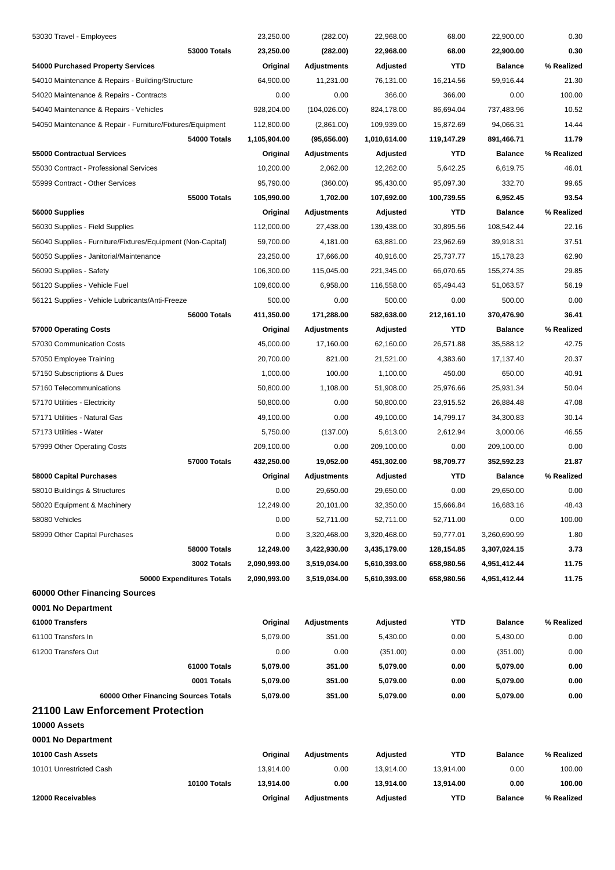| 12000 Receivables                                           | Original                 | <b>Adjustments</b>                | Adjusted                 | <b>YTD</b>               | <b>Balance</b>               | % Realized          |
|-------------------------------------------------------------|--------------------------|-----------------------------------|--------------------------|--------------------------|------------------------------|---------------------|
| 10100 Totals                                                | 13,914.00                | 0.00                              | 13,914.00                | 13,914.00                | 0.00                         | 100.00              |
| 10101 Unrestricted Cash                                     | 13,914.00                | 0.00                              | 13,914.00                | 13,914.00                | 0.00                         | 100.00              |
| 10100 Cash Assets                                           | Original                 | <b>Adjustments</b>                | Adjusted                 | <b>YTD</b>               | <b>Balance</b>               | % Realized          |
| 0001 No Department                                          |                          |                                   |                          |                          |                              |                     |
| 10000 Assets                                                |                          |                                   |                          |                          |                              |                     |
| 21100 Law Enforcement Protection                            |                          |                                   |                          |                          |                              |                     |
| 60000 Other Financing Sources Totals                        | 5,079.00                 | 351.00                            | 5,079.00                 | 0.00                     | 5,079.00                     | 0.00                |
| 0001 Totals                                                 | 5,079.00                 | 351.00                            | 5,079.00                 | 0.00                     | 5,079.00                     | 0.00                |
| 61000 Totals                                                | 5,079.00                 | 351.00                            | 5,079.00                 | 0.00                     | 5,079.00                     | 0.00                |
| 61200 Transfers Out                                         | 0.00                     | 0.00                              | (351.00)                 | 0.00                     | (351.00)                     | 0.00                |
| 61100 Transfers In                                          | 5,079.00                 | 351.00                            | 5,430.00                 | 0.00                     | 5,430.00                     | 0.00                |
| 61000 Transfers                                             | Original                 | <b>Adjustments</b>                | Adjusted                 | <b>YTD</b>               | <b>Balance</b>               | % Realized          |
| 0001 No Department                                          |                          |                                   |                          |                          |                              |                     |
| 60000 Other Financing Sources                               |                          |                                   |                          |                          |                              |                     |
| 50000 Expenditures Totals                                   | 2,090,993.00             | 3,519,034.00                      | 5,610,393.00             | 658,980.56               | 4,951,412.44                 | 11.75               |
| 3002 Totals                                                 | 2,090,993.00             | 3,519,034.00                      | 5,610,393.00             | 658,980.56               | 4,951,412.44                 | 11.75               |
| 58000 Totals                                                | 12,249.00                | 3,422,930.00                      | 3,435,179.00             | 128,154.85               | 3,307,024.15                 | 3.73                |
| 58999 Other Capital Purchases                               | 0.00                     | 3,320,468.00                      | 3,320,468.00             | 59,777.01                | 3,260,690.99                 | 1.80                |
| 58080 Vehicles                                              | 0.00                     | 52,711.00                         | 52,711.00                | 52,711.00                | 0.00                         | 100.00              |
| 58020 Equipment & Machinery                                 | 12,249.00                | 20,101.00                         | 32,350.00                | 15,666.84                | 16,683.16                    | 48.43               |
| 58010 Buildings & Structures                                | 0.00                     | 29,650.00                         | 29,650.00                | 0.00                     | 29,650.00                    | 0.00                |
| 58000 Capital Purchases                                     | Original                 | Adjustments                       | Adjusted                 | YTD                      | <b>Balance</b>               | % Realized          |
| 57000 Totals                                                | 432,250.00               | 19,052.00                         | 451,302.00               | 98,709.77                | 352,592.23                   | 21.87               |
| 57999 Other Operating Costs                                 | 209,100.00               | 0.00                              | 209,100.00               | 0.00                     | 209,100.00                   | 0.00                |
| 57173 Utilities - Water                                     | 5,750.00                 | (137.00)                          | 5,613.00                 | 2,612.94                 | 3,000.06                     | 46.55               |
| 57171 Utilities - Natural Gas                               | 49,100.00                | 0.00                              | 49,100.00                | 14,799.17                | 34,300.83                    | 30.14               |
| 57170 Utilities - Electricity                               | 50,800.00                | 0.00                              | 50,800.00                | 23,915.52                | 26,884.48                    | 47.08               |
| 57160 Telecommunications                                    | 50,800.00                | 1,108.00                          | 51,908.00                | 25,976.66                | 25,931.34                    | 50.04               |
| 57150 Subscriptions & Dues                                  | 1,000.00                 | 100.00                            | 1,100.00                 | 450.00                   | 650.00                       | 40.91               |
| 57050 Employee Training                                     | 20,700.00                | 821.00                            | 21,521.00                | 4,383.60                 | 17,137.40                    | 20.37               |
| 57030 Communication Costs                                   | 45,000.00                | 17,160.00                         | 62,160.00                | 26,571.88                | 35,588.12                    | 42.75               |
| 57000 Operating Costs                                       | Original                 | <b>Adjustments</b>                | Adjusted                 | YTD                      | <b>Balance</b>               | % Realized          |
| 56000 Totals                                                | 411,350.00               | 171,288.00                        | 582,638.00               | 212,161.10               | 370,476.90                   | 36.41               |
| 56121 Supplies - Vehicle Lubricants/Anti-Freeze             | 500.00                   | 0.00                              | 500.00                   | 0.00                     | 500.00                       | 0.00                |
| 56120 Supplies - Vehicle Fuel                               | 109,600.00               | 6,958.00                          | 116,558.00               | 65,494.43                | 51,063.57                    | 56.19               |
| 56090 Supplies - Safety                                     | 106,300.00               | 115,045.00                        | 221,345.00               | 66,070.65                | 155,274.35                   | 29.85               |
| 56050 Supplies - Janitorial/Maintenance                     | 23,250.00                | 17,666.00                         | 40,916.00                | 25,737.77                | 15,178.23                    | 62.90               |
| 56040 Supplies - Furniture/Fixtures/Equipment (Non-Capital) | 59,700.00                | 4,181.00                          | 63,881.00                | 23,962.69                | 39,918.31                    | 37.51               |
| 56030 Supplies - Field Supplies                             | 112,000.00               | 27,438.00                         | 139,438.00               | 30,895.56                | 108,542.44                   | 22.16               |
| 56000 Supplies                                              | Original                 | <b>Adjustments</b>                | Adjusted                 | <b>YTD</b>               | <b>Balance</b>               | % Realized          |
| 55000 Totals                                                | 105,990.00               | 1,702.00                          | 107,692.00               | 100,739.55               | 6,952.45                     | 93.54               |
| 55999 Contract - Other Services                             | 95,790.00                | (360.00)                          | 95,430.00                | 95,097.30                | 332.70                       | 99.65               |
| 55030 Contract - Professional Services                      | 10,200.00                | 2,062.00                          | 12,262.00                | 5,642.25                 | 6,619.75                     | 46.01               |
| 54000 Totals<br>55000 Contractual Services                  | 1,105,904.00<br>Original | (95,656.00)<br><b>Adjustments</b> | 1,010,614.00<br>Adjusted | 119,147.29<br><b>YTD</b> | 891,466.71<br><b>Balance</b> | 11.79<br>% Realized |
| 54050 Maintenance & Repair - Furniture/Fixtures/Equipment   | 112,800.00               | (2,861.00)                        | 109,939.00               | 15,872.69                | 94,066.31                    | 14.44               |
| 54040 Maintenance & Repairs - Vehicles                      | 928,204.00               | (104, 026.00)                     | 824,178.00               | 86,694.04                | 737,483.96                   | 10.52               |
| 54020 Maintenance & Repairs - Contracts                     | 0.00                     | 0.00                              | 366.00                   | 366.00                   | 0.00                         | 100.00              |
| 54010 Maintenance & Repairs - Building/Structure            | 64,900.00                | 11,231.00                         | 76,131.00                | 16,214.56                | 59,916.44                    | 21.30               |
| 54000 Purchased Property Services                           | Original                 | <b>Adjustments</b>                | Adjusted                 | <b>YTD</b>               | <b>Balance</b>               | % Realized          |
| 53000 Totals                                                | 23,250.00                | (282.00)                          | 22,968.00                | 68.00                    | 22,900.00                    | 0.30                |
| 53030 Travel - Employees                                    | 23,250.00                | (282.00)                          | 22,968.00                | 68.00                    | 22,900.00                    | 0.30                |
|                                                             |                          |                                   |                          |                          |                              |                     |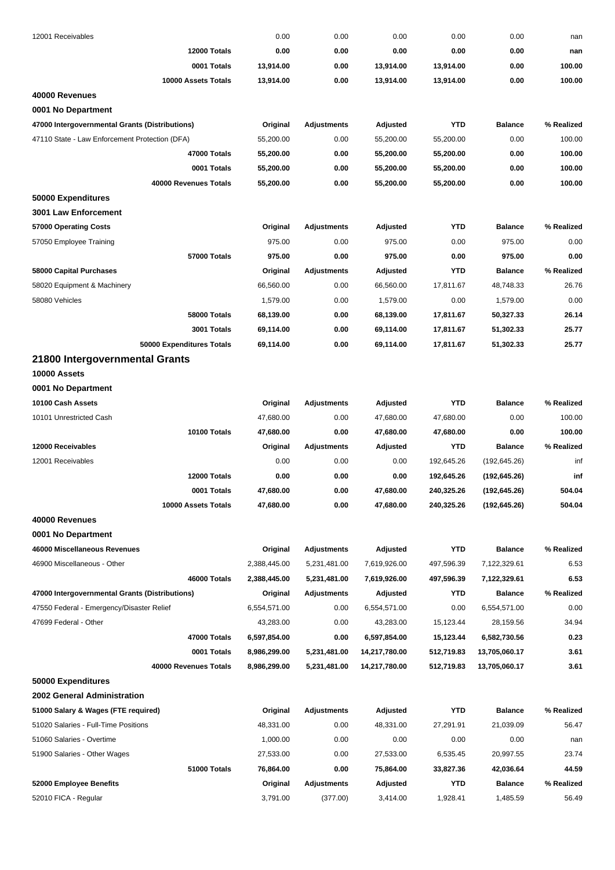| 12001 Receivables                              | 0.00         | 0.00               | 0.00                   | 0.00       | 0.00                   | nan        |
|------------------------------------------------|--------------|--------------------|------------------------|------------|------------------------|------------|
| 12000 Totals                                   | 0.00         | 0.00               | 0.00                   | 0.00       | 0.00                   | nan        |
| 0001 Totals                                    | 13,914.00    | 0.00               | 13,914.00              | 13,914.00  | 0.00                   | 100.00     |
| 10000 Assets Totals                            | 13,914.00    | 0.00               | 13,914.00              | 13,914.00  | 0.00                   | 100.00     |
| 40000 Revenues                                 |              |                    |                        |            |                        |            |
| 0001 No Department                             |              |                    |                        |            |                        |            |
| 47000 Intergovernmental Grants (Distributions) | Original     | <b>Adjustments</b> | Adjusted               | <b>YTD</b> | <b>Balance</b>         | % Realized |
| 47110 State - Law Enforcement Protection (DFA) | 55,200.00    | 0.00               | 55,200.00              | 55,200.00  | 0.00                   | 100.00     |
| 47000 Totals                                   | 55,200.00    | 0.00               | 55,200.00              | 55,200.00  | 0.00                   | 100.00     |
| 0001 Totals                                    | 55,200.00    | 0.00               | 55,200.00              | 55,200.00  | 0.00                   | 100.00     |
| 40000 Revenues Totals                          | 55,200.00    | 0.00               | 55,200.00              | 55,200.00  | 0.00                   | 100.00     |
| 50000 Expenditures                             |              |                    |                        |            |                        |            |
| 3001 Law Enforcement                           |              |                    |                        |            |                        |            |
| 57000 Operating Costs                          | Original     | <b>Adjustments</b> | Adjusted               | <b>YTD</b> | <b>Balance</b>         | % Realized |
| 57050 Employee Training                        | 975.00       | 0.00               | 975.00                 | 0.00       | 975.00                 | 0.00       |
| 57000 Totals                                   | 975.00       | 0.00               | 975.00                 | 0.00       | 975.00                 | 0.00       |
| <b>58000 Capital Purchases</b>                 | Original     | <b>Adjustments</b> | Adjusted               | <b>YTD</b> | <b>Balance</b>         | % Realized |
| 58020 Equipment & Machinery                    | 66,560.00    | 0.00               | 66,560.00              | 17,811.67  | 48,748.33              | 26.76      |
| 58080 Vehicles                                 | 1,579.00     | 0.00               | 1,579.00               | 0.00       | 1,579.00               | 0.00       |
| 58000 Totals                                   | 68,139.00    | 0.00               | 68,139.00              | 17,811.67  | 50,327.33              | 26.14      |
| 3001 Totals                                    | 69,114.00    | 0.00               | 69,114.00              | 17,811.67  | 51,302.33              | 25.77      |
| 50000 Expenditures Totals                      | 69,114.00    | 0.00               | 69,114.00              | 17,811.67  | 51,302.33              | 25.77      |
| 21800 Intergovernmental Grants                 |              |                    |                        |            |                        |            |
| 10000 Assets                                   |              |                    |                        |            |                        |            |
| 0001 No Department                             |              |                    |                        |            |                        |            |
| 10100 Cash Assets                              | Original     | <b>Adjustments</b> | Adjusted               | <b>YTD</b> | <b>Balance</b>         | % Realized |
| 10101 Unrestricted Cash                        | 47,680.00    | 0.00               | 47,680.00              | 47,680.00  | 0.00                   | 100.00     |
| 10100 Totals                                   | 47,680.00    | 0.00               | 47,680.00              | 47,680.00  | 0.00                   | 100.00     |
| 12000 Receivables                              | Original     | <b>Adjustments</b> | Adjusted               | <b>YTD</b> | <b>Balance</b>         | % Realized |
| 12001 Receivables                              | 0.00         | 0.00               | 0.00                   | 192,645.26 | (192, 645.26)          | inf        |
| 12000 Totals                                   | 0.00         | 0.00               | 0.00                   | 192,645.26 | (192, 645.26)          | inf        |
| 0001 Totals                                    | 47,680.00    | 0.00               | 47,680.00              | 240,325.26 | (192,645.26)           | 504.04     |
| 10000 Assets Totals                            | 47,680.00    | 0.00               | 47,680.00              | 240,325.26 | (192, 645.26)          | 504.04     |
| 40000 Revenues                                 |              |                    |                        |            |                        |            |
| 0001 No Department                             |              |                    |                        |            |                        |            |
| 46000 Miscellaneous Revenues                   | Original     | Adjustments        | Adjusted               | <b>YTD</b> | <b>Balance</b>         | % Realized |
| 46900 Miscellaneous - Other                    | 2,388,445.00 | 5,231,481.00       | 7,619,926.00           | 497,596.39 | 7,122,329.61           | 6.53       |
| 46000 Totals                                   | 2,388,445.00 | 5,231,481.00       | 7,619,926.00           | 497,596.39 | 7,122,329.61           | 6.53       |
| 47000 Intergovernmental Grants (Distributions) | Original     | <b>Adjustments</b> | Adjusted               | <b>YTD</b> | <b>Balance</b>         | % Realized |
| 47550 Federal - Emergency/Disaster Relief      | 6,554,571.00 | 0.00               | 6,554,571.00           | 0.00       | 6,554,571.00           | 0.00       |
| 47699 Federal - Other                          | 43,283.00    | 0.00               | 43,283.00              | 15,123.44  | 28,159.56              | 34.94      |
| 47000 Totals                                   | 6,597,854.00 | 0.00               | 6,597,854.00           | 15,123.44  | 6,582,730.56           | 0.23       |
| 0001 Totals                                    | 8,986,299.00 | 5,231,481.00       | 14,217,780.00          | 512,719.83 | 13,705,060.17          | 3.61       |
| 40000 Revenues Totals                          | 8,986,299.00 | 5,231,481.00       | 14,217,780.00          | 512,719.83 | 13,705,060.17          | 3.61       |
| 50000 Expenditures                             |              |                    |                        |            |                        |            |
| 2002 General Administration                    |              |                    |                        |            |                        |            |
| 51000 Salary & Wages (FTE required)            | Original     | Adjustments        | Adjusted               | <b>YTD</b> | <b>Balance</b>         | % Realized |
| 51020 Salaries - Full-Time Positions           | 48,331.00    | 0.00               | 48,331.00              | 27,291.91  | 21,039.09              | 56.47      |
| 51060 Salaries - Overtime                      | 1,000.00     | 0.00               | 0.00                   | 0.00       | 0.00                   | nan        |
|                                                | 27,533.00    | 0.00               |                        | 6,535.45   |                        | 23.74      |
| 51900 Salaries - Other Wages<br>51000 Totals   | 76,864.00    | 0.00               | 27,533.00<br>75,864.00 | 33,827.36  | 20,997.55<br>42,036.64 | 44.59      |
|                                                |              |                    |                        | <b>YTD</b> |                        |            |
| 52000 Employee Benefits                        | Original     | <b>Adjustments</b> | Adjusted               |            | <b>Balance</b>         | % Realized |
| 52010 FICA - Regular                           | 3,791.00     | (377.00)           | 3,414.00               | 1,928.41   | 1,485.59               | 56.49      |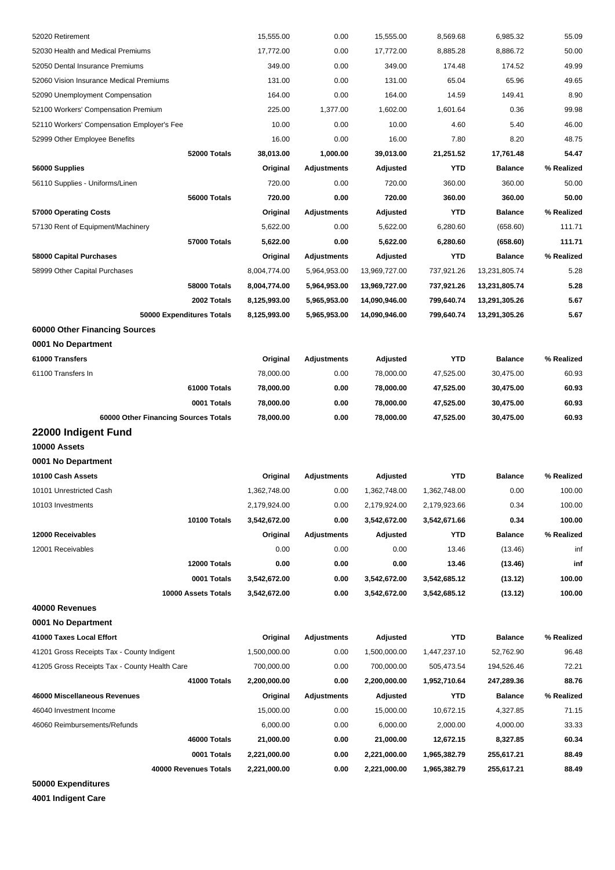| 52020 Retirement                              | 15,555.00    | 0.00               | 15,555.00     | 8,569.68     | 6,985.32       | 55.09      |
|-----------------------------------------------|--------------|--------------------|---------------|--------------|----------------|------------|
| 52030 Health and Medical Premiums             | 17,772.00    | 0.00               | 17,772.00     | 8,885.28     | 8,886.72       | 50.00      |
| 52050 Dental Insurance Premiums               | 349.00       | 0.00               | 349.00        | 174.48       | 174.52         | 49.99      |
| 52060 Vision Insurance Medical Premiums       | 131.00       | 0.00               | 131.00        | 65.04        | 65.96          | 49.65      |
| 52090 Unemployment Compensation               | 164.00       | 0.00               | 164.00        | 14.59        | 149.41         | 8.90       |
| 52100 Workers' Compensation Premium           | 225.00       | 1,377.00           | 1,602.00      | 1,601.64     | 0.36           | 99.98      |
| 52110 Workers' Compensation Employer's Fee    | 10.00        | 0.00               | 10.00         | 4.60         | 5.40           | 46.00      |
| 52999 Other Employee Benefits                 | 16.00        | 0.00               | 16.00         | 7.80         | 8.20           | 48.75      |
| 52000 Totals                                  | 38,013.00    | 1,000.00           | 39,013.00     | 21,251.52    | 17,761.48      | 54.47      |
| 56000 Supplies                                | Original     | <b>Adjustments</b> | Adjusted      | YTD          | <b>Balance</b> | % Realized |
| 56110 Supplies - Uniforms/Linen               | 720.00       | 0.00               | 720.00        | 360.00       | 360.00         | 50.00      |
| 56000 Totals                                  | 720.00       | 0.00               | 720.00        | 360.00       | 360.00         | 50.00      |
| 57000 Operating Costs                         | Original     | <b>Adjustments</b> | Adjusted      | YTD          | <b>Balance</b> | % Realized |
| 57130 Rent of Equipment/Machinery             | 5,622.00     | 0.00               | 5,622.00      | 6,280.60     | (658.60)       | 111.71     |
| 57000 Totals                                  | 5,622.00     | 0.00               | 5,622.00      | 6,280.60     | (658.60)       | 111.71     |
| 58000 Capital Purchases                       | Original     | Adjustments        | Adjusted      | YTD          | <b>Balance</b> | % Realized |
| 58999 Other Capital Purchases                 | 8,004,774.00 | 5,964,953.00       | 13,969,727.00 | 737,921.26   | 13,231,805.74  | 5.28       |
| <b>58000 Totals</b>                           | 8,004,774.00 | 5,964,953.00       | 13,969,727.00 | 737,921.26   | 13,231,805.74  | 5.28       |
| 2002 Totals                                   | 8,125,993.00 | 5,965,953.00       | 14,090,946.00 | 799,640.74   | 13,291,305.26  | 5.67       |
| 50000 Expenditures Totals                     | 8,125,993.00 | 5,965,953.00       | 14,090,946.00 | 799,640.74   | 13,291,305.26  | 5.67       |
| 60000 Other Financing Sources                 |              |                    |               |              |                |            |
| 0001 No Department                            |              |                    |               |              |                |            |
| 61000 Transfers                               | Original     | Adjustments        | Adjusted      | <b>YTD</b>   | <b>Balance</b> | % Realized |
| 61100 Transfers In                            | 78,000.00    | 0.00               | 78,000.00     | 47,525.00    | 30,475.00      | 60.93      |
| 61000 Totals                                  | 78,000.00    | 0.00               | 78,000.00     | 47,525.00    | 30,475.00      | 60.93      |
| 0001 Totals                                   | 78,000.00    | 0.00               | 78,000.00     | 47,525.00    | 30,475.00      | 60.93      |
| 60000 Other Financing Sources Totals          | 78,000.00    | 0.00               | 78,000.00     | 47,525.00    | 30,475.00      | 60.93      |
| 22000 Indigent Fund                           |              |                    |               |              |                |            |
| 10000 Assets                                  |              |                    |               |              |                |            |
| 0001 No Department                            |              |                    |               |              |                |            |
| 10100 Cash Assets                             | Original     | Adjustments        | Adjusted      | <b>YTD</b>   | <b>Balance</b> | % Realized |
| 10101 Unrestricted Cash                       | 1,362,748.00 | 0.00               | 1,362,748.00  | 1.362.748.00 | 0.00           | 100.00     |
| 10103 Investments                             | 2,179,924.00 | 0.00               | 2,179,924.00  | 2,179,923.66 | 0.34           | 100.00     |
| 10100 Totals                                  | 3,542,672.00 | 0.00               | 3,542,672.00  | 3,542,671.66 | 0.34           | 100.00     |
| 12000 Receivables                             | Original     | <b>Adjustments</b> | Adjusted      | YTD          | <b>Balance</b> | % Realized |
| 12001 Receivables                             | 0.00         | 0.00               | 0.00          | 13.46        | (13.46)        | inf        |
| 12000 Totals                                  | 0.00         | 0.00               | 0.00          | 13.46        | (13.46)        | inf        |
| 0001 Totals                                   | 3,542,672.00 | 0.00               | 3,542,672.00  | 3,542,685.12 | (13.12)        | 100.00     |
| 10000 Assets Totals                           | 3,542,672.00 | 0.00               | 3,542,672.00  | 3,542,685.12 | (13.12)        | 100.00     |
| 40000 Revenues                                |              |                    |               |              |                |            |
| 0001 No Department                            |              |                    |               |              |                |            |
| 41000 Taxes Local Effort                      | Original     | <b>Adjustments</b> | Adjusted      | <b>YTD</b>   | <b>Balance</b> | % Realized |
| 41201 Gross Receipts Tax - County Indigent    | 1,500,000.00 | 0.00               | 1,500,000.00  | 1,447,237.10 | 52,762.90      | 96.48      |
| 41205 Gross Receipts Tax - County Health Care | 700,000.00   | 0.00               | 700,000.00    | 505,473.54   | 194,526.46     | 72.21      |
| 41000 Totals                                  | 2,200,000.00 | 0.00               | 2,200,000.00  | 1,952,710.64 | 247,289.36     | 88.76      |
| 46000 Miscellaneous Revenues                  | Original     | <b>Adjustments</b> | Adjusted      | YTD          | <b>Balance</b> | % Realized |
| 46040 Investment Income                       | 15,000.00    | 0.00               | 15,000.00     | 10,672.15    | 4,327.85       | 71.15      |
| 46060 Reimbursements/Refunds                  | 6,000.00     | 0.00               | 6,000.00      | 2,000.00     | 4,000.00       | 33.33      |
| 46000 Totals                                  | 21,000.00    | 0.00               | 21,000.00     | 12,672.15    | 8,327.85       | 60.34      |
| 0001 Totals                                   | 2,221,000.00 | 0.00               | 2,221,000.00  | 1,965,382.79 | 255,617.21     | 88.49      |
| 40000 Revenues Totals                         | 2,221,000.00 | 0.00               | 2,221,000.00  | 1,965,382.79 | 255,617.21     | 88.49      |
| 50000 Expenditures                            |              |                    |               |              |                |            |

**4001 Indigent Care**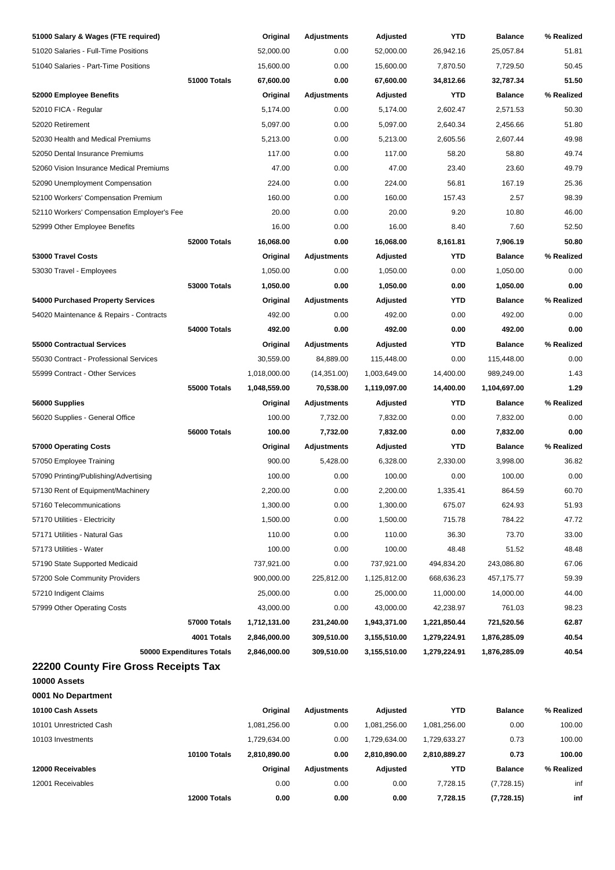| 51000 Salary & Wages (FTE required)        | Original     | <b>Adjustments</b> | Adjusted     | YTD          | <b>Balance</b> | % Realized |
|--------------------------------------------|--------------|--------------------|--------------|--------------|----------------|------------|
| 51020 Salaries - Full-Time Positions       | 52,000.00    | 0.00               | 52,000.00    | 26,942.16    | 25,057.84      | 51.81      |
| 51040 Salaries - Part-Time Positions       | 15,600.00    | 0.00               | 15,600.00    | 7,870.50     | 7,729.50       | 50.45      |
| 51000 Totals                               | 67,600.00    | 0.00               | 67,600.00    | 34,812.66    | 32,787.34      | 51.50      |
| 52000 Employee Benefits                    | Original     | <b>Adjustments</b> | Adjusted     | <b>YTD</b>   | <b>Balance</b> | % Realized |
| 52010 FICA - Regular                       | 5,174.00     | 0.00               | 5,174.00     | 2,602.47     | 2,571.53       | 50.30      |
| 52020 Retirement                           | 5,097.00     | 0.00               | 5,097.00     | 2,640.34     | 2,456.66       | 51.80      |
| 52030 Health and Medical Premiums          | 5,213.00     | 0.00               | 5,213.00     | 2,605.56     | 2,607.44       | 49.98      |
| 52050 Dental Insurance Premiums            | 117.00       | 0.00               | 117.00       | 58.20        | 58.80          | 49.74      |
| 52060 Vision Insurance Medical Premiums    | 47.00        | 0.00               | 47.00        | 23.40        | 23.60          | 49.79      |
| 52090 Unemployment Compensation            | 224.00       | 0.00               | 224.00       | 56.81        | 167.19         | 25.36      |
| 52100 Workers' Compensation Premium        | 160.00       | 0.00               | 160.00       | 157.43       | 2.57           | 98.39      |
| 52110 Workers' Compensation Employer's Fee | 20.00        | 0.00               | 20.00        | 9.20         | 10.80          | 46.00      |
| 52999 Other Employee Benefits              | 16.00        | 0.00               | 16.00        | 8.40         | 7.60           | 52.50      |
| 52000 Totals                               | 16,068.00    | 0.00               | 16,068.00    | 8,161.81     | 7,906.19       | 50.80      |
| 53000 Travel Costs                         | Original     | <b>Adjustments</b> | Adjusted     | <b>YTD</b>   | <b>Balance</b> | % Realized |
| 53030 Travel - Employees                   | 1,050.00     | 0.00               | 1,050.00     | 0.00         | 1,050.00       | 0.00       |
| <b>53000 Totals</b>                        | 1,050.00     | 0.00               | 1,050.00     | 0.00         | 1,050.00       | 0.00       |
| 54000 Purchased Property Services          | Original     | <b>Adjustments</b> | Adjusted     | <b>YTD</b>   | <b>Balance</b> | % Realized |
| 54020 Maintenance & Repairs - Contracts    | 492.00       | 0.00               | 492.00       | 0.00         | 492.00         | 0.00       |
| 54000 Totals                               | 492.00       | 0.00               | 492.00       | 0.00         | 492.00         | 0.00       |
| 55000 Contractual Services                 | Original     | <b>Adjustments</b> | Adjusted     | <b>YTD</b>   | <b>Balance</b> | % Realized |
| 55030 Contract - Professional Services     | 30,559.00    | 84,889.00          | 115,448.00   | 0.00         | 115,448.00     | 0.00       |
| 55999 Contract - Other Services            | 1,018,000.00 | (14, 351.00)       | 1,003,649.00 | 14,400.00    | 989,249.00     | 1.43       |
| <b>55000 Totals</b>                        | 1,048,559.00 | 70,538.00          | 1,119,097.00 | 14,400.00    | 1,104,697.00   | 1.29       |
| 56000 Supplies                             | Original     | <b>Adjustments</b> | Adjusted     | <b>YTD</b>   | <b>Balance</b> | % Realized |
| 56020 Supplies - General Office            | 100.00       | 7,732.00           | 7,832.00     | 0.00         | 7,832.00       | 0.00       |
| 56000 Totals                               | 100.00       | 7,732.00           | 7,832.00     | 0.00         | 7,832.00       | 0.00       |
| 57000 Operating Costs                      | Original     | <b>Adjustments</b> | Adjusted     | <b>YTD</b>   | <b>Balance</b> | % Realized |
| 57050 Employee Training                    | 900.00       | 5,428.00           | 6,328.00     | 2,330.00     | 3,998.00       | 36.82      |
| 57090 Printing/Publishing/Advertising      | 100.00       | 0.00               | 100.00       | 0.00         | 100.00         | 0.00       |
| 57130 Rent of Equipment/Machinery          | 2,200.00     | 0.00               | 2,200.00     | 1.335.41     | 864.59         | 60.70      |
| 57160 Telecommunications                   | 1,300.00     | 0.00               | 1,300.00     | 675.07       | 624.93         | 51.93      |
| 57170 Utilities - Electricity              | 1,500.00     | 0.00               | 1,500.00     | 715.78       | 784.22         | 47.72      |
| 57171 Utilities - Natural Gas              | 110.00       | 0.00               | 110.00       | 36.30        | 73.70          | 33.00      |
| 57173 Utilities - Water                    | 100.00       | 0.00               | 100.00       | 48.48        | 51.52          | 48.48      |
| 57190 State Supported Medicaid             | 737,921.00   | 0.00               | 737,921.00   | 494,834.20   | 243,086.80     | 67.06      |
| 57200 Sole Community Providers             | 900,000.00   | 225,812.00         | 1,125,812.00 | 668,636.23   | 457,175.77     | 59.39      |
| 57210 Indigent Claims                      | 25,000.00    | 0.00               | 25,000.00    | 11,000.00    | 14,000.00      | 44.00      |
| 57999 Other Operating Costs                | 43,000.00    | 0.00               | 43,000.00    | 42,238.97    | 761.03         | 98.23      |
| 57000 Totals                               | 1,712,131.00 | 231,240.00         | 1,943,371.00 | 1,221,850.44 | 721,520.56     | 62.87      |
| 4001 Totals                                | 2,846,000.00 | 309,510.00         | 3,155,510.00 | 1,279,224.91 | 1,876,285.09   | 40.54      |
| 50000 Expenditures Totals                  | 2,846,000.00 | 309,510.00         | 3,155,510.00 | 1,279,224.91 | 1,876,285.09   | 40.54      |
| 22200 County Fire Gross Receipts Tax       |              |                    |              |              |                |            |
| 10000 Assets                               |              |                    |              |              |                |            |
| 0001 No Department                         |              |                    |              |              |                |            |
| 10100 Cash Assets                          | Original     | <b>Adjustments</b> | Adjusted     | <b>YTD</b>   | <b>Balance</b> | % Realized |
| 10101 Unrestricted Cash                    | 1,081,256.00 | 0.00               | 1,081,256.00 | 1,081,256.00 | 0.00           | 100.00     |
| 10103 Investments                          | 1,729,634.00 | 0.00               | 1,729,634.00 | 1,729,633.27 | 0.73           | 100.00     |
| 10100 Totals                               | 2,810,890.00 | 0.00               | 2,810,890.00 | 2,810,889.27 | 0.73           | 100.00     |
| 12000 Receivables                          | Original     | Adjustments        | Adjusted     | YTD          | <b>Balance</b> | % Realized |
| 12001 Receivables                          | 0.00         | 0.00               | 0.00         | 7,728.15     | (7,728.15)     | inf        |
| 12000 Totals                               | 0.00         | 0.00               | 0.00         | 7,728.15     | (7,728.15)     | inf        |
|                                            |              |                    |              |              |                |            |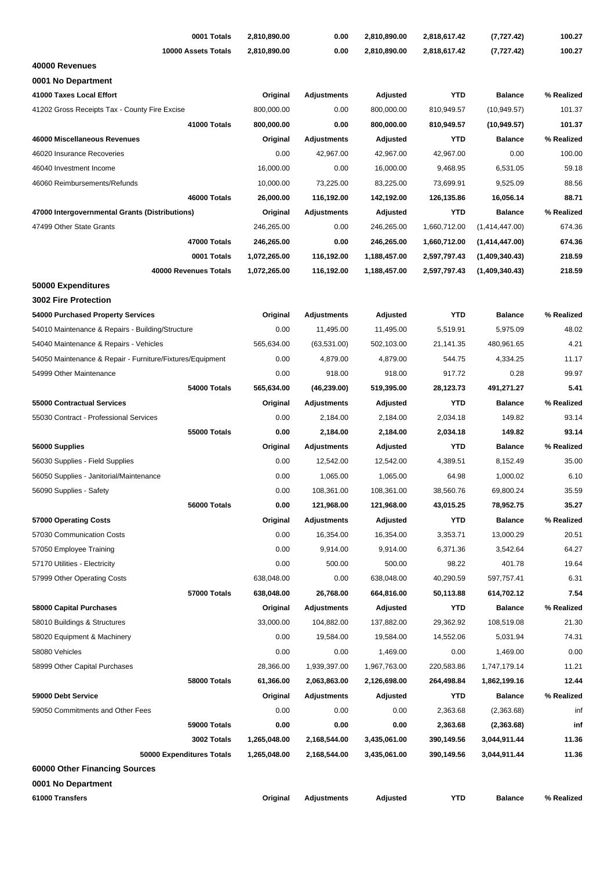| 0001 Totals                                               | 2,810,890.00          | 0.00                             | 2,810,890.00            | 2,818,617.42           | (7, 727.42)            | 100.27              |
|-----------------------------------------------------------|-----------------------|----------------------------------|-------------------------|------------------------|------------------------|---------------------|
| 10000 Assets Totals                                       | 2,810,890.00          | 0.00                             | 2,810,890.00            | 2,818,617.42           | (7, 727.42)            | 100.27              |
| 40000 Revenues                                            |                       |                                  |                         |                        |                        |                     |
| 0001 No Department                                        |                       |                                  |                         |                        |                        |                     |
| 41000 Taxes Local Effort                                  | Original              | <b>Adjustments</b>               | Adjusted                | <b>YTD</b>             | <b>Balance</b>         | % Realized          |
| 41202 Gross Receipts Tax - County Fire Excise             | 800,000.00            | 0.00                             | 800,000.00              | 810,949.57             | (10, 949.57)           | 101.37              |
| 41000 Totals                                              | 800,000.00            | 0.00                             | 800,000.00              | 810,949.57             | (10, 949.57)           | 101.37              |
| 46000 Miscellaneous Revenues                              | Original              | <b>Adjustments</b>               | Adjusted                | <b>YTD</b>             | <b>Balance</b>         | % Realized          |
| 46020 Insurance Recoveries                                | 0.00                  | 42,967.00                        | 42,967.00               | 42,967.00              | 0.00                   | 100.00              |
| 46040 Investment Income                                   | 16,000.00             | 0.00                             | 16,000.00               | 9,468.95               | 6,531.05               | 59.18               |
| 46060 Reimbursements/Refunds                              | 10,000.00             | 73,225.00                        | 83,225.00               | 73,699.91              | 9,525.09               | 88.56               |
| 46000 Totals                                              | 26,000.00             | 116,192.00                       | 142,192.00              | 126,135.86             | 16,056.14              | 88.71               |
| 47000 Intergovernmental Grants (Distributions)            | Original              | <b>Adjustments</b>               | Adjusted                | <b>YTD</b>             | <b>Balance</b>         | % Realized          |
| 47499 Other State Grants                                  | 246,265.00            | 0.00                             | 246,265.00              | 1,660,712.00           | (1,414,447.00)         | 674.36              |
| 47000 Totals                                              | 246,265.00            | 0.00                             | 246,265.00              | 1,660,712.00           | (1,414,447.00)         | 674.36              |
| 0001 Totals                                               | 1,072,265.00          | 116,192.00                       | 1,188,457.00            | 2,597,797.43           | (1,409,340.43)         | 218.59              |
| 40000 Revenues Totals                                     | 1,072,265.00          | 116,192.00                       | 1,188,457.00            | 2,597,797.43           | (1,409,340.43)         | 218.59              |
| 50000 Expenditures                                        |                       |                                  |                         |                        |                        |                     |
| <b>3002 Fire Protection</b>                               |                       |                                  |                         |                        |                        |                     |
| 54000 Purchased Property Services                         | Original              | <b>Adjustments</b>               | Adjusted                | <b>YTD</b>             | <b>Balance</b>         | % Realized          |
| 54010 Maintenance & Repairs - Building/Structure          | 0.00                  | 11,495.00                        | 11,495.00               | 5,519.91               | 5,975.09               | 48.02               |
| 54040 Maintenance & Repairs - Vehicles                    | 565,634.00            | (63, 531.00)                     | 502,103.00              | 21,141.35              | 480,961.65             | 4.21                |
| 54050 Maintenance & Repair - Furniture/Fixtures/Equipment | 0.00                  | 4,879.00                         | 4,879.00                | 544.75                 | 4,334.25               | 11.17               |
| 54999 Other Maintenance                                   | 0.00                  | 918.00                           | 918.00                  | 917.72                 | 0.28                   | 99.97               |
| 54000 Totals                                              | 565,634.00            | (46, 239.00)                     | 519,395.00              | 28,123.73              | 491,271.27             | 5.41                |
| 55000 Contractual Services                                | Original              | Adjustments                      | Adjusted                | <b>YTD</b>             | <b>Balance</b>         | % Realized          |
| 55030 Contract - Professional Services                    | 0.00                  | 2,184.00                         | 2,184.00                | 2,034.18               | 149.82                 | 93.14               |
| 55000 Totals                                              | 0.00                  | 2,184.00                         | 2,184.00                | 2,034.18               | 149.82                 | 93.14               |
| 56000 Supplies                                            | Original              | <b>Adjustments</b>               | Adjusted                | <b>YTD</b>             | <b>Balance</b>         | % Realized          |
| 56030 Supplies - Field Supplies                           | 0.00                  | 12,542.00                        | 12,542.00               | 4,389.51               | 8,152.49               | 35.00               |
| 56050 Supplies - Janitorial/Maintenance                   | 0.00                  | 1,065.00                         | 1,065.00                | 64.98                  | 1,000.02               | 6.10                |
| 56090 Supplies - Safety                                   | 0.00                  | 108,361.00                       | 108,361.00              | 38,560.76              | 69,800.24              | 35.59               |
| 56000 Totals                                              | 0.00                  | 121,968.00                       | 121,968.00              | 43,015.25              | 78,952.75              | 35.27               |
| 57000 Operating Costs                                     | Original              | <b>Adjustments</b>               | Adjusted                | <b>YTD</b>             | <b>Balance</b>         | % Realized          |
| 57030 Communication Costs                                 | 0.00                  | 16,354.00                        | 16,354.00               | 3,353.71               | 13,000.29              | 20.51               |
| 57050 Employee Training                                   | 0.00                  | 9,914.00                         | 9,914.00                | 6,371.36               | 3,542.64               | 64.27               |
| 57170 Utilities - Electricity                             | 0.00                  | 500.00                           | 500.00                  | 98.22                  | 401.78                 | 19.64               |
| 57999 Other Operating Costs                               | 638,048.00            | 0.00                             | 638,048.00              | 40,290.59              | 597,757.41             | 6.31                |
| 57000 Totals                                              | 638,048.00            | 26,768.00                        | 664,816.00              | 50,113.88              | 614,702.12             | 7.54                |
|                                                           |                       |                                  |                         |                        |                        |                     |
| 58000 Capital Purchases                                   | Original<br>33,000.00 | <b>Adjustments</b><br>104,882.00 | Adjusted                | <b>YTD</b>             | <b>Balance</b>         | % Realized<br>21.30 |
| 58010 Buildings & Structures                              | 0.00                  | 19,584.00                        | 137,882.00<br>19,584.00 | 29,362.92<br>14,552.06 | 108,519.08<br>5,031.94 | 74.31               |
| 58020 Equipment & Machinery                               |                       |                                  |                         |                        |                        | 0.00                |
| 58080 Vehicles                                            | 0.00                  | 0.00                             | 1,469.00                | 0.00                   | 1,469.00               |                     |
| 58999 Other Capital Purchases                             | 28,366.00             | 1,939,397.00                     | 1,967,763.00            | 220,583.86             | 1,747,179.14           | 11.21               |
| 58000 Totals                                              | 61,366.00             | 2,063,863.00                     | 2,126,698.00            | 264,498.84             | 1,862,199.16           | 12.44               |
| 59000 Debt Service                                        | Original              | Adjustments                      | Adjusted                | <b>YTD</b>             | <b>Balance</b>         | % Realized          |
| 59050 Commitments and Other Fees                          | 0.00                  | 0.00                             | 0.00                    | 2,363.68               | (2,363.68)             | inf                 |
| 59000 Totals                                              | 0.00                  | 0.00                             | 0.00                    | 2,363.68               | (2,363.68)             | inf                 |
| 3002 Totals                                               | 1,265,048.00          | 2,168,544.00                     | 3,435,061.00            | 390,149.56             | 3,044,911.44           | 11.36               |
| 50000 Expenditures Totals                                 | 1,265,048.00          | 2,168,544.00                     | 3,435,061.00            | 390,149.56             | 3,044,911.44           | 11.36               |
| 60000 Other Financing Sources                             |                       |                                  |                         |                        |                        |                     |
| 0001 No Department                                        |                       |                                  |                         |                        |                        |                     |
| 61000 Transfers                                           | Original              | <b>Adjustments</b>               | Adjusted                | <b>YTD</b>             | <b>Balance</b>         | % Realized          |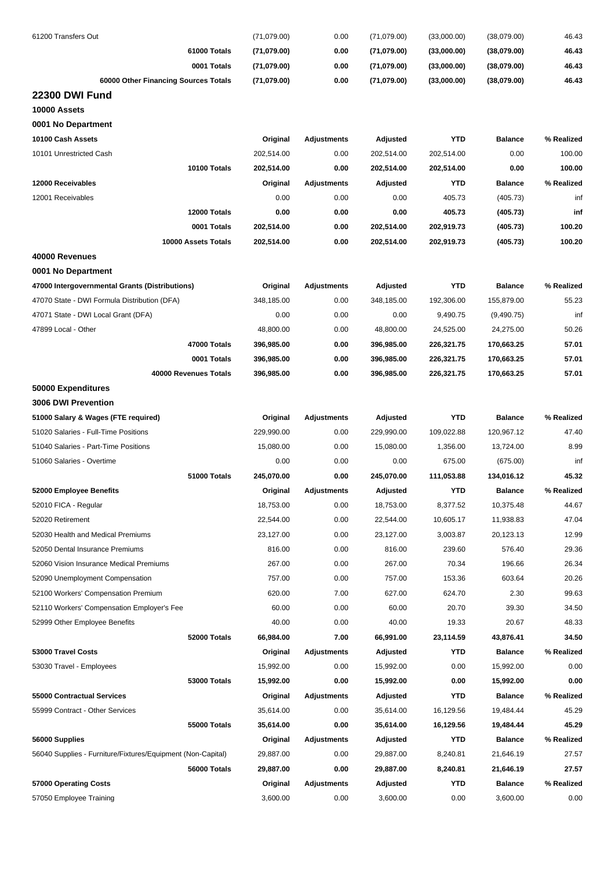| 61200 Transfers Out                                         | (71,079.00) | 0.00               | (71,079.00) | (33,000.00) | (38,079.00)    | 46.43      |
|-------------------------------------------------------------|-------------|--------------------|-------------|-------------|----------------|------------|
| 61000 Totals                                                | (71,079.00) | 0.00               | (71,079.00) | (33,000.00) | (38,079.00)    | 46.43      |
| 0001 Totals                                                 | (71,079.00) | 0.00               | (71,079.00) | (33,000.00) | (38,079.00)    | 46.43      |
| 60000 Other Financing Sources Totals                        | (71,079.00) | 0.00               | (71,079.00) | (33,000.00) | (38,079.00)    | 46.43      |
| <b>22300 DWI Fund</b>                                       |             |                    |             |             |                |            |
| 10000 Assets                                                |             |                    |             |             |                |            |
| 0001 No Department                                          |             |                    |             |             |                |            |
| 10100 Cash Assets                                           | Original    | <b>Adjustments</b> | Adjusted    | <b>YTD</b>  | <b>Balance</b> | % Realized |
| 10101 Unrestricted Cash                                     | 202,514.00  | 0.00               | 202,514.00  | 202,514.00  | 0.00           | 100.00     |
| 10100 Totals                                                | 202,514.00  | 0.00               | 202,514.00  | 202,514.00  | 0.00           | 100.00     |
| 12000 Receivables                                           | Original    | Adjustments        | Adjusted    | <b>YTD</b>  | <b>Balance</b> | % Realized |
| 12001 Receivables                                           | 0.00        | 0.00               | 0.00        | 405.73      | (405.73)       | inf        |
| 12000 Totals                                                | 0.00        | 0.00               | 0.00        | 405.73      | (405.73)       | inf        |
| 0001 Totals                                                 | 202,514.00  | 0.00               | 202,514.00  | 202,919.73  | (405.73)       | 100.20     |
| 10000 Assets Totals                                         | 202,514.00  | 0.00               | 202,514.00  | 202,919.73  | (405.73)       | 100.20     |
| 40000 Revenues                                              |             |                    |             |             |                |            |
| 0001 No Department                                          |             |                    |             |             |                |            |
| 47000 Intergovernmental Grants (Distributions)              | Original    | <b>Adjustments</b> | Adjusted    | <b>YTD</b>  | <b>Balance</b> | % Realized |
| 47070 State - DWI Formula Distribution (DFA)                | 348,185.00  | 0.00               | 348,185.00  | 192,306.00  | 155,879.00     | 55.23      |
| 47071 State - DWI Local Grant (DFA)                         | 0.00        | 0.00               | 0.00        | 9,490.75    | (9,490.75)     | inf        |
| 47899 Local - Other                                         | 48,800.00   | 0.00               | 48,800.00   | 24,525.00   | 24,275.00      | 50.26      |
| 47000 Totals                                                | 396,985.00  | 0.00               | 396,985.00  | 226,321.75  | 170,663.25     | 57.01      |
| 0001 Totals                                                 | 396,985.00  | 0.00               | 396,985.00  | 226,321.75  | 170,663.25     | 57.01      |
| 40000 Revenues Totals                                       | 396,985.00  | 0.00               | 396,985.00  | 226,321.75  | 170,663.25     | 57.01      |
| 50000 Expenditures                                          |             |                    |             |             |                |            |
| 3006 DWI Prevention                                         |             |                    |             |             |                |            |
| 51000 Salary & Wages (FTE required)                         | Original    | Adjustments        | Adjusted    | <b>YTD</b>  | <b>Balance</b> | % Realized |
| 51020 Salaries - Full-Time Positions                        | 229,990.00  | 0.00               | 229,990.00  | 109,022.88  | 120,967.12     | 47.40      |
| 51040 Salaries - Part-Time Positions                        | 15,080.00   | 0.00               | 15,080.00   | 1,356.00    | 13,724.00      | 8.99       |
| 51060 Salaries - Overtime                                   | 0.00        | 0.00               | 0.00        | 675.00      | (675.00)       | inf        |
| 51000 Totals                                                | 245,070.00  | 0.00               | 245,070.00  | 111,053.88  | 134,016.12     | 45.32      |
| 52000 Employee Benefits                                     | Original    | Adjustments        | Adjusted    | YTD         | <b>Balance</b> | % Realized |
| 52010 FICA - Regular                                        | 18,753.00   | 0.00               | 18,753.00   | 8,377.52    | 10,375.48      | 44.67      |
| 52020 Retirement                                            | 22,544.00   | 0.00               | 22,544.00   | 10,605.17   | 11,938.83      | 47.04      |
| 52030 Health and Medical Premiums                           | 23,127.00   | 0.00               | 23,127.00   | 3,003.87    | 20,123.13      | 12.99      |
| 52050 Dental Insurance Premiums                             | 816.00      | 0.00               | 816.00      | 239.60      | 576.40         | 29.36      |
| 52060 Vision Insurance Medical Premiums                     | 267.00      | 0.00               | 267.00      | 70.34       | 196.66         | 26.34      |
| 52090 Unemployment Compensation                             | 757.00      | 0.00               | 757.00      | 153.36      | 603.64         | 20.26      |
| 52100 Workers' Compensation Premium                         | 620.00      | 7.00               | 627.00      | 624.70      | 2.30           | 99.63      |
| 52110 Workers' Compensation Employer's Fee                  | 60.00       | 0.00               | 60.00       | 20.70       | 39.30          | 34.50      |
| 52999 Other Employee Benefits                               | 40.00       | 0.00               | 40.00       | 19.33       | 20.67          | 48.33      |
| 52000 Totals                                                | 66,984.00   | 7.00               | 66,991.00   | 23,114.59   | 43,876.41      | 34.50      |
| 53000 Travel Costs                                          | Original    | Adjustments        | Adjusted    | YTD         | <b>Balance</b> | % Realized |
| 53030 Travel - Employees                                    | 15,992.00   | 0.00               | 15,992.00   | 0.00        | 15,992.00      | 0.00       |
| 53000 Totals                                                | 15,992.00   | 0.00               | 15,992.00   | 0.00        | 15,992.00      | 0.00       |
| 55000 Contractual Services                                  | Original    | Adjustments        | Adjusted    | <b>YTD</b>  | <b>Balance</b> | % Realized |
| 55999 Contract - Other Services                             | 35,614.00   | 0.00               | 35,614.00   | 16,129.56   | 19,484.44      | 45.29      |
| 55000 Totals                                                | 35,614.00   | 0.00               | 35,614.00   | 16,129.56   | 19,484.44      | 45.29      |
| 56000 Supplies                                              | Original    | Adjustments        | Adjusted    | YTD         | <b>Balance</b> | % Realized |
| 56040 Supplies - Furniture/Fixtures/Equipment (Non-Capital) | 29,887.00   | 0.00               | 29,887.00   | 8,240.81    | 21,646.19      | 27.57      |
| 56000 Totals                                                | 29,887.00   | 0.00               | 29,887.00   | 8,240.81    | 21,646.19      | 27.57      |
| 57000 Operating Costs                                       | Original    | <b>Adjustments</b> | Adjusted    | YTD         | <b>Balance</b> | % Realized |
| 57050 Employee Training                                     | 3,600.00    | 0.00               | 3,600.00    | 0.00        | 3,600.00       | 0.00       |
|                                                             |             |                    |             |             |                |            |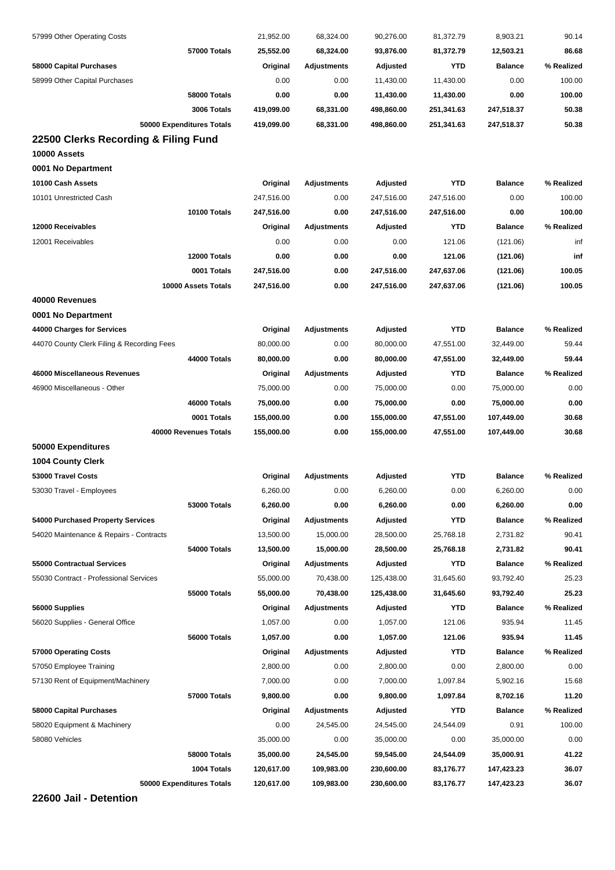| 57999 Other Operating Costs                | 21,952.00  | 68,324.00          | 90,276.00  | 81,372.79  | 8,903.21       | 90.14      |
|--------------------------------------------|------------|--------------------|------------|------------|----------------|------------|
| 57000 Totals                               | 25,552.00  | 68,324.00          | 93,876.00  | 81,372.79  | 12,503.21      | 86.68      |
| 58000 Capital Purchases                    | Original   | <b>Adjustments</b> | Adjusted   | <b>YTD</b> | <b>Balance</b> | % Realized |
| 58999 Other Capital Purchases              | 0.00       | 0.00               | 11,430.00  | 11,430.00  | 0.00           | 100.00     |
| 58000 Totals                               | 0.00       | 0.00               | 11,430.00  | 11,430.00  | 0.00           | 100.00     |
| 3006 Totals                                | 419,099.00 | 68,331.00          | 498,860.00 | 251,341.63 | 247,518.37     | 50.38      |
| 50000 Expenditures Totals                  | 419,099.00 | 68,331.00          | 498,860.00 | 251,341.63 | 247,518.37     | 50.38      |
| 22500 Clerks Recording & Filing Fund       |            |                    |            |            |                |            |
| 10000 Assets                               |            |                    |            |            |                |            |
| 0001 No Department                         |            |                    |            |            |                |            |
| 10100 Cash Assets                          | Original   | <b>Adjustments</b> | Adjusted   | <b>YTD</b> | <b>Balance</b> | % Realized |
| 10101 Unrestricted Cash                    | 247,516.00 | 0.00               | 247,516.00 | 247,516.00 | 0.00           | 100.00     |
| 10100 Totals                               | 247,516.00 | 0.00               | 247,516.00 | 247,516.00 | 0.00           | 100.00     |
| 12000 Receivables                          | Original   | <b>Adjustments</b> | Adjusted   | <b>YTD</b> | <b>Balance</b> | % Realized |
| 12001 Receivables                          | 0.00       | 0.00               | 0.00       | 121.06     | (121.06)       | inf        |
| 12000 Totals                               | 0.00       | 0.00               | 0.00       | 121.06     | (121.06)       | inf        |
| 0001 Totals                                | 247,516.00 | 0.00               | 247,516.00 | 247,637.06 | (121.06)       | 100.05     |
| 10000 Assets Totals                        | 247,516.00 | 0.00               | 247,516.00 | 247,637.06 | (121.06)       | 100.05     |
| 40000 Revenues                             |            |                    |            |            |                |            |
| 0001 No Department                         |            |                    |            |            |                |            |
| 44000 Charges for Services                 | Original   | <b>Adjustments</b> | Adjusted   | <b>YTD</b> | <b>Balance</b> | % Realized |
| 44070 County Clerk Filing & Recording Fees | 80,000.00  | 0.00               | 80,000.00  | 47,551.00  | 32,449.00      | 59.44      |
| <b>44000 Totals</b>                        | 80,000.00  | 0.00               | 80,000.00  | 47,551.00  | 32,449.00      | 59.44      |
| 46000 Miscellaneous Revenues               | Original   | <b>Adjustments</b> | Adjusted   | YTD        | <b>Balance</b> | % Realized |
| 46900 Miscellaneous - Other                | 75,000.00  | 0.00               | 75,000.00  | 0.00       | 75,000.00      | 0.00       |
| 46000 Totals                               | 75,000.00  | 0.00               | 75,000.00  | 0.00       | 75,000.00      | 0.00       |
| 0001 Totals                                | 155,000.00 | 0.00               | 155,000.00 | 47,551.00  | 107,449.00     | 30.68      |
| 40000 Revenues Totals                      | 155,000.00 | 0.00               | 155,000.00 | 47,551.00  | 107,449.00     | 30.68      |
| 50000 Expenditures                         |            |                    |            |            |                |            |
| <b>1004 County Clerk</b>                   |            |                    |            |            |                |            |
| 53000 Travel Costs                         | Original   | Adjustments        | Adjusted   | <b>YTD</b> | <b>Balance</b> | % Realized |
| 53030 Travel - Employees                   | 6,260.00   | 0.00               | 6,260.00   | 0.00       | 6,260.00       | 0.00       |
| 53000 Totals                               | 6,260.00   | 0.00               | 6,260.00   | 0.00       | 6,260.00       | 0.00       |
| 54000 Purchased Property Services          | Original   | <b>Adjustments</b> | Adjusted   | YTD        | <b>Balance</b> | % Realized |
| 54020 Maintenance & Repairs - Contracts    | 13,500.00  | 15,000.00          | 28,500.00  | 25,768.18  | 2,731.82       | 90.41      |
| 54000 Totals                               | 13,500.00  | 15,000.00          | 28,500.00  | 25,768.18  | 2,731.82       | 90.41      |
| <b>55000 Contractual Services</b>          | Original   | <b>Adjustments</b> | Adjusted   | <b>YTD</b> | <b>Balance</b> | % Realized |
| 55030 Contract - Professional Services     | 55,000.00  | 70,438.00          | 125,438.00 | 31,645.60  | 93,792.40      | 25.23      |
| 55000 Totals                               | 55,000.00  | 70,438.00          | 125,438.00 | 31,645.60  | 93,792.40      | 25.23      |
| 56000 Supplies                             | Original   | <b>Adjustments</b> | Adjusted   | YTD        | <b>Balance</b> | % Realized |
| 56020 Supplies - General Office            | 1,057.00   | 0.00               | 1,057.00   | 121.06     | 935.94         | 11.45      |
| 56000 Totals                               | 1,057.00   | 0.00               | 1,057.00   | 121.06     | 935.94         | 11.45      |
| 57000 Operating Costs                      | Original   | <b>Adjustments</b> | Adjusted   | YTD        | <b>Balance</b> | % Realized |
| 57050 Employee Training                    | 2,800.00   | 0.00               | 2,800.00   | 0.00       | 2,800.00       | 0.00       |
| 57130 Rent of Equipment/Machinery          | 7,000.00   | 0.00               | 7,000.00   | 1,097.84   | 5,902.16       | 15.68      |
| 57000 Totals                               | 9,800.00   | 0.00               | 9,800.00   | 1,097.84   | 8,702.16       | 11.20      |
| 58000 Capital Purchases                    | Original   | <b>Adjustments</b> | Adjusted   | YTD        | <b>Balance</b> | % Realized |
| 58020 Equipment & Machinery                | 0.00       | 24,545.00          | 24,545.00  | 24,544.09  | 0.91           | 100.00     |
| 58080 Vehicles                             | 35,000.00  | 0.00               | 35,000.00  | 0.00       | 35,000.00      | 0.00       |
| 58000 Totals                               | 35,000.00  | 24,545.00          | 59,545.00  | 24,544.09  | 35,000.91      | 41.22      |
| 1004 Totals                                | 120,617.00 | 109,983.00         | 230,600.00 | 83,176.77  | 147,423.23     | 36.07      |
| 50000 Expenditures Totals                  | 120,617.00 | 109,983.00         | 230,600.00 | 83,176.77  | 147,423.23     | 36.07      |
|                                            |            |                    |            |            |                |            |

**22600 Jail - Detention**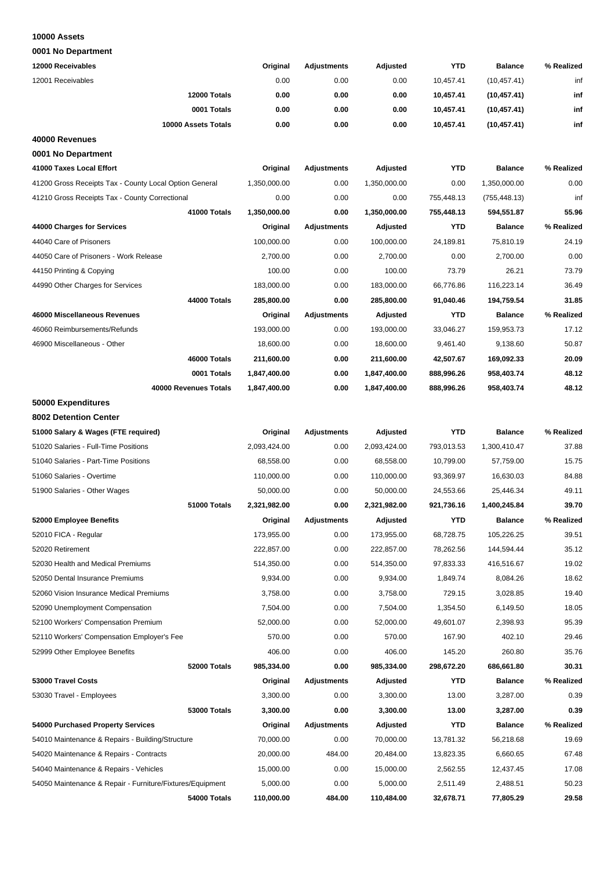#### **10000 Assets**

| 12000 Receivables                                         | Original     | <b>Adjustments</b> | Adjusted     | <b>YTD</b> | <b>Balance</b> | % Realized |
|-----------------------------------------------------------|--------------|--------------------|--------------|------------|----------------|------------|
| 12001 Receivables                                         | 0.00         | 0.00               | 0.00         | 10,457.41  | (10, 457.41)   | inf        |
| 12000 Totals                                              |              |                    |              |            |                |            |
|                                                           | 0.00         | 0.00               | 0.00         | 10,457.41  | (10, 457.41)   | inf        |
| 0001 Totals                                               | 0.00         | 0.00               | 0.00         | 10,457.41  | (10, 457.41)   | inf        |
| 10000 Assets Totals                                       | 0.00         | 0.00               | 0.00         | 10,457.41  | (10, 457.41)   | inf        |
| 40000 Revenues                                            |              |                    |              |            |                |            |
| 0001 No Department                                        |              |                    |              |            |                |            |
| 41000 Taxes Local Effort                                  | Original     | <b>Adjustments</b> | Adjusted     | <b>YTD</b> | <b>Balance</b> | % Realized |
| 41200 Gross Receipts Tax - County Local Option General    | 1,350,000.00 | 0.00               | 1,350,000.00 | 0.00       | 1,350,000.00   | 0.00       |
| 41210 Gross Receipts Tax - County Correctional            | 0.00         | 0.00               | 0.00         | 755,448.13 | (755, 448.13)  | inf        |
| 41000 Totals                                              | 1,350,000.00 | 0.00               | 1,350,000.00 | 755,448.13 | 594,551.87     | 55.96      |
| 44000 Charges for Services                                | Original     | <b>Adjustments</b> | Adjusted     | YTD        | <b>Balance</b> | % Realized |
| 44040 Care of Prisoners                                   | 100,000.00   | 0.00               | 100,000.00   | 24,189.81  | 75,810.19      | 24.19      |
| 44050 Care of Prisoners - Work Release                    | 2,700.00     | 0.00               | 2,700.00     | 0.00       | 2,700.00       | 0.00       |
| 44150 Printing & Copying                                  | 100.00       | 0.00               | 100.00       | 73.79      | 26.21          | 73.79      |
| 44990 Other Charges for Services                          | 183,000.00   | 0.00               | 183,000.00   | 66,776.86  | 116,223.14     | 36.49      |
| 44000 Totals                                              | 285,800.00   | 0.00               | 285,800.00   | 91,040.46  | 194,759.54     | 31.85      |
| 46000 Miscellaneous Revenues                              | Original     | Adjustments        | Adjusted     | YTD        | <b>Balance</b> | % Realized |
| 46060 Reimbursements/Refunds                              | 193,000.00   | 0.00               | 193,000.00   | 33,046.27  | 159,953.73     | 17.12      |
| 46900 Miscellaneous - Other                               | 18,600.00    | 0.00               | 18,600.00    | 9,461.40   | 9,138.60       | 50.87      |
| 46000 Totals                                              | 211,600.00   | 0.00               | 211,600.00   | 42,507.67  | 169,092.33     | 20.09      |
| 0001 Totals                                               | 1,847,400.00 | 0.00               | 1,847,400.00 | 888,996.26 | 958,403.74     | 48.12      |
| 40000 Revenues Totals                                     | 1,847,400.00 | 0.00               | 1,847,400.00 | 888,996.26 | 958,403.74     | 48.12      |
| 50000 Expenditures                                        |              |                    |              |            |                |            |
| 8002 Detention Center                                     |              |                    |              |            |                |            |
| 51000 Salary & Wages (FTE required)                       | Original     | <b>Adjustments</b> | Adjusted     | <b>YTD</b> | <b>Balance</b> | % Realized |
| 51020 Salaries - Full-Time Positions                      | 2,093,424.00 | 0.00               | 2,093,424.00 | 793,013.53 | 1,300,410.47   | 37.88      |
| 51040 Salaries - Part-Time Positions                      | 68,558.00    | 0.00               | 68,558.00    | 10,799.00  | 57,759.00      | 15.75      |
| 51060 Salaries - Overtime                                 | 110,000.00   | 0.00               | 110,000.00   | 93,369.97  | 16,630.03      | 84.88      |
| 51900 Salaries - Other Wages                              | 50,000.00    | 0.00               | 50,000.00    | 24,553.66  | 25,446.34      | 49.11      |
| 51000 Totals                                              | 2,321,982.00 | 0.00               | 2,321,982.00 | 921,736.16 | 1,400,245.84   | 39.70      |
| 52000 Employee Benefits                                   | Original     | Adjustments        | Adjusted     | <b>YTD</b> | <b>Balance</b> | % Realized |
| 52010 FICA - Regular                                      | 173,955.00   | 0.00               | 173,955.00   | 68,728.75  | 105,226.25     | 39.51      |
| 52020 Retirement                                          | 222,857.00   | 0.00               | 222,857.00   | 78,262.56  | 144,594.44     | 35.12      |
| 52030 Health and Medical Premiums                         | 514,350.00   | 0.00               | 514,350.00   | 97,833.33  | 416,516.67     | 19.02      |
| 52050 Dental Insurance Premiums                           | 9,934.00     | 0.00               | 9,934.00     | 1,849.74   | 8,084.26       | 18.62      |
| 52060 Vision Insurance Medical Premiums                   | 3,758.00     | 0.00               | 3,758.00     | 729.15     | 3,028.85       | 19.40      |
| 52090 Unemployment Compensation                           | 7,504.00     | 0.00               | 7,504.00     | 1,354.50   | 6,149.50       | 18.05      |
| 52100 Workers' Compensation Premium                       | 52,000.00    | 0.00               | 52,000.00    | 49,601.07  | 2,398.93       | 95.39      |
| 52110 Workers' Compensation Employer's Fee                | 570.00       | 0.00               | 570.00       | 167.90     | 402.10         | 29.46      |
| 52999 Other Employee Benefits                             | 406.00       | 0.00               | 406.00       | 145.20     | 260.80         | 35.76      |
| 52000 Totals                                              | 985,334.00   | 0.00               | 985,334.00   | 298,672.20 | 686,661.80     | 30.31      |
| 53000 Travel Costs                                        | Original     | Adjustments        | Adjusted     | YTD        | <b>Balance</b> | % Realized |
| 53030 Travel - Employees                                  | 3,300.00     | 0.00               | 3,300.00     | 13.00      | 3,287.00       | 0.39       |
| 53000 Totals                                              | 3,300.00     | 0.00               | 3,300.00     | 13.00      | 3,287.00       | 0.39       |
| 54000 Purchased Property Services                         | Original     | <b>Adjustments</b> | Adjusted     | <b>YTD</b> | <b>Balance</b> | % Realized |
| 54010 Maintenance & Repairs - Building/Structure          | 70,000.00    | 0.00               | 70,000.00    | 13,781.32  | 56,218.68      | 19.69      |
| 54020 Maintenance & Repairs - Contracts                   | 20,000.00    | 484.00             | 20,484.00    | 13,823.35  | 6,660.65       | 67.48      |
| 54040 Maintenance & Repairs - Vehicles                    | 15,000.00    | 0.00               | 15,000.00    | 2,562.55   | 12,437.45      | 17.08      |
| 54050 Maintenance & Repair - Furniture/Fixtures/Equipment | 5,000.00     | 0.00               | 5,000.00     | 2,511.49   | 2,488.51       | 50.23      |
| 54000 Totals                                              | 110,000.00   | 484.00             | 110,484.00   | 32,678.71  | 77,805.29      | 29.58      |
|                                                           |              |                    |              |            |                |            |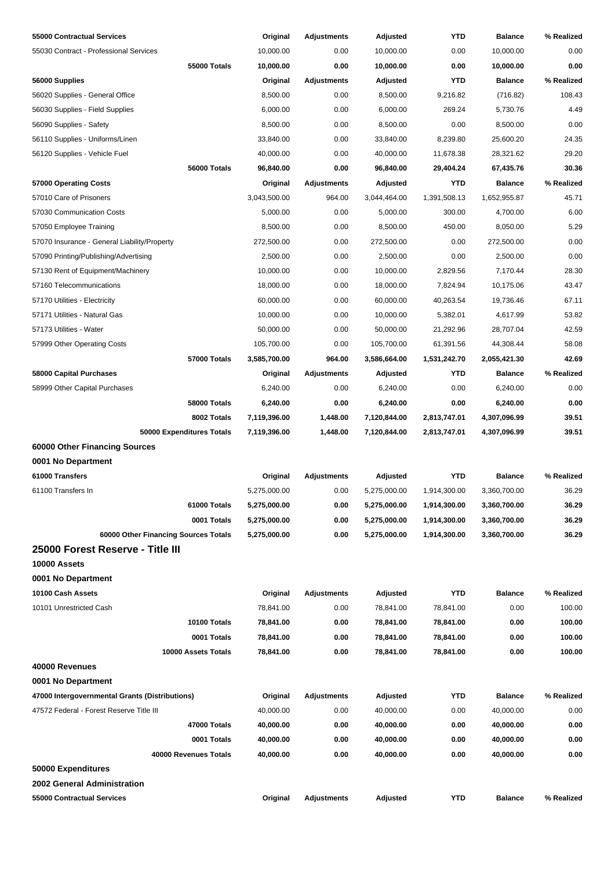| 55000 Contractual Services                     | Original     | Adjustments        | Adjusted     | YTD          | <b>Balance</b> | % Realized |
|------------------------------------------------|--------------|--------------------|--------------|--------------|----------------|------------|
| 55030 Contract - Professional Services         | 10,000.00    | 0.00               | 10,000.00    | 0.00         | 10,000.00      | 0.00       |
| 55000 Totals                                   | 10,000.00    | 0.00               | 10,000.00    | 0.00         | 10,000.00      | 0.00       |
| 56000 Supplies                                 | Original     | Adjustments        | Adjusted     | <b>YTD</b>   | <b>Balance</b> | % Realized |
| 56020 Supplies - General Office                | 8,500.00     | 0.00               | 8,500.00     | 9,216.82     | (716.82)       | 108.43     |
| 56030 Supplies - Field Supplies                | 6,000.00     | 0.00               | 6,000.00     | 269.24       | 5,730.76       | 4.49       |
| 56090 Supplies - Safety                        | 8,500.00     | 0.00               | 8,500.00     | 0.00         | 8,500.00       | 0.00       |
| 56110 Supplies - Uniforms/Linen                | 33,840.00    | 0.00               | 33,840.00    | 8,239.80     | 25,600.20      | 24.35      |
| 56120 Supplies - Vehicle Fuel                  | 40,000.00    | 0.00               | 40,000.00    | 11,678.38    | 28,321.62      | 29.20      |
| 56000 Totals                                   | 96,840.00    | 0.00               | 96,840.00    | 29,404.24    | 67,435.76      | 30.36      |
| 57000 Operating Costs                          | Original     | <b>Adjustments</b> | Adjusted     | <b>YTD</b>   | <b>Balance</b> | % Realized |
| 57010 Care of Prisoners                        | 3,043,500.00 | 964.00             | 3,044,464.00 | 1,391,508.13 | 1,652,955.87   | 45.71      |
| 57030 Communication Costs                      | 5,000.00     | 0.00               | 5,000.00     | 300.00       | 4,700.00       | 6.00       |
| 57050 Employee Training                        | 8,500.00     | 0.00               | 8,500.00     | 450.00       | 8,050.00       | 5.29       |
| 57070 Insurance - General Liability/Property   | 272,500.00   | 0.00               | 272,500.00   | 0.00         | 272,500.00     | 0.00       |
| 57090 Printing/Publishing/Advertising          | 2,500.00     | 0.00               | 2,500.00     | 0.00         | 2,500.00       | 0.00       |
| 57130 Rent of Equipment/Machinery              | 10,000.00    | 0.00               | 10,000.00    | 2,829.56     | 7,170.44       | 28.30      |
| 57160 Telecommunications                       | 18,000.00    | 0.00               | 18,000.00    | 7,824.94     | 10,175.06      | 43.47      |
| 57170 Utilities - Electricity                  | 60,000.00    | 0.00               | 60,000.00    | 40,263.54    | 19,736.46      | 67.11      |
| 57171 Utilities - Natural Gas                  | 10,000.00    | 0.00               | 10,000.00    | 5,382.01     | 4,617.99       | 53.82      |
| 57173 Utilities - Water                        | 50,000.00    | 0.00               | 50,000.00    | 21,292.96    | 28,707.04      | 42.59      |
| 57999 Other Operating Costs                    | 105,700.00   | 0.00               | 105,700.00   | 61,391.56    | 44,308.44      | 58.08      |
| 57000 Totals                                   | 3,585,700.00 | 964.00             | 3,586,664.00 | 1,531,242.70 | 2,055,421.30   | 42.69      |
| 58000 Capital Purchases                        | Original     | <b>Adjustments</b> | Adjusted     | <b>YTD</b>   | <b>Balance</b> | % Realized |
| 58999 Other Capital Purchases                  | 6,240.00     | 0.00               | 6,240.00     | 0.00         | 6,240.00       | 0.00       |
| <b>58000 Totals</b>                            | 6,240.00     | 0.00               | 6,240.00     | 0.00         | 6,240.00       | 0.00       |
| 8002 Totals                                    | 7,119,396.00 | 1,448.00           | 7,120,844.00 | 2,813,747.01 | 4,307,096.99   | 39.51      |
| 50000 Expenditures Totals                      | 7,119,396.00 | 1,448.00           | 7,120,844.00 | 2,813,747.01 | 4,307,096.99   | 39.51      |
| 60000 Other Financing Sources                  |              |                    |              |              |                |            |
| 0001 No Department                             |              |                    |              |              |                |            |
| 61000 Transfers                                | Original     | <b>Adjustments</b> | Adjusted     | <b>YTD</b>   | <b>Balance</b> | % Realized |
| 61100 Transfers In                             | 5,275,000.00 | 0.00               | 5,275,000.00 | 1,914,300.00 | 3,360,700.00   | 36.29      |
| 61000 Totals                                   | 5,275,000.00 | 0.00               | 5,275,000.00 | 1,914,300.00 | 3,360,700.00   | 36.29      |
| 0001 Totals                                    | 5,275,000.00 | 0.00               | 5,275,000.00 | 1,914,300.00 | 3,360,700.00   | 36.29      |
| 60000 Other Financing Sources Totals           | 5,275,000.00 | 0.00               | 5,275,000.00 | 1,914,300.00 | 3,360,700.00   | 36.29      |
| 25000 Forest Reserve - Title III               |              |                    |              |              |                |            |
| 10000 Assets                                   |              |                    |              |              |                |            |
| 0001 No Department                             |              |                    |              |              |                |            |
| 10100 Cash Assets                              | Original     | <b>Adjustments</b> | Adjusted     | <b>YTD</b>   | <b>Balance</b> | % Realized |
| 10101 Unrestricted Cash                        | 78,841.00    | 0.00               | 78,841.00    | 78,841.00    | 0.00           | 100.00     |
| 10100 Totals                                   | 78,841.00    | 0.00               | 78,841.00    | 78,841.00    | 0.00           | 100.00     |
| 0001 Totals                                    | 78,841.00    | 0.00               | 78,841.00    | 78,841.00    | 0.00           | 100.00     |
| 10000 Assets Totals                            | 78,841.00    | 0.00               | 78,841.00    | 78,841.00    | 0.00           | 100.00     |
| 40000 Revenues                                 |              |                    |              |              |                |            |
| 0001 No Department                             |              |                    |              |              |                |            |
| 47000 Intergovernmental Grants (Distributions) | Original     | <b>Adjustments</b> | Adjusted     | YTD          | <b>Balance</b> | % Realized |
| 47572 Federal - Forest Reserve Title III       | 40,000.00    | 0.00               | 40,000.00    | 0.00         | 40,000.00      | 0.00       |
| 47000 Totals                                   | 40,000.00    | 0.00               | 40,000.00    | 0.00         | 40,000.00      | 0.00       |
| 0001 Totals                                    | 40,000.00    | 0.00               | 40,000.00    | 0.00         | 40,000.00      | 0.00       |
| 40000 Revenues Totals                          | 40,000.00    | 0.00               | 40,000.00    | 0.00         | 40,000.00      | 0.00       |
| 50000 Expenditures                             |              |                    |              |              |                |            |
| 2002 General Administration                    |              |                    |              |              |                |            |
| 55000 Contractual Services                     | Original     | <b>Adjustments</b> | Adjusted     | <b>YTD</b>   | <b>Balance</b> | % Realized |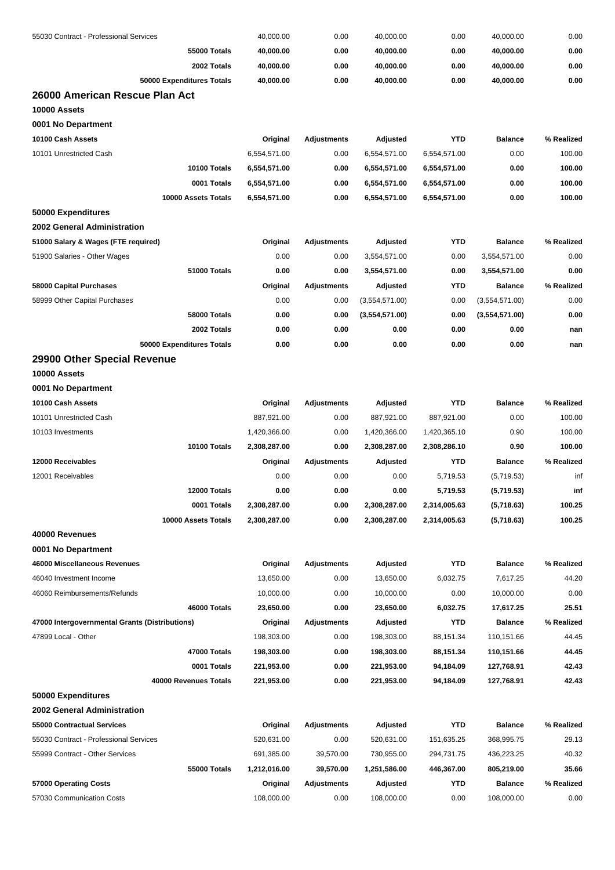| 55030 Contract - Professional Services         | 40,000.00    | 0.00               | 40,000.00      | 0.00         | 40,000.00      | 0.00       |
|------------------------------------------------|--------------|--------------------|----------------|--------------|----------------|------------|
| <b>55000 Totals</b>                            | 40,000.00    | 0.00               | 40,000.00      | 0.00         | 40,000.00      | 0.00       |
| 2002 Totals                                    | 40,000.00    | 0.00               | 40,000.00      | 0.00         | 40,000.00      | 0.00       |
| 50000 Expenditures Totals                      | 40,000.00    | 0.00               | 40,000.00      | 0.00         | 40,000.00      | 0.00       |
| 26000 American Rescue Plan Act                 |              |                    |                |              |                |            |
| 10000 Assets                                   |              |                    |                |              |                |            |
| 0001 No Department                             |              |                    |                |              |                |            |
| 10100 Cash Assets                              | Original     | Adjustments        | Adjusted       | <b>YTD</b>   | <b>Balance</b> | % Realized |
| 10101 Unrestricted Cash                        | 6,554,571.00 | 0.00               | 6,554,571.00   | 6,554,571.00 | 0.00           | 100.00     |
| 10100 Totals                                   | 6,554,571.00 | 0.00               | 6,554,571.00   | 6,554,571.00 | 0.00           | 100.00     |
| 0001 Totals                                    | 6,554,571.00 | 0.00               | 6,554,571.00   | 6,554,571.00 | 0.00           | 100.00     |
| 10000 Assets Totals                            | 6,554,571.00 | 0.00               | 6,554,571.00   | 6,554,571.00 | 0.00           | 100.00     |
| 50000 Expenditures                             |              |                    |                |              |                |            |
| <b>2002 General Administration</b>             |              |                    |                |              |                |            |
| 51000 Salary & Wages (FTE required)            | Original     | <b>Adjustments</b> | Adjusted       | <b>YTD</b>   | <b>Balance</b> | % Realized |
| 51900 Salaries - Other Wages                   | 0.00         | 0.00               | 3,554,571.00   | 0.00         | 3,554,571.00   | 0.00       |
| 51000 Totals                                   | 0.00         | 0.00               | 3,554,571.00   | 0.00         | 3,554,571.00   | 0.00       |
| 58000 Capital Purchases                        | Original     | <b>Adjustments</b> | Adjusted       | YTD          | <b>Balance</b> | % Realized |
| 58999 Other Capital Purchases                  | 0.00         | 0.00               | (3,554,571.00) | 0.00         | (3,554,571.00) | 0.00       |
| 58000 Totals                                   | 0.00         | 0.00               | (3,554,571.00) | 0.00         | (3,554,571.00) | 0.00       |
| 2002 Totals                                    | 0.00         | 0.00               | 0.00           | 0.00         | 0.00           | nan        |
| 50000 Expenditures Totals                      | 0.00         | 0.00               | 0.00           | 0.00         | 0.00           | nan        |
| 29900 Other Special Revenue                    |              |                    |                |              |                |            |
| 10000 Assets                                   |              |                    |                |              |                |            |
| 0001 No Department                             |              |                    |                |              |                |            |
| 10100 Cash Assets                              | Original     | <b>Adjustments</b> | Adjusted       | <b>YTD</b>   | <b>Balance</b> | % Realized |
| 10101 Unrestricted Cash                        | 887,921.00   | 0.00               | 887,921.00     | 887,921.00   | 0.00           | 100.00     |
| 10103 Investments                              | 1,420,366.00 | 0.00               | 1,420,366.00   | 1,420,365.10 | 0.90           | 100.00     |
| 10100 Totals                                   | 2,308,287.00 | 0.00               | 2,308,287.00   | 2,308,286.10 | 0.90           | 100.00     |
| 12000 Receivables                              | Original     | <b>Adjustments</b> | Adjusted       | <b>YTD</b>   | <b>Balance</b> | % Realized |
| 12001 Receivables                              | 0.00         | 0.00               | 0.00           | 5,719.53     | (5,719.53)     | inf        |
| 12000 Totals                                   | 0.00         | 0.00               | 0.00           | 5,719.53     | (5,719.53)     | inf        |
| 0001 Totals                                    | 2,308,287.00 | 0.00               | 2,308,287.00   | 2,314,005.63 | (5,718.63)     | 100.25     |
| 10000 Assets Totals                            | 2,308,287.00 | 0.00               | 2,308,287.00   | 2,314,005.63 |                | 100.25     |
|                                                |              |                    |                |              | (5,718.63)     |            |
| 40000 Revenues                                 |              |                    |                |              |                |            |
| 0001 No Department                             |              |                    |                |              |                |            |
| 46000 Miscellaneous Revenues                   | Original     | <b>Adjustments</b> | Adjusted       | <b>YTD</b>   | <b>Balance</b> | % Realized |
| 46040 Investment Income                        | 13,650.00    | 0.00               | 13,650.00      | 6,032.75     | 7,617.25       | 44.20      |
| 46060 Reimbursements/Refunds                   | 10,000.00    | 0.00               | 10,000.00      | 0.00         | 10,000.00      | 0.00       |
| 46000 Totals                                   | 23,650.00    | 0.00               | 23,650.00      | 6,032.75     | 17,617.25      | 25.51      |
| 47000 Intergovernmental Grants (Distributions) | Original     | Adjustments        | Adjusted       | <b>YTD</b>   | <b>Balance</b> | % Realized |
| 47899 Local - Other                            | 198,303.00   | 0.00               | 198,303.00     | 88,151.34    | 110,151.66     | 44.45      |
| 47000 Totals                                   | 198,303.00   | 0.00               | 198,303.00     | 88,151.34    | 110,151.66     | 44.45      |
| 0001 Totals                                    | 221,953.00   | 0.00               | 221,953.00     | 94,184.09    | 127,768.91     | 42.43      |
| 40000 Revenues Totals                          | 221,953.00   | 0.00               | 221,953.00     | 94,184.09    | 127,768.91     | 42.43      |
| 50000 Expenditures                             |              |                    |                |              |                |            |
| 2002 General Administration                    |              |                    |                |              |                |            |
| 55000 Contractual Services                     | Original     | <b>Adjustments</b> | Adjusted       | <b>YTD</b>   | <b>Balance</b> | % Realized |
| 55030 Contract - Professional Services         | 520,631.00   | 0.00               | 520,631.00     | 151,635.25   | 368,995.75     | 29.13      |
| 55999 Contract - Other Services                | 691,385.00   | 39,570.00          | 730,955.00     | 294,731.75   | 436,223.25     | 40.32      |
| 55000 Totals                                   | 1,212,016.00 | 39,570.00          | 1,251,586.00   | 446,367.00   | 805,219.00     | 35.66      |
| 57000 Operating Costs                          | Original     | Adjustments        | Adjusted       | YTD          | <b>Balance</b> | % Realized |
| 57030 Communication Costs                      | 108,000.00   | 0.00               | 108,000.00     | 0.00         | 108,000.00     | 0.00       |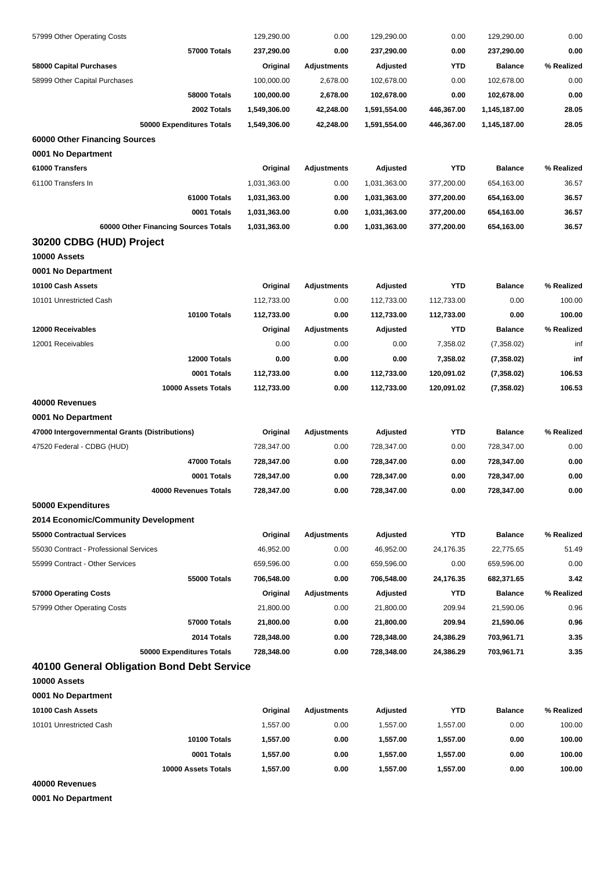| 57999 Other Operating Costs                    | 129,290.00   | 0.00               | 129,290.00   | 0.00       | 129,290.00     | 0.00       |
|------------------------------------------------|--------------|--------------------|--------------|------------|----------------|------------|
| 57000 Totals                                   | 237,290.00   | 0.00               | 237,290.00   | 0.00       | 237,290.00     | 0.00       |
| 58000 Capital Purchases                        | Original     | <b>Adjustments</b> | Adjusted     | <b>YTD</b> | <b>Balance</b> | % Realized |
| 58999 Other Capital Purchases                  | 100,000.00   | 2,678.00           | 102,678.00   | 0.00       | 102,678.00     | 0.00       |
| 58000 Totals                                   | 100,000.00   | 2,678.00           | 102,678.00   | 0.00       | 102,678.00     | 0.00       |
| 2002 Totals                                    | 1,549,306.00 | 42,248.00          | 1,591,554.00 | 446,367.00 | 1,145,187.00   | 28.05      |
| 50000 Expenditures Totals                      | 1,549,306.00 | 42,248.00          | 1,591,554.00 | 446,367.00 | 1,145,187.00   | 28.05      |
| 60000 Other Financing Sources                  |              |                    |              |            |                |            |
| 0001 No Department                             |              |                    |              |            |                |            |
| 61000 Transfers                                | Original     | <b>Adjustments</b> | Adjusted     | <b>YTD</b> | <b>Balance</b> | % Realized |
| 61100 Transfers In                             | 1,031,363.00 | 0.00               | 1,031,363.00 | 377,200.00 | 654,163.00     | 36.57      |
| 61000 Totals                                   | 1,031,363.00 | 0.00               | 1,031,363.00 | 377,200.00 | 654,163.00     | 36.57      |
| 0001 Totals                                    | 1,031,363.00 | 0.00               | 1,031,363.00 | 377,200.00 | 654,163.00     | 36.57      |
| 60000 Other Financing Sources Totals           | 1,031,363.00 | 0.00               | 1,031,363.00 | 377,200.00 | 654,163.00     | 36.57      |
| 30200 CDBG (HUD) Project                       |              |                    |              |            |                |            |
| 10000 Assets                                   |              |                    |              |            |                |            |
|                                                |              |                    |              |            |                |            |
| 0001 No Department                             |              |                    |              | <b>YTD</b> |                |            |
| 10100 Cash Assets                              | Original     | <b>Adjustments</b> | Adjusted     |            | <b>Balance</b> | % Realized |
| 10101 Unrestricted Cash                        | 112,733.00   | 0.00               | 112,733.00   | 112,733.00 | 0.00           | 100.00     |
| 10100 Totals                                   | 112,733.00   | 0.00               | 112,733.00   | 112,733.00 | 0.00           | 100.00     |
| 12000 Receivables                              | Original     | <b>Adjustments</b> | Adjusted     | <b>YTD</b> | <b>Balance</b> | % Realized |
| 12001 Receivables                              | 0.00         | 0.00               | 0.00         | 7,358.02   | (7,358.02)     | inf        |
| 12000 Totals                                   | 0.00         | 0.00               | 0.00         | 7,358.02   | (7,358.02)     | inf        |
| 0001 Totals                                    | 112,733.00   | 0.00               | 112,733.00   | 120,091.02 | (7,358.02)     | 106.53     |
| 10000 Assets Totals                            | 112,733.00   | 0.00               | 112,733.00   | 120,091.02 | (7, 358.02)    | 106.53     |
| 40000 Revenues                                 |              |                    |              |            |                |            |
| 0001 No Department                             |              |                    |              |            |                |            |
| 47000 Intergovernmental Grants (Distributions) | Original     | <b>Adjustments</b> | Adjusted     | <b>YTD</b> | <b>Balance</b> | % Realized |
| 47520 Federal - CDBG (HUD)                     | 728,347.00   | 0.00               | 728,347.00   | 0.00       | 728,347.00     | 0.00       |
| 47000 Totals                                   | 728,347.00   | 0.00               | 728,347.00   | 0.00       | 728,347.00     | 0.00       |
| 0001 Totals                                    | 728,347.00   | 0.00               | 728,347.00   | 0.00       | 728,347.00     | 0.00       |
| 40000 Revenues Totals                          | 728,347.00   | 0.00               | 728,347.00   | 0.00       | 728,347.00     | 0.00       |
| 50000 Expenditures                             |              |                    |              |            |                |            |
| 2014 Economic/Community Development            |              |                    |              |            |                |            |
| 55000 Contractual Services                     | Original     | <b>Adjustments</b> | Adjusted     | <b>YTD</b> | <b>Balance</b> | % Realized |
| 55030 Contract - Professional Services         | 46,952.00    | 0.00               | 46,952.00    | 24,176.35  | 22,775.65      | 51.49      |
| 55999 Contract - Other Services                | 659,596.00   | 0.00               | 659,596.00   | 0.00       | 659,596.00     | 0.00       |
| 55000 Totals                                   | 706,548.00   | 0.00               | 706,548.00   | 24,176.35  | 682,371.65     | 3.42       |
| 57000 Operating Costs                          | Original     | <b>Adjustments</b> | Adjusted     | <b>YTD</b> | <b>Balance</b> | % Realized |
| 57999 Other Operating Costs                    | 21,800.00    | 0.00               | 21,800.00    | 209.94     | 21,590.06      | 0.96       |
| 57000 Totals                                   | 21,800.00    | 0.00               | 21,800.00    | 209.94     | 21,590.06      | 0.96       |
| 2014 Totals                                    | 728,348.00   | 0.00               | 728,348.00   | 24,386.29  | 703,961.71     | 3.35       |
| 50000 Expenditures Totals                      | 728,348.00   | 0.00               | 728,348.00   | 24,386.29  | 703,961.71     | 3.35       |
| 40100 General Obligation Bond Debt Service     |              |                    |              |            |                |            |
| 10000 Assets                                   |              |                    |              |            |                |            |
| 0001 No Department                             |              |                    |              |            |                |            |
| 10100 Cash Assets                              | Original     | <b>Adjustments</b> | Adjusted     | <b>YTD</b> | <b>Balance</b> | % Realized |
| 10101 Unrestricted Cash                        | 1,557.00     | 0.00               | 1,557.00     | 1,557.00   | 0.00           | 100.00     |
| 10100 Totals                                   | 1,557.00     | 0.00               | 1,557.00     | 1,557.00   | 0.00           | 100.00     |
| 0001 Totals                                    | 1,557.00     | 0.00               | 1,557.00     | 1,557.00   | 0.00           | 100.00     |
| 10000 Assets Totals                            | 1,557.00     | 0.00               | 1,557.00     | 1,557.00   | 0.00           | 100.00     |
| 40000 Revenues                                 |              |                    |              |            |                |            |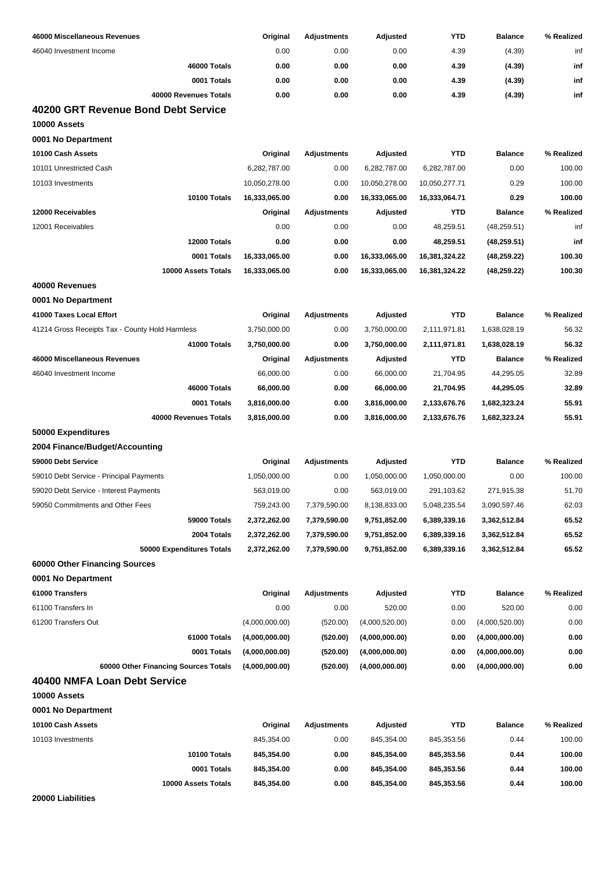| 46000 Miscellaneous Revenues                    | Original       | <b>Adjustments</b> | Adjusted       | <b>YTD</b>    | <b>Balance</b> | % Realized |
|-------------------------------------------------|----------------|--------------------|----------------|---------------|----------------|------------|
| 46040 Investment Income                         | 0.00           | 0.00               | 0.00           | 4.39          | (4.39)         | inf        |
| 46000 Totals                                    | 0.00           | 0.00               | 0.00           | 4.39          | (4.39)         | inf        |
| 0001 Totals                                     | 0.00           | 0.00               | 0.00           | 4.39          | (4.39)         | inf        |
| 40000 Revenues Totals                           | 0.00           | 0.00               | 0.00           | 4.39          | (4.39)         | inf        |
| 40200 GRT Revenue Bond Debt Service             |                |                    |                |               |                |            |
| 10000 Assets                                    |                |                    |                |               |                |            |
| 0001 No Department                              |                |                    |                |               |                |            |
| 10100 Cash Assets                               | Original       | <b>Adjustments</b> | Adjusted       | <b>YTD</b>    | <b>Balance</b> | % Realized |
| 10101 Unrestricted Cash                         | 6,282,787.00   | 0.00               | 6,282,787.00   | 6,282,787.00  | 0.00           | 100.00     |
| 10103 Investments                               | 10,050,278.00  | 0.00               | 10,050,278.00  | 10,050,277.71 | 0.29           | 100.00     |
| 10100 Totals                                    | 16,333,065.00  | 0.00               | 16,333,065.00  | 16,333,064.71 | 0.29           | 100.00     |
| 12000 Receivables                               | Original       | Adjustments        | Adjusted       | <b>YTD</b>    | <b>Balance</b> | % Realized |
| 12001 Receivables                               | 0.00           | 0.00               | 0.00           | 48,259.51     | (48, 259.51)   | inf        |
| 12000 Totals                                    | 0.00           | 0.00               | 0.00           | 48,259.51     | (48, 259.51)   | inf        |
| 0001 Totals                                     | 16,333,065.00  | 0.00               | 16,333,065.00  | 16,381,324.22 | (48, 259.22)   | 100.30     |
| 10000 Assets Totals                             | 16,333,065.00  | 0.00               | 16,333,065.00  | 16,381,324.22 | (48,259.22)    | 100.30     |
| 40000 Revenues                                  |                |                    |                |               |                |            |
| 0001 No Department                              |                |                    |                |               |                |            |
| 41000 Taxes Local Effort                        | Original       | <b>Adjustments</b> | Adjusted       | <b>YTD</b>    | <b>Balance</b> | % Realized |
| 41214 Gross Receipts Tax - County Hold Harmless | 3,750,000.00   | 0.00               | 3,750,000.00   | 2,111,971.81  | 1,638,028.19   | 56.32      |
| 41000 Totals                                    | 3,750,000.00   | 0.00               | 3,750,000.00   | 2,111,971.81  | 1,638,028.19   | 56.32      |
| 46000 Miscellaneous Revenues                    | Original       | <b>Adjustments</b> | Adjusted       | <b>YTD</b>    | <b>Balance</b> | % Realized |
| 46040 Investment Income                         | 66,000.00      | 0.00               | 66,000.00      | 21,704.95     | 44,295.05      | 32.89      |
| 46000 Totals                                    | 66,000.00      | 0.00               | 66,000.00      | 21,704.95     | 44,295.05      | 32.89      |
| 0001 Totals                                     | 3,816,000.00   | 0.00               | 3,816,000.00   | 2,133,676.76  | 1,682,323.24   | 55.91      |
| 40000 Revenues Totals                           | 3,816,000.00   | 0.00               | 3,816,000.00   | 2,133,676.76  | 1,682,323.24   | 55.91      |
| 50000 Expenditures                              |                |                    |                |               |                |            |
| 2004 Finance/Budget/Accounting                  |                |                    |                |               |                |            |
| 59000 Debt Service                              | Original       | Adjustments        | Adjusted       | <b>YTD</b>    | <b>Balance</b> | % Realized |
| 59010 Debt Service - Principal Payments         | 1,050,000.00   | 0.00               | 1,050,000.00   | 1,050,000.00  | 0.00           | 100.00     |
| 59020 Debt Service - Interest Payments          | 563,019.00     | 0.00               | 563,019.00     | 291,103.62    | 271,915.38     | 51.70      |
| 59050 Commitments and Other Fees                | 759,243.00     | 7,379,590.00       | 8,138,833.00   | 5,048,235.54  | 3,090,597.46   | 62.03      |
| 59000 Totals                                    | 2,372,262.00   | 7,379,590.00       | 9,751,852.00   | 6,389,339.16  | 3,362,512.84   | 65.52      |
| 2004 Totals                                     | 2,372,262.00   | 7,379,590.00       | 9,751,852.00   | 6,389,339.16  | 3,362,512.84   | 65.52      |
| 50000 Expenditures Totals                       | 2,372,262.00   | 7,379,590.00       | 9,751,852.00   | 6,389,339.16  | 3,362,512.84   | 65.52      |
| 60000 Other Financing Sources                   |                |                    |                |               |                |            |
| 0001 No Department                              |                |                    |                |               |                |            |
| 61000 Transfers                                 | Original       | <b>Adjustments</b> | Adjusted       | <b>YTD</b>    | <b>Balance</b> | % Realized |
| 61100 Transfers In                              | 0.00           | 0.00               | 520.00         | 0.00          | 520.00         | 0.00       |
| 61200 Transfers Out                             | (4,000,000.00) | (520.00)           | (4,000,520.00) | 0.00          | (4,000,520.00) | 0.00       |
| 61000 Totals                                    | (4,000,000.00) | (520.00)           | (4,000,000.00) | 0.00          | (4,000,000.00) | 0.00       |
| 0001 Totals                                     | (4,000,000.00) | (520.00)           | (4,000,000.00) | 0.00          | (4,000,000.00) | 0.00       |
| 60000 Other Financing Sources Totals            | (4,000,000.00) | (520.00)           | (4,000,000.00) | 0.00          | (4,000,000.00) | 0.00       |
| 40400 NMFA Loan Debt Service                    |                |                    |                |               |                |            |
| 10000 Assets                                    |                |                    |                |               |                |            |
| 0001 No Department                              |                |                    |                |               |                |            |
| 10100 Cash Assets                               | Original       | Adjustments        | Adjusted       | <b>YTD</b>    | <b>Balance</b> | % Realized |
| 10103 Investments                               | 845,354.00     | 0.00               | 845,354.00     | 845,353.56    | 0.44           | 100.00     |
| 10100 Totals                                    | 845,354.00     | 0.00               | 845,354.00     | 845,353.56    | 0.44           | 100.00     |
| 0001 Totals                                     | 845,354.00     | 0.00               | 845,354.00     | 845,353.56    | 0.44           | 100.00     |
| 10000 Assets Totals                             | 845,354.00     | 0.00               | 845,354.00     | 845,353.56    | 0.44           | 100.00     |

**20000 Liabilities**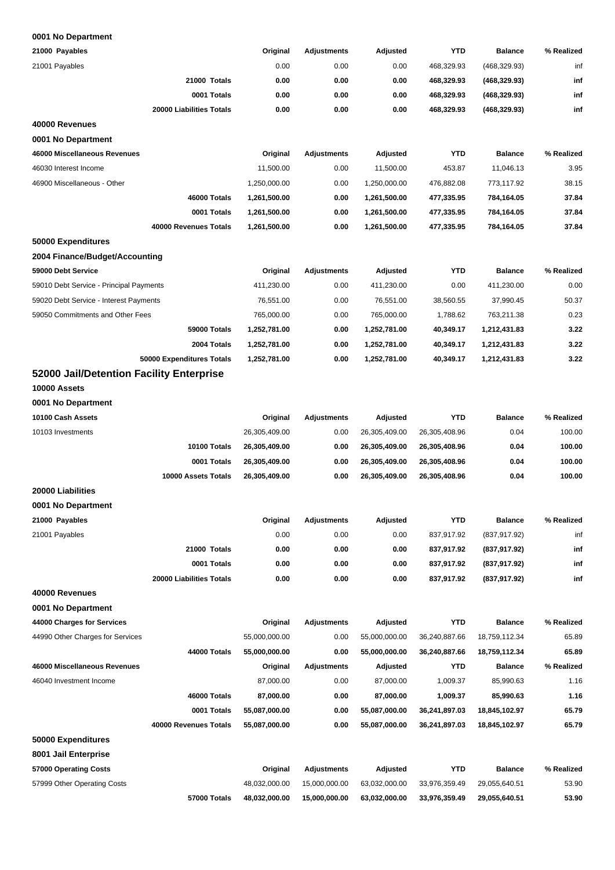| 21000 Payables                           | Original      | <b>Adjustments</b> | Adjusted      | <b>YTD</b>    | <b>Balance</b> | % Realized |
|------------------------------------------|---------------|--------------------|---------------|---------------|----------------|------------|
| 21001 Payables                           | 0.00          | 0.00               | 0.00          | 468,329.93    | (468, 329.93)  | inf        |
| 21000 Totals                             | 0.00          | 0.00               | 0.00          | 468,329.93    | (468, 329.93)  | inf        |
| 0001 Totals                              | 0.00          | 0.00               | 0.00          | 468,329.93    | (468, 329.93)  | inf        |
| 20000 Liabilities Totals                 | 0.00          | 0.00               | 0.00          | 468,329.93    | (468, 329.93)  | inf        |
| 40000 Revenues                           |               |                    |               |               |                |            |
| 0001 No Department                       |               |                    |               |               |                |            |
| 46000 Miscellaneous Revenues             | Original      | <b>Adjustments</b> | Adjusted      | <b>YTD</b>    | <b>Balance</b> | % Realized |
| 46030 Interest Income                    | 11,500.00     | 0.00               | 11,500.00     | 453.87        | 11,046.13      | 3.95       |
| 46900 Miscellaneous - Other              | 1,250,000.00  | 0.00               | 1,250,000.00  | 476,882.08    | 773,117.92     | 38.15      |
| 46000 Totals                             | 1,261,500.00  | 0.00               | 1,261,500.00  | 477,335.95    | 784,164.05     | 37.84      |
| 0001 Totals                              | 1,261,500.00  | 0.00               | 1,261,500.00  | 477,335.95    | 784,164.05     | 37.84      |
| 40000 Revenues Totals                    | 1,261,500.00  | 0.00               | 1,261,500.00  | 477,335.95    | 784,164.05     | 37.84      |
| 50000 Expenditures                       |               |                    |               |               |                |            |
| 2004 Finance/Budget/Accounting           |               |                    |               |               |                |            |
| 59000 Debt Service                       | Original      | <b>Adjustments</b> | Adjusted      | <b>YTD</b>    | <b>Balance</b> | % Realized |
| 59010 Debt Service - Principal Payments  | 411,230.00    | 0.00               | 411,230.00    | 0.00          | 411,230.00     | 0.00       |
| 59020 Debt Service - Interest Payments   | 76,551.00     | 0.00               | 76,551.00     | 38,560.55     | 37,990.45      | 50.37      |
| 59050 Commitments and Other Fees         | 765,000.00    | 0.00               | 765,000.00    | 1,788.62      | 763,211.38     | 0.23       |
| 59000 Totals                             | 1,252,781.00  | 0.00               | 1,252,781.00  | 40,349.17     | 1,212,431.83   | 3.22       |
| 2004 Totals                              | 1,252,781.00  | 0.00               | 1,252,781.00  | 40,349.17     | 1,212,431.83   | 3.22       |
| 50000 Expenditures Totals                | 1,252,781.00  | 0.00               | 1,252,781.00  | 40,349.17     | 1,212,431.83   | 3.22       |
| 52000 Jail/Detention Facility Enterprise |               |                    |               |               |                |            |
| 10000 Assets                             |               |                    |               |               |                |            |
| 0001 No Department                       |               |                    |               |               |                |            |
| 10100 Cash Assets                        | Original      | <b>Adjustments</b> | Adjusted      | <b>YTD</b>    | <b>Balance</b> | % Realized |
| 10103 Investments                        | 26,305,409.00 | 0.00               | 26,305,409.00 | 26,305,408.96 | 0.04           | 100.00     |
| 10100 Totals                             | 26,305,409.00 | 0.00               | 26,305,409.00 | 26,305,408.96 | 0.04           | 100.00     |
| 0001 Totals                              | 26,305,409.00 | 0.00               | 26,305,409.00 | 26,305,408.96 | 0.04           | 100.00     |
| 10000 Assets Totals                      | 26,305,409.00 | 0.00               | 26,305,409.00 | 26,305,408.96 | 0.04           | 100.00     |
| 20000 Liabilities                        |               |                    |               |               |                |            |
| 0001 No Department                       |               |                    |               |               |                |            |
| 21000 Payables                           | Original      | <b>Adjustments</b> | Adjusted      | <b>YTD</b>    | <b>Balance</b> | % Realized |
| 21001 Payables                           | 0.00          | 0.00               | 0.00          | 837,917.92    | (837, 917.92)  | inf        |
| 21000 Totals                             | 0.00          | 0.00               | 0.00          | 837,917.92    | (837,917.92)   | inf        |
| 0001 Totals                              | 0.00          | 0.00               | 0.00          | 837,917.92    | (837, 917.92)  | inf        |
| 20000 Liabilities Totals                 | 0.00          | 0.00               | 0.00          | 837,917.92    | (837, 917.92)  | inf        |
| 40000 Revenues                           |               |                    |               |               |                |            |
| 0001 No Department                       |               |                    |               |               |                |            |
| 44000 Charges for Services               | Original      | <b>Adjustments</b> | Adjusted      | <b>YTD</b>    | <b>Balance</b> | % Realized |
| 44990 Other Charges for Services         | 55,000,000.00 | 0.00               | 55,000,000.00 | 36,240,887.66 | 18,759,112.34  | 65.89      |
| <b>44000 Totals</b>                      | 55,000,000.00 | 0.00               | 55,000,000.00 | 36,240,887.66 | 18,759,112.34  | 65.89      |
| 46000 Miscellaneous Revenues             | Original      | Adjustments        | Adjusted      | <b>YTD</b>    | <b>Balance</b> | % Realized |
| 46040 Investment Income                  | 87,000.00     | 0.00               | 87,000.00     | 1,009.37      | 85,990.63      | 1.16       |
| 46000 Totals                             | 87,000.00     | 0.00               | 87,000.00     | 1,009.37      | 85,990.63      | 1.16       |
| 0001 Totals                              | 55,087,000.00 | 0.00               | 55,087,000.00 | 36,241,897.03 | 18,845,102.97  | 65.79      |
| 40000 Revenues Totals                    | 55,087,000.00 | 0.00               | 55,087,000.00 | 36,241,897.03 | 18,845,102.97  | 65.79      |
| 50000 Expenditures                       |               |                    |               |               |                |            |
| 8001 Jail Enterprise                     |               |                    |               |               |                |            |
| 57000 Operating Costs                    | Original      | <b>Adjustments</b> | Adjusted      | <b>YTD</b>    | <b>Balance</b> | % Realized |
| 57999 Other Operating Costs              | 48,032,000.00 | 15,000,000.00      | 63,032,000.00 | 33,976,359.49 | 29,055,640.51  | 53.90      |
| 57000 Totals                             | 48,032,000.00 | 15,000,000.00      | 63,032,000.00 | 33,976,359.49 | 29,055,640.51  | 53.90      |